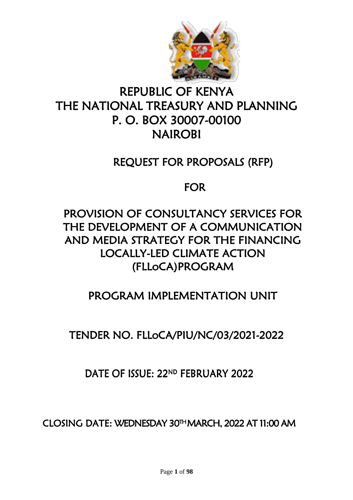

# REPUBLIC OF KENYA THE NATIONAL TREASURY AND PLANNING P. O. BOX 30007-00100 NAIROBI

## REQUEST FOR PROPOSALS (RFP)

## FOR

# PROVISION OF CONSULTANCY SERVICES FOR THE DEVELOPMENT OF A COMMUNICATION AND MEDIA STRATEGY FOR THE FINANCING LOCALLY-LED CLIMATE ACTION (FLLoCA)PROGRAM

# PROGRAM IMPLEMENTATION UNIT

# TENDER NO. FLLoCA/PIU/NC/03/2021-2022

## DATE OF ISSUE: 22ND FEBRUARY 2022

CLOSING DATE: WEDNESDAY 30TH MARCH, 2022 AT 11:00 AM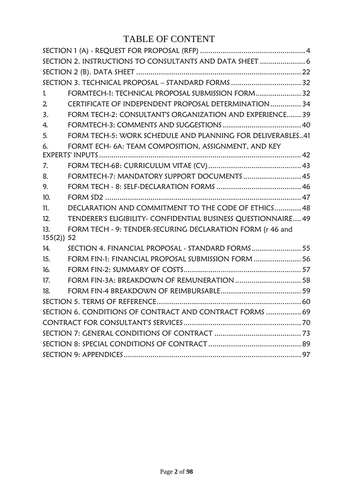## TABLE OF CONTENT

| SECTION 2. INSTRUCTIONS TO CONSULTANTS AND DATA SHEET  6 |                                                                |  |  |  |
|----------------------------------------------------------|----------------------------------------------------------------|--|--|--|
|                                                          |                                                                |  |  |  |
|                                                          | SECTION 3. TECHNICAL PROPOSAL - STANDARD FORMS  32             |  |  |  |
| $\mathbf{1}$                                             | FORMTECH-1: TECHNICAL PROPOSAL SUBMISSION FORM 32              |  |  |  |
| $\overline{2}$                                           | CERTIFICATE OF INDEPENDENT PROPOSAL DETERMINATION 34           |  |  |  |
| 3.                                                       | FORM TECH-2: CONSULTANT'S ORGANIZATION AND EXPERIENCE 39       |  |  |  |
| 4.                                                       |                                                                |  |  |  |
| 5.                                                       | FORM TECH-5: WORK SCHEDULE AND PLANNING FOR DELIVERABLES41     |  |  |  |
| 6.                                                       | FORMT ECH- 6A: TEAM COMPOSITION, ASSIGNMENT, AND KEY           |  |  |  |
|                                                          |                                                                |  |  |  |
| 7.                                                       |                                                                |  |  |  |
| 8.                                                       | FORMTECH-7: MANDATORY SUPPORT DOCUMENTS  45                    |  |  |  |
| 9.                                                       |                                                                |  |  |  |
| 10.                                                      |                                                                |  |  |  |
| 11.                                                      | DECLARATION AND COMMITMENT TO THE CODE OF ETHICS 48            |  |  |  |
| 12.                                                      | TENDERER'S ELIGIBILITY- CONFIDENTIAL BUSINESS QUESTIONNAIRE 49 |  |  |  |
| 13.<br>$155(2)$ } 52                                     | FORM TECH - 9: TENDER-SECURING DECLARATION FORM {r 46 and      |  |  |  |
| 14.                                                      | SECTION 4. FINANCIAL PROPOSAL - STANDARD FORMS 55              |  |  |  |
| 15.                                                      | FORM FIN-1: FINANCIAL PROPOSAL SUBMISSION FORM  56             |  |  |  |
| 16.                                                      |                                                                |  |  |  |
| 17.                                                      | FORM FIN-3A: BREAKDOWN OF REMUNERATION  58                     |  |  |  |
| 18.                                                      |                                                                |  |  |  |
|                                                          |                                                                |  |  |  |
|                                                          | SECTION 6. CONDITIONS OF CONTRACT AND CONTRACT FORMS  69       |  |  |  |
|                                                          |                                                                |  |  |  |
|                                                          |                                                                |  |  |  |
|                                                          |                                                                |  |  |  |
|                                                          |                                                                |  |  |  |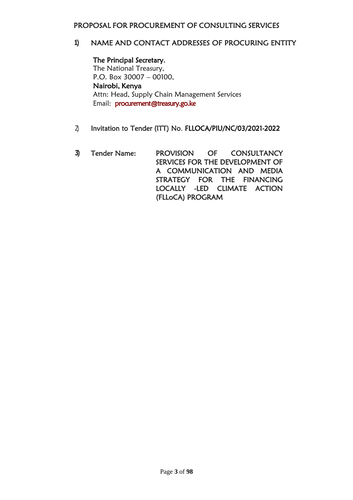#### PROPOSAL FOR PROCUREMENT OF CONSULTING SERVICES

### **1)** NAME AND CONTACT ADDRESSES OF PROCURING ENTITY

The Principal Secretary, The National Treasury, P.O. Box 30007 – 00100, Nairobi, Kenya Attn: Head, Supply Chain Management Services Email: [procurement@treasury.go.ke](mailto:procurement@treasury.go.ke) 

- 2) Invitation to Tender (ITT) No. FLLOCA/PIU/NC/03/2021-2022
- **3)** Tender Name: PROVISION OF CONSULTANCY SERVICES FOR THE DEVELOPMENT OF A COMMUNICATION AND MEDIA STRATEGY FOR THE FINANCING LOCALLY -LED CLIMATE ACTION (FLLoCA) PROGRAM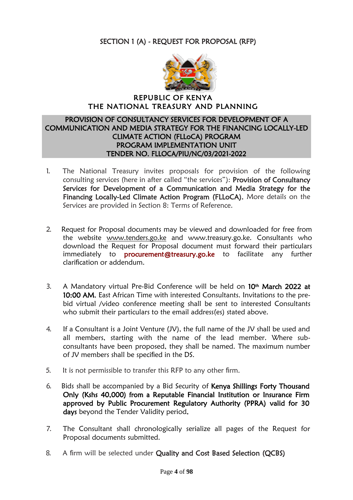## <span id="page-3-0"></span>SECTION 1 (A) - REQUEST FOR PROPOSAL (RFP)



#### REPUBLIC OF KENYA THE NATIONAL TREASURY AND PLANNING

#### PROVISION OF CONSULTANCY SERVICES FOR DEVELOPMENT OF A COMMUNICATION AND MEDIA STRATEGY FOR THE FINANCING LOCALLY-LED CLIMATE ACTION (FLLoCA) PROGRAM PROGRAM IMPLEMENTATION UNIT TENDER NO. FLLOCA/PIU/NC/03/2021-2022

- 1. The National Treasury invites proposals for provision of the following consulting services (here in after called "the services"): Provision of Consultancy Services for Development of a Communication and Media Strategy for the Financing Locally-Led Climate Action Program (FLLoCA). More details on the Services are provided in Section 8: Terms of Reference.
- 2. Request for Proposal documents may be viewed and downloaded for free from the website [www.tenders.go.ke](http://www.tenders.go.ke/) and www.treasury.go.ke. Consultants who download the Request for Proposal document must forward their particulars immediately to **[procurement@treasury.go.ke](mailto:procurement@treasury.go.ke)** to facilitate any further clarification or addendum.
- 3. A Mandatory virtual Pre-Bid Conference will be held on  $10<sup>th</sup>$  March 2022 at 10:00 AM, East African Time with interested Consultants. Invitations to the prebid virtual /video conference meeting shall be sent to interested Consultants who submit their particulars to the email address(es) stated above.
- 4. If a Consultant is a Joint Venture (JV), the full name of the JV shall be used and all members, starting with the name of the lead member. Where subconsultants have been proposed, they shall be named. The maximum number of JV members shall be specified in the DS.
- 5. It is not permissible to transfer this RFP to any other firm.
- 6. Bids shall be accompanied by a Bid Security of Kenya Shillings Forty Thousand Only (Kshs 40,000) from a Reputable Financial Institution or Insurance Firm approved by Public Procurement Regulatory Authority (PPRA) valid for 30 days beyond the Tender Validity period.
- 7. The Consultant shall chronologically serialize all pages of the Request for Proposal documents submitted.
- 8. A firm will be selected under Quality and Cost Based Selection (QCBS)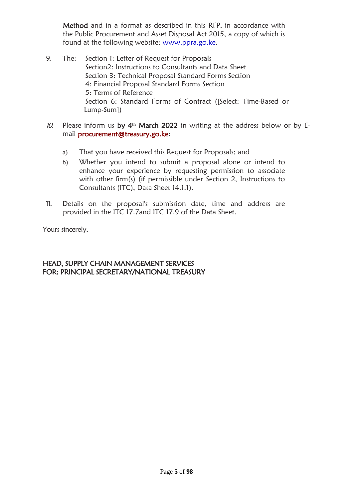Method and in a format as described in this RFP, in accordance with the Public Procurement and Asset Disposal Act 2015, a copy of which is found at the following website: [www.ppra.go.ke.](http://www.ppra.go.ke/)

- 9. The: Section 1: Letter of Request for Proposals Section2: Instructions to Consultants and Data Sheet Section 3: Technical Proposal Standard Forms Section 4: Financial Proposal Standard Forms Section 5: Terms of Reference Section 6: Standard Forms of Contract ([Select: Time-Based or Lump-Sum])
- *10.* Please inform us  $by$  4<sup>th</sup> March 2022 in writing at the address below or by Email [procurement@treasury.go.ke:](mailto:procurement@treasury.go.ke)
	- a) That you have received this Request for Proposals; and
	- b) Whether you intend to submit a proposal alone or intend to enhance your experience by requesting permission to associate with other firm(s) (if permissible under Section 2, Instructions to Consultants (ITC), Data Sheet 14.1.1).
- 11. Details on the proposal's submission date, time and address are provided in the ITC 17.7and ITC 17.9 of the Data Sheet.

Yours sincerely,

## HEAD, SUPPLY CHAIN MANAGEMENT SERVICES FOR: PRINCIPAL SECRETARY/NATIONAL TREASURY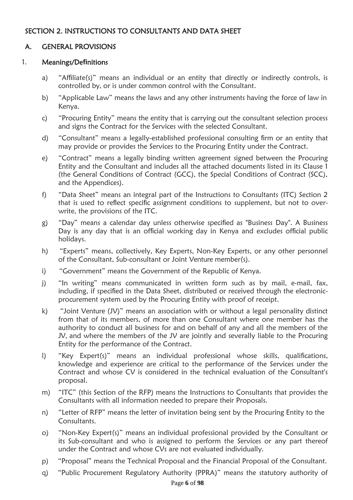## <span id="page-5-0"></span>SECTION 2. INSTRUCTIONS TO CONSULTANTS AND DATA SHEET

## A. GENERAL PROVISIONS

#### 1. Meanings/De**fi**nitions

- a) "Affiliate(s)" means an individual or an entity that directly or indirectly controls, is controlled by, or is under common control with the Consultant.
- b) "Applicable Law" means the laws and any other instruments having the force of law in Kenya.
- c) "Procuring Entity" means the entity that is carrying out the consultant selection process and signs the Contract for the Services with the selected Consultant.
- d) "Consultant" means a legally-established professional consulting firm or an entity that may provide or provides the Services to the Procuring Entity under the Contract.
- e) "Contract" means a legally binding written agreement signed between the Procuring Entity and the Consultant and includes all the attached documents listed in its Clause 1 (the General Conditions of Contract (GCC), the Special Conditions of Contract (SCC), and the Appendices).
- f) "Data Sheet" means an integral part of the Instructions to Consultants (ITC) Section 2 that is used to reflect specific assignment conditions to supplement, but not to overwrite, the provisions of the ITC.
- g) "Day" means a calendar day unless otherwise specified as "Business Day". A Business Day is any day that is an official working day in Kenya and excludes official public holidays.
- h) "Experts" means, collectively, Key Experts, Non-Key Experts, or any other personnel of the Consultant, Sub-consultant or Joint Venture member(s).
- i) "Government" means the Government of the Republic of Kenya.
- j) "In writing" means communicated in written form such as by mail, e-mail, fax, including, if specified in the Data Sheet, distributed or received through the electronicprocurement system used by the Procuring Entity with proof of receipt.
- k) "Joint Venture (JV)" means an association with or without a legal personality distinct from that of its members, of more than one Consultant where one member has the authority to conduct all business for and on behalf of any and all the members of the JV, and where the members of the JV are jointly and severally liable to the Procuring Entity for the performance of the Contract.
- l) "Key Expert(s)" means an individual professional whose skills, qualifications, knowledge and experience are critical to the performance of the Services under the Contract and whose CV is considered in the technical evaluation of the Consultant's proposal.
- m) "ITC" (this Section of the RFP) means the Instructions to Consultants that provides the Consultants with all information needed to prepare their Proposals.
- n) "Letter of RFP" means the letter of invitation being sent by the Procuring Entity to the Consultants.
- o) "Non-Key Expert(s)" means an individual professional provided by the Consultant or its Sub-consultant and who is assigned to perform the Services or any part thereof under the Contract and whose CVs are not evaluated individually.
- p) "Proposal" means the Technical Proposal and the Financial Proposal of the Consultant.
- q) "Public Procurement Regulatory Authority (PPRA)" means the statutory authority of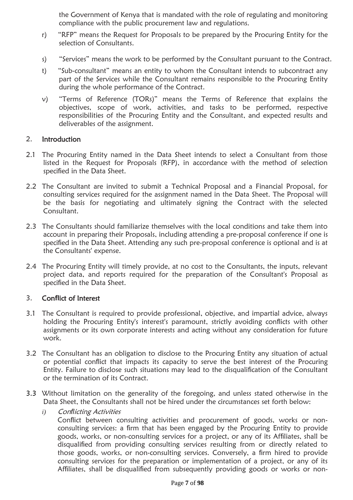the Government of Kenya that is mandated with the role of regulating and monitoring compliance with the public procurement law and regulations.

- r) "RFP" means the Request for Proposals to be prepared by the Procuring Entity for the selection of Consultants.
- s) "Services" means the work to be performed by the Consultant pursuant to the Contract.
- t) "Sub-consultant" means an entity to whom the Consultant intends to subcontract any part of the Services while the Consultant remains responsible to the Procuring Entity during the whole performance of the Contract.
- v) "Terms of Reference (TORs)" means the Terms of Reference that explains the objectives, scope of work, activities, and tasks to be performed, respective responsibilities of the Procuring Entity and the Consultant, and expected results and deliverables of the assignment.

#### 2. Introduction

- 2.1 The Procuring Entity named in the Data Sheet intends to select a Consultant from those listed in the Request for Proposals (RFP), in accordance with the method of selection specified in the Data Sheet.
- 2.2 The Consultant are invited to submit a Technical Proposal and a Financial Proposal, for consulting services required for the assignment named in the Data Sheet. The Proposal will be the basis for negotiating and ultimately signing the Contract with the selected Consultant.
- 2.3 The Consultants should familiarize themselves with the local conditions and take them into account in preparing their Proposals, including attending a pre-proposal conference if one is specified in the Data Sheet. Attending any such pre-proposal conference is optional and is at the Consultants' expense.
- 2.4 The Procuring Entity will timely provide, at no cost to the Consultants, the inputs, relevant project data, and reports required for the preparation of the Consultant's Proposal as specified in the Data Sheet.

#### 3. Con**fl**ict of Interest

- 3.1 The Consultant is required to provide professional, objective, and impartial advice, always holding the Procuring Entity's interest's paramount, strictly avoiding conflicts with other assignments or its own corporate interests and acting without any consideration for future work.
- 3.2 The Consultant has an obligation to disclose to the Procuring Entity any situation of actual or potential conflict that impacts its capacity to serve the best interest of the Procuring Entity. Failure to disclose such situations may lead to the disqualification of the Consultant or the termination of its Contract.
- 3.3 Without limitation on the generality of the foregoing, and unless stated otherwise in the Data Sheet, the Consultants shall not be hired under the circumstances set forth below:
	- *i)* Con*fl*icting Activities

Conflict between consulting activities and procurement of goods, works or nonconsulting services: a firm that has been engaged by the Procuring Entity to provide goods, works, or non-consulting services for a project, or any of its Affiliates, shall be disqualified from providing consulting services resulting from or directly related to those goods, works, or non-consulting services. Conversely, a firm hired to provide consulting services for the preparation or implementation of a project, or any of its Affiliates, shall be disqualified from subsequently providing goods or works or non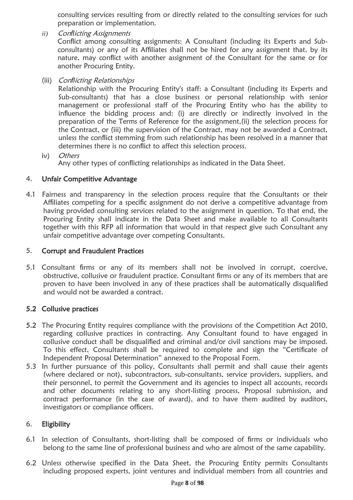consulting services resulting from or directly related to the consulting services for such preparation or implementation.

- *ii)* Con*fl*icting Assignments Conflict among consulting assignments: A Consultant (including its Experts and Subconsultants) or any of its Affiliates shall not be hired for any assignment that, by its nature, may conflict with another assignment of the Consultant for the same or for another Procuring Entity.
- (iii) Con*fl*icting Relationships

Relationship with the Procuring Entity's staff: a Consultant (including its Experts and Sub-consultants) that has a close business or personal relationship with senior management or professional staff of the Procuring Entity who has the ability to influence the bidding process and: (i) are directly or indirectly involved in the preparation of the Terms of Reference for the assignment,(ii) the selection process for the Contract, or (iii) the supervision of the Contract, may not be awarded a Contract, unless the conflict stemming from such relationship has been resolved in a manner that determines there is no conflict to affect this selection process.

iv) Others Any other types of conflicting relationships as indicated in the Data Sheet.

#### 4. Unfair Competitive Advantage

4.1 Fairness and transparency in the selection process require that the Consultants or their Affiliates competing for a specific assignment do not derive a competitive advantage from having provided consulting services related to the assignment in question. To that end, the Procuring Entity shall indicate in the Data Sheet and make available to all Consultants together with this RFP all information that would in that respect give such Consultant any unfair competitive advantage over competing Consultants.

#### 5. Corrupt and Fraudulent Practices

5.1 Consultant firms or any of its members shall not be involved in corrupt, coercive, obstructive, collusive or fraudulent practice. Consultant firms or any of its members that are proven to have been involved in any of these practices shall be automatically disqualified and would not be awarded a contract.

### 5.2 Collusive practices

- 5.2 The Procuring Entity requires compliance with the provisions of the Competition Act 2010, regarding collusive practices in contracting. Any Consultant found to have engaged in collusive conduct shall be disqualified and criminal and/or civil sanctions may be imposed. To this effect, Consultants shall be required to complete and sign the "Certificate of Independent Proposal Determination" annexed to the Proposal Form.
- 5.3 In further pursuance of this policy, Consultants shall permit and shall cause their agents (where declared or not), subcontractors, sub-consultants, service providers, suppliers, and their personnel, to permit the Government and its agencies to inspect all accounts, records and other documents relating to any short-listing process, Proposal submission, and contract performance (in the case of award), and to have them audited by auditors, investigators or compliance officers.

#### 6. Eligibility

- 6.1 In selection of Consultants, short-listing shall be composed of firms or individuals who belong to the same line of professional business and who are almost of the same capability.
- 6.2 Unless otherwise specified in the Data Sheet, the Procuring Entity permits Consultants including proposed experts, joint ventures and individual members from all countries and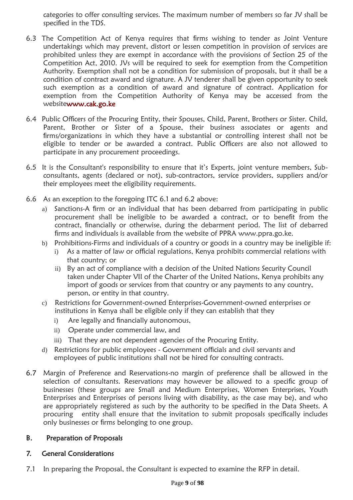categories to offer consulting services. The maximum number of members so far JV shall be specified in the TDS.

- 6.3 The Competition Act of Kenya requires that firms wishing to tender as Joint Venture undertakings which may prevent, distort or lessen competition in provision of services are prohibited unless they are exempt in accordance with the provisions of Section 25 of the Competition Act, 2010. JVs will be required to seek for exemption from the Competition Authority. Exemption shall not be a condition for submission of proposals, but it shall be a condition of contract award and signature. A JV tenderer shall be given opportunity to seek such exemption as a condition of award and signature of contract. Application for exemption from the Competition Authority of Kenya may be accessed from the websit[ewww.cak.go.ke](http://www.cak.go.ke/)
- 6.4 Public Officers of the Procuring Entity, their Spouses, Child, Parent, Brothers or Sister. Child, Parent, Brother or Sister of a Spouse, their business associates or agents and firms/organizations in which they have a substantial or controlling interest shall not be eligible to tender or be awarded a contract. Public Officers are also not allowed to participate in any procurement proceedings.
- 6.5 It is the Consultant's responsibility to ensure that it's Experts, joint venture members, Subconsultants, agents (declared or not), sub-contractors, service providers, suppliers and/or their employees meet the eligibility requirements.
- 6.6 As an exception to the foregoing ITC 6.1 and 6.2 above:
	- a) Sanctions-A firm or an individual that has been debarred from participating in public procurement shall be ineligible to be awarded a contract, or to benefit from the contract, financially or otherwise, during the debarment period. The list of debarred firms and individuals is available from the website of PPRA [www.ppra.go.ke.](http://www.ppra.go.ke/)
	- b) Prohibitions-Firms and individuals of a country or goods in a country may be ineligible if:
		- i) As a matter of law or official regulations, Kenya prohibits commercial relations with that country; or
		- ii) By an act of compliance with a decision of the United Nations Security Council taken under Chapter VII of the Charter of the United Nations, Kenya prohibits any import of goods or services from that country or any payments to any country, person, or entity in that country.
	- c) Restrictions for Government-owned Enterprises-Government-owned enterprises or institutions in Kenya shall be eligible only if they can establish that they
		- i) Are legally and financially autonomous,
		- ii) Operate under commercial law, and
		- iii) That they are not dependent agencies of the Procuring Entity.
	- d) Restrictions for public employees Government officials and civil servants and employees of public institutions shall not be hired for consulting contracts.
- 6.7 Margin of Preference and Reservations-no margin of preference shall be allowed in the selection of consultants. Reservations may however be allowed to a specific group of businesses (these groups are Small and Medium Enterprises, Women Enterprises, Youth Enterprises and Enterprises of persons living with disability, as the case may be), and who are appropriately registered as such by the authority to be specified in the Data Sheets. A procuring entity shall ensure that the invitation to submit proposals specifically includes only businesses or firms belonging to one group.

### B. Preparation of Proposals

#### 7. General Considerations

7.1 In preparing the Proposal, the Consultant is expected to examine the RFP in detail.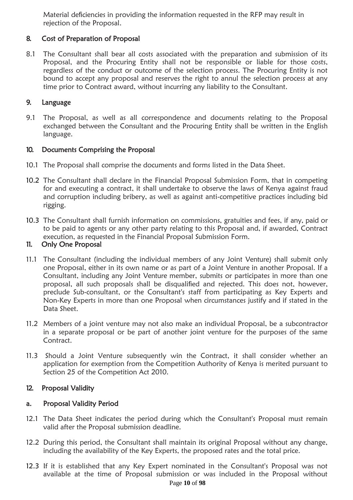Material deficiencies in providing the information requested in the RFP may result in rejection of the Proposal.

## 8. Cost of Preparation of Proposal

8.1 The Consultant shall bear all costs associated with the preparation and submission of its Proposal, and the Procuring Entity shall not be responsible or liable for those costs, regardless of the conduct or outcome of the selection process. The Procuring Entity is not bound to accept any proposal and reserves the right to annul the selection process at any time prior to Contract award, without incurring any liability to the Consultant.

#### 9. Language

9.1 The Proposal, as well as all correspondence and documents relating to the Proposal exchanged between the Consultant and the Procuring Entity shall be written in the English language.

#### 10. Documents Comprising the Proposal

- 10.1 The Proposal shall comprise the documents and forms listed in the Data Sheet.
- 10.2 The Consultant shall declare in the Financial Proposal Submission Form, that in competing for and executing a contract, it shall undertake to observe the laws of Kenya against fraud and corruption including bribery, as well as against anti-competitive practices including bid rigging.
- 10.3 The Consultant shall furnish information on commissions, gratuities and fees, if any, paid or to be paid to agents or any other party relating to this Proposal and, if awarded, Contract execution, as requested in the Financial Proposal Submission Form.

#### 11. Only One Proposal

- 11.1 The Consultant (including the individual members of any Joint Venture) shall submit only one Proposal, either in its own name or as part of a Joint Venture in another Proposal. If a Consultant, including any Joint Venture member, submits or participates in more than one proposal, all such proposals shall be disqualified and rejected. This does not, however, preclude Sub-consultant, or the Consultant's staff from participating as Key Experts and Non-Key Experts in more than one Proposal when circumstances justify and if stated in the Data Sheet.
- 11.2 Members of a joint venture may not also make an individual Proposal, be a subcontractor in a separate proposal or be part of another joint venture for the purposes of the same Contract.
- 11.3 Should a Joint Venture subsequently win the Contract, it shall consider whether an application for exemption from the Competition Authority of Kenya is merited pursuant to Section 25 of the Competition Act 2010.

### 12. Proposal Validity

#### a. Proposal Validity Period

- 12.1 The Data Sheet indicates the period during which the Consultant's Proposal must remain valid after the Proposal submission deadline.
- 12.2 During this period, the Consultant shall maintain its original Proposal without any change, including the availability of the Key Experts, the proposed rates and the total price.
- 12.3 If it is established that any Key Expert nominated in the Consultant's Proposal was not available at the time of Proposal submission or was included in the Proposal without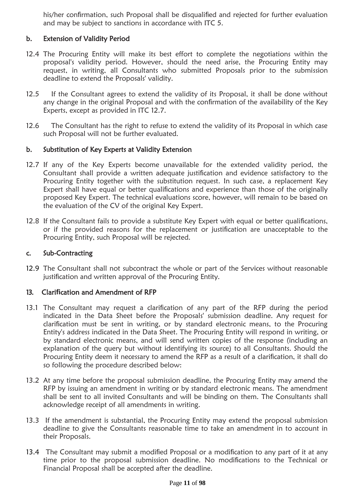his/her confirmation, such Proposal shall be disqualified and rejected for further evaluation and may be subject to sanctions in accordance with ITC 5.

### b. Extension of Validity Period

- 12.4 The Procuring Entity will make its best effort to complete the negotiations within the proposal's validity period. However, should the need arise, the Procuring Entity may request, in writing, all Consultants who submitted Proposals prior to the submission deadline to extend the Proposals' validity.
- 12.5 If the Consultant agrees to extend the validity of its Proposal, it shall be done without any change in the original Proposal and with the confirmation of the availability of the Key Experts, except as provided in ITC 12.7.
- 12.6 The Consultant has the right to refuse to extend the validity of its Proposal in which case such Proposal will not be further evaluated.

#### b. Substitution of Key Experts at Validity Extension

- 12.7 If any of the Key Experts become unavailable for the extended validity period, the Consultant shall provide a written adequate justification and evidence satisfactory to the Procuring Entity together with the substitution request. In such case, a replacement Key Expert shall have equal or better qualifications and experience than those of the originally proposed Key Expert. The technical evaluations score, however, will remain to be based on the evaluation of the CV of the original Key Expert.
- 12.8 If the Consultant fails to provide a substitute Key Expert with equal or better qualifications, or if the provided reasons for the replacement or justification are unacceptable to the Procuring Entity, such Proposal will be rejected.

#### c. Sub-Contracting

12.9 The Consultant shall not subcontract the whole or part of the Services without reasonable justification and written approval of the Procuring Entity.

#### 13. Clari**fi**cation and Amendment of RFP

- 13.1 The Consultant may request a clarification of any part of the RFP during the period indicated in the Data Sheet before the Proposals' submission deadline. Any request for clarification must be sent in writing, or by standard electronic means, to the Procuring Entity's address indicated in the Data Sheet. The Procuring Entity will respond in writing, or by standard electronic means, and will send written copies of the response (including an explanation of the query but without identifying its source) to all Consultants. Should the Procuring Entity deem it necessary to amend the RFP as a result of a clarification, it shall do so following the procedure described below:
- 13.2 At any time before the proposal submission deadline, the Procuring Entity may amend the RFP by issuing an amendment in writing or by standard electronic means. The amendment shall be sent to all invited Consultants and will be binding on them. The Consultants shall acknowledge receipt of all amendments in writing.
- 13.3 If the amendment is substantial, the Procuring Entity may extend the proposal submission deadline to give the Consultants reasonable time to take an amendment in to account in their Proposals.
- 13.4 The Consultant may submit a modified Proposal or a modification to any part of it at any time prior to the proposal submission deadline. No modifications to the Technical or Financial Proposal shall be accepted after the deadline.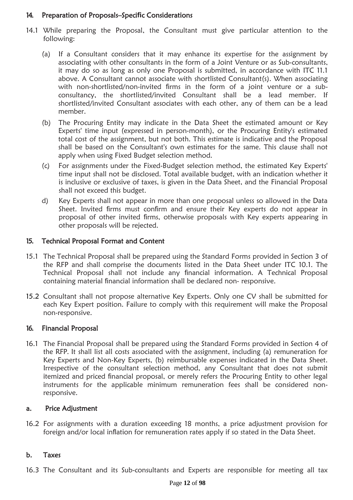#### 14. Preparation of Proposals–Speci**fi**c Considerations

- 14.1 While preparing the Proposal, the Consultant must give particular attention to the following:
	- (a) If a Consultant considers that it may enhance its expertise for the assignment by associating with other consultants in the form of a Joint Venture or as Sub-consultants, it may do so as long as only one Proposal is submitted, in accordance with ITC 11.1 above. A Consultant cannot associate with shortlisted Consultant(s). When associating with non-shortlisted/non-invited firms in the form of a joint venture or a subconsultancy, the shortlisted/invited Consultant shall be a lead member. If shortlisted/invited Consultant associates with each other, any of them can be a lead member.
	- (b) The Procuring Entity may indicate in the Data Sheet the estimated amount or Key Experts' time input (expressed in person-month), or the Procuring Entity's estimated total cost of the assignment, but not both. This estimate is indicative and the Proposal shall be based on the Consultant's own estimates for the same. This clause shall not apply when using Fixed Budget selection method.
	- (c) For assignments under the Fixed-Budget selection method, the estimated Key Experts' time input shall not be disclosed. Total available budget, with an indication whether it is inclusive or exclusive of taxes, is given in the Data Sheet, and the Financial Proposal shall not exceed this budget.
	- d) Key Experts shall not appear in more than one proposal unless so allowed in the Data Sheet. Invited firms must confirm and ensure their Key experts do not appear in proposal of other invited firms, otherwise proposals with Key experts appearing in other proposals will be rejected.

#### 15. Technical Proposal Format and Content

- 15.1 The Technical Proposal shall be prepared using the Standard Forms provided in Section 3 of the RFP and shall comprise the documents listed in the Data Sheet under ITC 10.1. The Technical Proposal shall not include any financial information. A Technical Proposal containing material financial information shall be declared non- responsive.
- 15.2 Consultant shall not propose alternative Key Experts. Only one CV shall be submitted for each Key Expert position. Failure to comply with this requirement will make the Proposal non-responsive.

#### 16. Financial Proposal

16.1 The Financial Proposal shall be prepared using the Standard Forms provided in Section 4 of the RFP. It shall list all costs associated with the assignment, including (a) remuneration for Key Experts and Non-Key Experts, (b) reimbursable expenses indicated in the Data Sheet. Irrespective of the consultant selection method, any Consultant that does not submit itemized and priced financial proposal, or merely refers the Procuring Entity to other legal instruments for the applicable minimum remuneration fees shall be considered nonresponsive.

#### a. Price Adjustment

16.2 For assignments with a duration exceeding 18 months, a price adjustment provision for foreign and/or local inflation for remuneration rates apply if so stated in the Data Sheet.

#### b. Taxes

16.3 The Consultant and its Sub-consultants and Experts are responsible for meeting all tax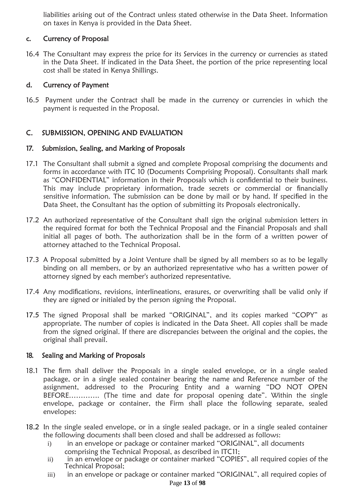liabilities arising out of the Contract unless stated otherwise in the Data Sheet. Information on taxes in Kenya is provided in the Data Sheet.

## c. Currency of Proposal

16.4 The Consultant may express the price for its Services in the currency or currencies as stated in the Data Sheet. If indicated in the Data Sheet, the portion of the price representing local cost shall be stated in Kenya Shillings.

## d. Currency of Payment

16.5 Payment under the Contract shall be made in the currency or currencies in which the payment is requested in the Proposal.

## C. SUBMISSION, OPENING AND EVALUATION

## 17. Submission, Sealing, and Marking of Proposals

- 17.1 The Consultant shall submit a signed and complete Proposal comprising the documents and forms in accordance with ITC 10 (Documents Comprising Proposal). Consultants shall mark as "CONFIDENTIAL" information in their Proposals which is confidential to their business. This may include proprietary information, trade secrets or commercial or financially sensitive information. The submission can be done by mail or by hand. If specified in the Data Sheet, the Consultant has the option of submitting its Proposals electronically.
- 17.2 An authorized representative of the Consultant shall sign the original submission letters in the required format for both the Technical Proposal and the Financial Proposals and shall initial all pages of both. The authorization shall be in the form of a written power of attorney attached to the Technical Proposal.
- 17.3 A Proposal submitted by a Joint Venture shall be signed by all members so as to be legally binding on all members, or by an authorized representative who has a written power of attorney signed by each member's authorized representative.
- 17.4 Any modifications, revisions, interlineations, erasures, or overwriting shall be valid only if they are signed or initialed by the person signing the Proposal.
- 17.5 The signed Proposal shall be marked "ORIGINAL", and its copies marked "COPY" as appropriate. The number of copies is indicated in the Data Sheet. All copies shall be made from the signed original. If there are discrepancies between the original and the copies, the original shall prevail.

### 18. Sealing and Marking of Proposals

- 18.1 The firm shall deliver the Proposals in a single sealed envelope, or in a single sealed package, or in a single sealed container bearing the name and Reference number of the assignment, addressed to the Procuring Entity and a warning "DO NOT OPEN BEFORE…………. (The time and date for proposal opening date". Within the single envelope, package or container, the Firm shall place the following separate, sealed envelopes:
- 18.2 In the single sealed envelope, or in a single sealed package, or in a single sealed container the following documents shall been closed and shall be addressed as follows:
	- i) in an envelope or package or container marked "ORIGINAL", all documents comprising the Technical Proposal, as described in ITC11;
	- ii) in an envelope or package or container marked "COPIES", all required copies of the Technical Proposal;
	- iii) in an envelope or package or container marked "ORIGINAL", all required copies of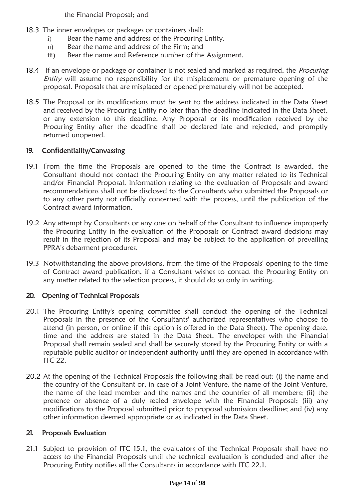the Financial Proposal; and

- 18.3 The inner envelopes or packages or containers shall:
	- i) Bear the name and address of the Procuring Entity.
	- ii) Bear the name and address of the Firm; and
	- iii) Bear the name and Reference number of the Assignment.
- 18.4 If an envelope or package or container is not sealed and marked as required, the *Procuring* Entity will assume no responsibility for the misplacement or premature opening of the proposal. Proposals that are misplaced or opened prematurely will not be accepted.
- 18.5 The Proposal or its modifications must be sent to the address indicated in the Data Sheet and received by the Procuring Entity no later than the deadline indicated in the Data Sheet, or any extension to this deadline. Any Proposal or its modification received by the Procuring Entity after the deadline shall be declared late and rejected, and promptly returned unopened.

## 19. Con**fi**dentiality/Canvassing

- 19.1 From the time the Proposals are opened to the time the Contract is awarded, the Consultant should not contact the Procuring Entity on any matter related to its Technical and/or Financial Proposal. Information relating to the evaluation of Proposals and award recommendations shall not be disclosed to the Consultants who submitted the Proposals or to any other party not officially concerned with the process, until the publication of the Contract award information.
- 19.2 Any attempt by Consultants or any one on behalf of the Consultant to influence improperly the Procuring Entity in the evaluation of the Proposals or Contract award decisions may result in the rejection of its Proposal and may be subject to the application of prevailing PPRA's debarment procedures.
- 19.3 Notwithstanding the above provisions, from the time of the Proposals' opening to the time of Contract award publication, if a Consultant wishes to contact the Procuring Entity on any matter related to the selection process, it should do so only in writing.

## 20. Opening of Technical Proposals

- 20.1 The Procuring Entity's opening committee shall conduct the opening of the Technical Proposals in the presence of the Consultants' authorized representatives who choose to attend (in person, or online if this option is offered in the Data Sheet). The opening date, time and the address are stated in the Data Sheet. The envelopes with the Financial Proposal shall remain sealed and shall be securely stored by the Procuring Entity or with a reputable public auditor or independent authority until they are opened in accordance with ITC 22.
- 20.2 At the opening of the Technical Proposals the following shall be read out: (i) the name and the country of the Consultant or, in case of a Joint Venture, the name of the Joint Venture, the name of the lead member and the names and the countries of all members; (ii) the presence or absence of a duly sealed envelope with the Financial Proposal; (iii) any modifications to the Proposal submitted prior to proposal submission deadline; and (iv) any other information deemed appropriate or as indicated in the Data Sheet.

### 21. Proposals Evaluation

21.1 Subject to provision of ITC 15.1, the evaluators of the Technical Proposals shall have no access to the Financial Proposals until the technical evaluation is concluded and after the Procuring Entity notifies all the Consultants in accordance with ITC 22.1.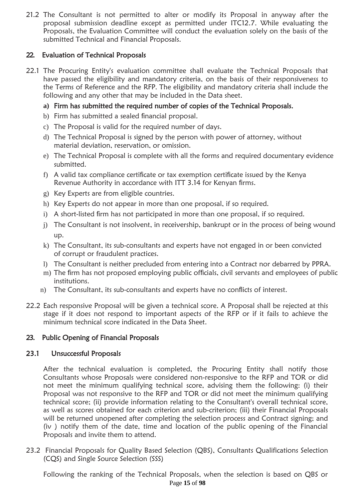21.2 The Consultant is not permitted to alter or modify its Proposal in anyway after the proposal submission deadline except as permitted under ITC12.7. While evaluating the Proposals, the Evaluation Committee will conduct the evaluation solely on the basis of the submitted Technical and Financial Proposals.

## 22. Evaluation of Technical Proposals

- 22.1 The Procuring Entity's evaluation committee shall evaluate the Technical Proposals that have passed the eligibility and mandatory criteria, on the basis of their responsiveness to the Terms of Reference and the RFP. The eligibility and mandatory criteria shall include the following and any other that may be included in the Data sheet.
	- **a)** Firm has submitted the required number of copies of the Technical Proposals.
	- b) Firm has submitted a sealed financial proposal.
	- c) The Proposal is valid for the required number of days.
	- d) The Technical Proposal is signed by the person with power of attorney, without material deviation, reservation, or omission.
	- e) The Technical Proposal is complete with all the forms and required documentary evidence submitted.
	- f) A valid tax compliance certificate or tax exemption certificate issued by the Kenya Revenue Authority in accordance with ITT 3.14 for Kenyan firms.
	- g) Key Experts are from eligible countries.
	- h) Key Experts do not appear in more than one proposal, if so required.
	- i) A short-listed firm has not participated in more than one proposal, if so required.
	- j) The Consultant is not insolvent, in receivership, bankrupt or in the process of being wound up.
	- k) The Consultant, its sub-consultants and experts have not engaged in or been convicted of corrupt or fraudulent practices.
	- l) The Consultant is neither precluded from entering into a Contract nor debarred by PPRA.
	- m) The firm has not proposed employing public officials, civil servants and employees of public institutions.
	- n) The Consultant, its sub-consultants and experts have no conflicts of interest.
- 22.2 Each responsive Proposal will be given a technical score. A Proposal shall be rejected at this stage if it does not respond to important aspects of the RFP or if it fails to achieve the minimum technical score indicated in the Data Sheet.

## 23. Public Opening of Financial Proposals

### 23.1 Unsuccessful Proposals

After the technical evaluation is completed, the Procuring Entity shall notify those Consultants whose Proposals were considered non-responsive to the RFP and TOR or did not meet the minimum qualifying technical score, advising them the following: (i) their Proposal was not responsive to the RFP and TOR or did not meet the minimum qualifying technical score; (ii) provide information relating to the Consultant's overall technical score, as well as scores obtained for each criterion and sub-criterion; (iii) their Financial Proposals will be returned unopened after completing the selection process and Contract signing; and (iv ) notify them of the date, time and location of the public opening of the Financial Proposals and invite them to attend.

23.2 Financial Proposals for Quality Based Selection (QBS), Consultants Qualifications Selection (CQS) and Single Source Selection (SSS)

Page **15** of **98** Following the ranking of the Technical Proposals, when the selection is based on QBS or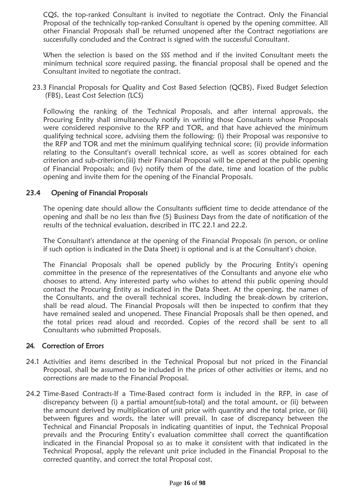CQS, the top-ranked Consultant is invited to negotiate the Contract. Only the Financial Proposal of the technically top-ranked Consultant is opened by the opening committee. All other Financial Proposals shall be returned unopened after the Contract negotiations are successfully concluded and the Contract is signed with the successful Consultant.

When the selection is based on the SSS method and if the invited Consultant meets the minimum technical score required passing, the financial proposal shall be opened and the Consultant invited to negotiate the contract.

23.3 Financial Proposals for Quality and Cost Based Selection (QCBS), Fixed Budget Selection (FBS), Least Cost Selection (LCS)

Following the ranking of the Technical Proposals, and after internal approvals, the Procuring Entity shall simultaneously notify in writing those Consultants whose Proposals were considered responsive to the RFP and TOR, and that have achieved the minimum qualifying technical score, advising them the following: (i) their Proposal was responsive to the RFP and TOR and met the minimum qualifying technical score; (ii) provide information relating to the Consultant's overall technical score, as well as scores obtained for each criterion and sub-criterion;(iii) their Financial Proposal will be opened at the public opening of Financial Proposals; and (iv) notify them of the date, time and location of the public opening and invite them for the opening of the Financial Proposals.

#### 23.4 Opening of Financial Proposals

The opening date should allow the Consultants sufficient time to decide attendance of the opening and shall be no less than five (5) Business Days from the date of notification of the results of the technical evaluation, described in ITC 22.1 and 22.2.

The Consultant's attendance at the opening of the Financial Proposals (in person, or online if such option is indicated in the Data Sheet) is optional and is at the Consultant's choice.

The Financial Proposals shall be opened publicly by the Procuring Entity's opening committee in the presence of the representatives of the Consultants and anyone else who chooses to attend. Any interested party who wishes to attend this public opening should contact the Procuring Entity as indicated in the Data Sheet. At the opening, the names of the Consultants, and the overall technical scores, including the break-down by criterion, shall be read aloud. The Financial Proposals will then be inspected to confirm that they have remained sealed and unopened. These Financial Proposals shall be then opened, and the total prices read aloud and recorded. Copies of the record shall be sent to all Consultants who submitted Proposals.

#### 24. Correction of Errors

- 24.1 Activities and items described in the Technical Proposal but not priced in the Financial Proposal, shall be assumed to be included in the prices of other activities or items, and no corrections are made to the Financial Proposal.
- 24.2 Time-Based Contracts-If a Time-Based contract form is included in the RFP, in case of discrepancy between (i) a partial amount(sub-total) and the total amount, or (ii) between the amount derived by multiplication of unit price with quantity and the total price, or (iii) between figures and words, the later will prevail. In case of discrepancy between the Technical and Financial Proposals in indicating quantities of input, the Technical Proposal prevails and the Procuring Entity's evaluation committee shall correct the quantification indicated in the Financial Proposal so as to make it consistent with that indicated in the Technical Proposal, apply the relevant unit price included in the Financial Proposal to the corrected quantity, and correct the total Proposal cost.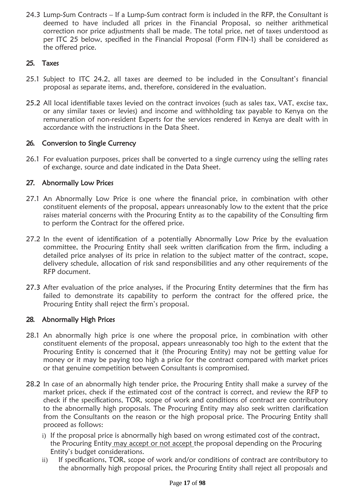24.3 Lump-Sum Contracts – If a Lump-Sum contract form is included in the RFP, the Consultant is deemed to have included all prices in the Financial Proposal, so neither arithmetical correction nor price adjustments shall be made. The total price, net of taxes understood as per ITC 25 below, specified in the Financial Proposal (Form FIN-1) shall be considered as the offered price.

## 25. Taxes

- 25.1 Subject to ITC 24.2, all taxes are deemed to be included in the Consultant's financial proposal as separate items, and, therefore, considered in the evaluation.
- 25.2 All local identifiable taxes levied on the contract invoices (such as sales tax, VAT, excise tax, or any similar taxes or levies) and income and withholding tax payable to Kenya on the remuneration of non-resident Experts for the services rendered in Kenya are dealt with in accordance with the instructions in the Data Sheet.

## 26. Conversion to Single Currency

26.1 For evaluation purposes, prices shall be converted to a single currency using the selling rates of exchange, source and date indicated in the Data Sheet.

## 27. Abnormally Low Prices

- 27.1 An Abnormally Low Price is one where the financial price, in combination with other constituent elements of the proposal, appears unreasonably low to the extent that the price raises material concerns with the Procuring Entity as to the capability of the Consulting firm to perform the Contract for the offered price.
- 27.2 In the event of identification of a potentially Abnormally Low Price by the evaluation committee, the Procuring Entity shall seek written clarification from the firm, including a detailed price analyses of its price in relation to the subject matter of the contract, scope, delivery schedule, allocation of risk sand responsibilities and any other requirements of the RFP document.
- 27.3 After evaluation of the price analyses, if the Procuring Entity determines that the firm has failed to demonstrate its capability to perform the contract for the offered price, the Procuring Entity shall reject the firm's proposal.

## 28. Abnormally High Prices

- 28.1 An abnormally high price is one where the proposal price, in combination with other constituent elements of the proposal, appears unreasonably too high to the extent that the Procuring Entity is concerned that it (the Procuring Entity) may not be getting value for money or it may be paying too high a price for the contract compared with market prices or that genuine competition between Consultants is compromised.
- 28.2 In case of an abnormally high tender price, the Procuring Entity shall make a survey of the market prices, check if the estimated cost of the contract is correct, and review the RFP to check if the specifications, TOR, scope of work and conditions of contract are contributory to the abnormally high proposals. The Procuring Entity may also seek written clarification from the Consultants on the reason or the high proposal price. The Procuring Entity shall proceed as follows:
	- i) If the proposal price is abnormally high based on wrong estimated cost of the contract, the Procuring Entity may accept or not accept the proposal depending on the Procuring Entity's budget considerations.
	- ii) If specifications, TOR, scope of work and/or conditions of contract are contributory to the abnormally high proposal prices, the Procuring Entity shall reject all proposals and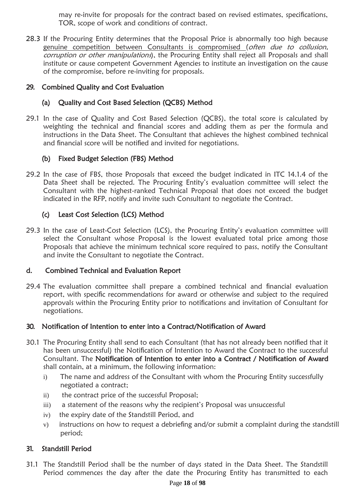may re-invite for proposals for the contract based on revised estimates, specifications, TOR, scope of work and conditions of contract.

28.3 If the Procuring Entity determines that the Proposal Price is abnormally too high because genuine competition between Consultants is compromised (often due to collusion, corruption or other manipulations), the Procuring Entity shall reject all Proposals and shall institute or cause competent Government Agencies to institute an investigation on the cause of the compromise, before re-inviting for proposals.

## 29. Combined Quality and Cost Evaluation

## (a) Quality and Cost Based Selection (QCBS) Method

29.1 In the case of Quality and Cost Based Selection (QCBS), the total score is calculated by weighting the technical and financial scores and adding them as per the formula and instructions in the Data Sheet. The Consultant that achieves the highest combined technical and financial score will be notified and invited for negotiations.

## (b) Fixed Budget Selection (FBS) Method

29.2 In the case of FBS, those Proposals that exceed the budget indicated in ITC 14.1.4 of the Data Sheet shall be rejected. The Procuring Entity's evaluation committee will select the Consultant with the highest-ranked Technical Proposal that does not exceed the budget indicated in the RFP, notify and invite such Consultant to negotiate the Contract.

### (c) Least Cost Selection (LCS) Method

29.3 In the case of Least-Cost Selection (LCS), the Procuring Entity's evaluation committee will select the Consultant whose Proposal is the lowest evaluated total price among those Proposals that achieve the minimum technical score required to pass, notify the Consultant and invite the Consultant to negotiate the Contract.

### d. Combined Technical and Evaluation Report

29.4 The evaluation committee shall prepare a combined technical and financial evaluation report, with specific recommendations for award or otherwise and subject to the required approvals within the Procuring Entity prior to notifications and invitation of Consultant for negotiations.

### 30. Noti**fi**cation of Intention to enter into a Contract/Noti**fi**cation of Award

- 30.1 The Procuring Entity shall send to each Consultant (that has not already been notified that it has been unsuccessful) the Notification of Intention to Award the Contract to the successful Consultant. The Noti**fi**cation of Intention to enter into a Contract / Noti**fi**cation of Award shall contain, at a minimum, the following information:
	- i) The name and address of the Consultant with whom the Procuring Entity successfully negotiated a contract;
	- ii) the contract price of the successful Proposal;
	- iii) a statement of the reasons why the recipient's Proposal was unsuccessful
	- iv) the expiry date of the Standstill Period, and
	- v) instructions on how to request a debriefing and/or submit a complaint during the standstill period;

### 31. Standstill Period

31.1 The Standstill Period shall be the number of days stated in the Data Sheet. The Standstill Period commences the day after the date the Procuring Entity has transmitted to each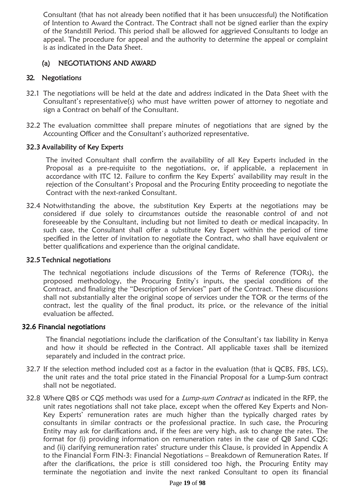Consultant (that has not already been notified that it has been unsuccessful) the Notification of Intention to Award the Contract. The Contract shall not be signed earlier than the expiry of the Standstill Period. This period shall be allowed for aggrieved Consultants to lodge an appeal. The procedure for appeal and the authority to determine the appeal or complaint is as indicated in the Data Sheet.

## (a) NEGOTIATIONS AND AWARD

## 32. Negotiations

- 32.1 The negotiations will be held at the date and address indicated in the Data Sheet with the Consultant's representative(s) who must have written power of attorney to negotiate and sign a Contract on behalf of the Consultant.
- 32.2 The evaluation committee shall prepare minutes of negotiations that are signed by the Accounting Officer and the Consultant's authorized representative.

### 32.3 Availability of Key Experts

The invited Consultant shall confirm the availability of all Key Experts included in the Proposal as a pre-requisite to the negotiations, or, if applicable, a replacement in accordance with ITC 12. Failure to confirm the Key Experts' availability may result in the rejection of the Consultant's Proposal and the Procuring Entity proceeding to negotiate the Contract with the next-ranked Consultant.

32.4 Notwithstanding the above, the substitution Key Experts at the negotiations may be considered if due solely to circumstances outside the reasonable control of and not foreseeable by the Consultant, including but not limited to death or medical incapacity. In such case, the Consultant shall offer a substitute Key Expert within the period of time specified in the letter of invitation to negotiate the Contract, who shall have equivalent or better qualifications and experience than the original candidate.

#### 32.5 Technical negotiations

The technical negotiations include discussions of the Terms of Reference (TORs), the proposed methodology, the Procuring Entity's inputs, the special conditions of the Contract, and finalizing the "Description of Services" part of the Contract. These discussions shall not substantially alter the original scope of services under the TOR or the terms of the contract, lest the quality of the final product, its price, or the relevance of the initial evaluation be affected.

#### 32.6 Financial negotiations

The financial negotiations include the clarification of the Consultant's tax liability in Kenya and how it should be reflected in the Contract. All applicable taxes shall be itemized separately and included in the contract price.

- 32.7 If the selection method included cost as a factor in the evaluation (that is QCBS, FBS, LCS), the unit rates and the total price stated in the Financial Proposal for a Lump-Sum contract shall not be negotiated.
- 32.8 Where QBS or CQS methods was used for a Lump-sum Contract as indicated in the RFP, the unit rates negotiations shall not take place, except when the offered Key Experts and Non-Key Experts' remuneration rates are much higher than the typically charged rates by consultants in similar contracts or the professional practice. In such case, the Procuring Entity may ask for clarifications and, if the fees are very high, ask to change the rates. The format for (i) providing information on remuneration rates in the case of QB Sand CQS; and (ii) clarifying remuneration rates' structure under this Clause, is provided in Appendix A to the Financial Form FIN-3: Financial Negotiations – Breakdown of Remuneration Rates. If after the clarifications, the price is still considered too high, the Procuring Entity may terminate the negotiation and invite the next ranked Consultant to open its financial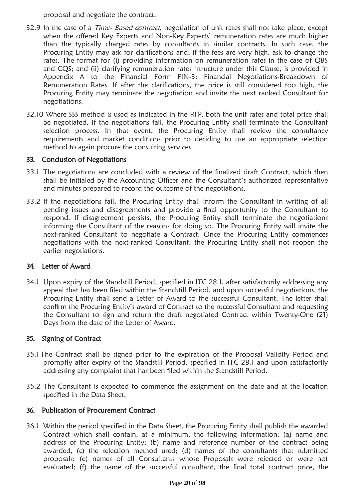proposal and negotiate the contract.

- 32.9 In the case of a *Time- Based contract*, negotiation of unit rates shall not take place, except when the offered Key Experts and Non-Key Experts' remuneration rates are much higher than the typically charged rates by consultants in similar contracts. In such case, the Procuring Entity may ask for clarifications and, if the fees are very high, ask to change the rates. The format for (i) providing information on remuneration rates in the case of QBS and CQS; and (ii) clarifying remuneration rates 'structure under this Clause, is provided in Appendix A to the Financial Form FIN-3: Financial Negotiations-Breakdown of Remuneration Rates. If after the clarifications, the price is still considered too high, the Procuring Entity may terminate the negotiation and invite the next ranked Consultant for negotiations.
- 32.10 Where SSS method is used as indicated in the RFP, both the unit rates and total price shall be negotiated. If the negotiations fail, the Procuring Entity shall terminate the Consultant selection process. In that event, the Procuring Entity shall review the consultancy requirements and market conditions prior to deciding to use an appropriate selection method to again procure the consulting services.

### 33. Conclusion of Negotiations

- 33.1 The negotiations are concluded with a review of the finalized draft Contract, which then shall be initialed by the Accounting Officer and the Consultant's authorized representative and minutes prepared to record the outcome of the negotiations.
- 33.2 If the negotiations fail, the Procuring Entity shall inform the Consultant in writing of all pending issues and disagreements and provide a final opportunity to the Consultant to respond. If disagreement persists, the Procuring Entity shall terminate the negotiations informing the Consultant of the reasons for doing so. The Procuring Entity will invite the next-ranked Consultant to negotiate a Contract. Once the Procuring Entity commences negotiations with the next-ranked Consultant, the Procuring Entity shall not reopen the earlier negotiations.

### 34. Letter of Award

34.1 Upon expiry of the Standstill Period, specified in ITC 28.1, after satisfactorily addressing any appeal that has been filed within the Standstill Period, and upon successful negotiations, the Procuring Entity shall send a Letter of Award to the successful Consultant. The letter shall confirm the Procuring Entity's award of Contract to the successful Consultant and requesting the Consultant to sign and return the draft negotiated Contract within Twenty-One (21) Days from the date of the Letter of Award.

### 35. Signing of Contract

- 35.1 The Contract shall be signed prior to the expiration of the Proposal Validity Period and promptly after expiry of the Standstill Period, specified in ITC 28.1 and upon satisfactorily addressing any complaint that has been filed within the Standstill Period.
- 35.2 The Consultant is expected to commence the assignment on the date and at the location specified in the Data Sheet.

### 36. Publication of Procurement Contract

36.1 Within the period specified in the Data Sheet, the Procuring Entity shall publish the awarded Contract which shall contain, at a minimum, the following information: (a) name and address of the Procuring Entity; (b) name and reference number of the contract being awarded, (c) the selection method used; (d) names of the consultants that submitted proposals; (e) names of all Consultants whose Proposals were rejected or were not evaluated; (f) the name of the successful consultant, the final total contract price, the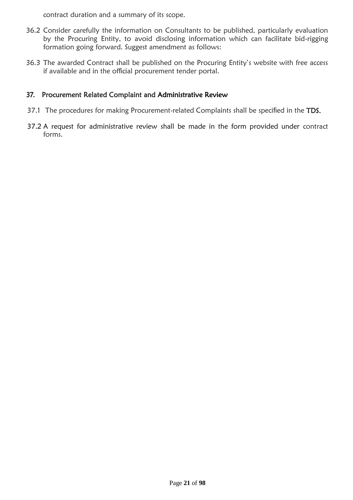contract duration and a summary of its scope.

- 36.2 Consider carefully the information on Consultants to be published, particularly evaluation by the Procuring Entity, to avoid disclosing information which can facilitate bid-rigging formation going forward. Suggest amendment as follows:
- 36.3 The awarded Contract shall be published on the Procuring Entity's website with free access if available and in the official procurement tender portal.

#### 37. Procurement Related Complaint and Administrative Review

- 37.1 The procedures for making Procurement-related Complaints shall be specified in the TDS.
- 37.2 A request for administrative review shall be made in the form provided under contract forms.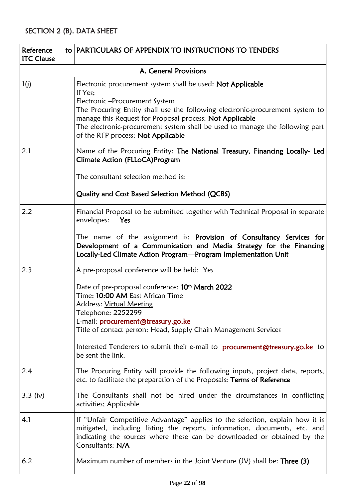<span id="page-21-0"></span>

| to PARTICULARS OF APPENDIX TO INSTRUCTIONS TO TENDERS<br>Reference<br><b>ITC Clause</b> |                                                                                                                                                                                                                                                                                                                                                                                                                               |  |  |
|-----------------------------------------------------------------------------------------|-------------------------------------------------------------------------------------------------------------------------------------------------------------------------------------------------------------------------------------------------------------------------------------------------------------------------------------------------------------------------------------------------------------------------------|--|--|
|                                                                                         | A. General Provisions                                                                                                                                                                                                                                                                                                                                                                                                         |  |  |
| 1(j)                                                                                    | Electronic procurement system shall be used: Not Applicable<br>If Yes:<br>Electronic - Procurement System<br>The Procuring Entity shall use the following electronic-procurement system to<br>manage this Request for Proposal process: Not Applicable<br>The electronic-procurement system shall be used to manage the following part<br>of the RFP process: Not Applicable                                                  |  |  |
| 2.1                                                                                     | Name of the Procuring Entity: The National Treasury, Financing Locally- Led<br><b>Climate Action (FLLoCA)Program</b><br>The consultant selection method is:<br>Quality and Cost Based Selection Method (QCBS)                                                                                                                                                                                                                 |  |  |
| 2.2                                                                                     | Financial Proposal to be submitted together with Technical Proposal in separate<br>envelopes:<br>Yes<br>The name of the assignment is: Provision of Consultancy Services for<br>Development of a Communication and Media Strategy for the Financing<br>Locally-Led Climate Action Program-Program Implementation Unit                                                                                                         |  |  |
| 2.3                                                                                     | A pre-proposal conference will be held: Yes<br>Date of pre-proposal conference: 10 <sup>th</sup> March 2022<br>Time: 10:00 AM East African Time<br><b>Address: Virtual Meeting</b><br>Telephone: 2252299<br>E-mail: procurement@treasury.go.ke<br>Title of contact person: Head, Supply Chain Management Services<br>Interested Tenderers to submit their e-mail to <b>procurement@treasury.go.ke</b> to<br>be sent the link. |  |  |
| 2.4                                                                                     | The Procuring Entity will provide the following inputs, project data, reports,<br>etc. to facilitate the preparation of the Proposals: Terms of Reference                                                                                                                                                                                                                                                                     |  |  |
| $3.3$ (iv)                                                                              | The Consultants shall not be hired under the circumstances in conflicting<br>activities; Applicable                                                                                                                                                                                                                                                                                                                           |  |  |
| 4.1                                                                                     | If "Unfair Competitive Advantage" applies to the selection, explain how it is<br>mitigated, including listing the reports, information, documents, etc. and<br>indicating the sources where these can be downloaded or obtained by the<br>Consultants: N/A                                                                                                                                                                    |  |  |
| 6.2                                                                                     | Maximum number of members in the Joint Venture $(U)$ shall be: Three (3)                                                                                                                                                                                                                                                                                                                                                      |  |  |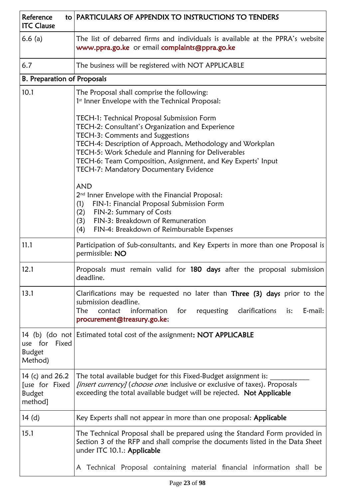| Reference<br><b>ITC Clause</b>                                | to PARTICULARS OF APPENDIX TO INSTRUCTIONS TO TENDERS                                                                                                                                                                                                                                                                                                            |  |  |  |
|---------------------------------------------------------------|------------------------------------------------------------------------------------------------------------------------------------------------------------------------------------------------------------------------------------------------------------------------------------------------------------------------------------------------------------------|--|--|--|
| 6.6(a)                                                        | The list of debarred firms and individuals is available at the PPRA's website<br>www.ppra.go.ke or email complaints@ppra.go.ke                                                                                                                                                                                                                                   |  |  |  |
| 6.7                                                           | The business will be registered with NOT APPLICABLE                                                                                                                                                                                                                                                                                                              |  |  |  |
| <b>B. Preparation of Proposals</b>                            |                                                                                                                                                                                                                                                                                                                                                                  |  |  |  |
| 10.1                                                          | The Proposal shall comprise the following:<br>1st Inner Envelope with the Technical Proposal:                                                                                                                                                                                                                                                                    |  |  |  |
|                                                               | TECH-1: Technical Proposal Submission Form<br>TECH-2: Consultant's Organization and Experience<br>TECH-3: Comments and Suggestions<br>TECH-4: Description of Approach, Methodology and Workplan<br>TECH-5: Work Schedule and Planning for Deliverables<br>TECH-6: Team Composition, Assignment, and Key Experts' Input<br>TECH-7: Mandatory Documentary Evidence |  |  |  |
|                                                               | <b>AND</b><br>2 <sup>nd</sup> Inner Envelope with the Financial Proposal:<br>FIN-1: Financial Proposal Submission Form<br>(1)<br>FIN-2: Summary of Costs<br>(2)<br>FIN-3: Breakdown of Remuneration<br>(3)<br>(4)<br>FIN-4: Breakdown of Reimbursable Expenses                                                                                                   |  |  |  |
| 11.1                                                          | Participation of Sub-consultants, and Key Experts in more than one Proposal is<br>permissible: NO                                                                                                                                                                                                                                                                |  |  |  |
| 12.1                                                          | Proposals must remain valid for 180 days after the proposal submission<br>deadline.                                                                                                                                                                                                                                                                              |  |  |  |
| 13.1                                                          | Clarifications may be requested no later than Three (3) days prior to the<br>submission deadline.<br>The<br>requesting clarifications<br>contact<br>information<br>for<br>E-mail:<br>is:<br>procurement@treasury.go.ke;                                                                                                                                          |  |  |  |
| use for<br>Fixed<br><b>Budget</b><br>Method)                  | 14 (b) (do not Estimated total cost of the assignment: NOT APPLICABLE                                                                                                                                                                                                                                                                                            |  |  |  |
| 14 (c) and 26.2<br>Juse for Fixed<br><b>Budget</b><br>method] | The total available budget for this Fixed-Budget assignment is:<br><i>[insert currency]</i> ( <i>choose one</i> : inclusive or exclusive of taxes). Proposals<br>exceeding the total available budget will be rejected. Not Applicable                                                                                                                           |  |  |  |
| 14(d)                                                         | Key Experts shall not appear in more than one proposal: Applicable                                                                                                                                                                                                                                                                                               |  |  |  |
| 15.1                                                          | The Technical Proposal shall be prepared using the Standard Form provided in<br>Section 3 of the RFP and shall comprise the documents listed in the Data Sheet<br>under ITC 10.1.: Applicable                                                                                                                                                                    |  |  |  |
|                                                               | Technical Proposal containing material financial information shall be<br>A                                                                                                                                                                                                                                                                                       |  |  |  |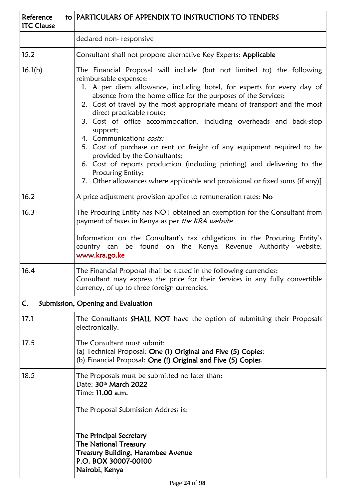| Reference<br><b>ITC Clause</b> | to PARTICULARS OF APPENDIX TO INSTRUCTIONS TO TENDERS                                                                                                                                                                                                                                                                                                                                                                                                                                                                                                                                                                                                                                                                                                           |  |  |  |
|--------------------------------|-----------------------------------------------------------------------------------------------------------------------------------------------------------------------------------------------------------------------------------------------------------------------------------------------------------------------------------------------------------------------------------------------------------------------------------------------------------------------------------------------------------------------------------------------------------------------------------------------------------------------------------------------------------------------------------------------------------------------------------------------------------------|--|--|--|
|                                | declared non-responsive                                                                                                                                                                                                                                                                                                                                                                                                                                                                                                                                                                                                                                                                                                                                         |  |  |  |
| 15.2                           | Consultant shall not propose alternative Key Experts: Applicable                                                                                                                                                                                                                                                                                                                                                                                                                                                                                                                                                                                                                                                                                                |  |  |  |
| 16.1(b)                        | The Financial Proposal will include (but not limited to) the following<br>reimbursable expenses:<br>1. A per diem allowance, including hotel, for experts for every day of<br>absence from the home office for the purposes of the Services;<br>2. Cost of travel by the most appropriate means of transport and the most<br>direct practicable route;<br>3. Cost of office accommodation, including overheads and back-stop<br>support;<br>4. Communications costs;<br>5. Cost of purchase or rent or freight of any equipment required to be<br>provided by the Consultants;<br>6. Cost of reports production (including printing) and delivering to the<br>Procuring Entity;<br>7. Other allowances where applicable and provisional or fixed sums (if any)] |  |  |  |
| 16.2                           | A price adjustment provision applies to remuneration rates: No                                                                                                                                                                                                                                                                                                                                                                                                                                                                                                                                                                                                                                                                                                  |  |  |  |
| 16.3                           | The Procuring Entity has NOT obtained an exemption for the Consultant from<br>payment of taxes in Kenya as per the KRA website<br>Information on the Consultant's tax obligations in the Procuring Entity's<br>country can be found on the Kenya Revenue Authority website:<br>www.kra.go.ke                                                                                                                                                                                                                                                                                                                                                                                                                                                                    |  |  |  |
| 16.4                           | The Financial Proposal shall be stated in the following currencies:<br>Consultant may express the price for their Services in any fully convertible<br>currency, of up to three foreign currencies.                                                                                                                                                                                                                                                                                                                                                                                                                                                                                                                                                             |  |  |  |
| C.                             | Submission, Opening and Evaluation                                                                                                                                                                                                                                                                                                                                                                                                                                                                                                                                                                                                                                                                                                                              |  |  |  |
| 17.1                           | The Consultants <b>SHALL NOT</b> have the option of submitting their Proposals<br>electronically.                                                                                                                                                                                                                                                                                                                                                                                                                                                                                                                                                                                                                                                               |  |  |  |
| 17.5                           | The Consultant must submit:<br>(a) Technical Proposal: One (1) Original and Five (5) Copies;<br>(b) Financial Proposal: One (!) Original and Five (5) Copies.                                                                                                                                                                                                                                                                                                                                                                                                                                                                                                                                                                                                   |  |  |  |
| 18.5                           | The Proposals must be submitted no later than:<br>Date: 30th March 2022<br>Time: 11.00 a.m.<br>The Proposal Submission Address is;<br>The Principal Secretary<br><b>The National Treasury</b><br><b>Treasury Building, Harambee Avenue</b><br>P.O. BOX 30007-00100<br>Nairobi, Kenya                                                                                                                                                                                                                                                                                                                                                                                                                                                                            |  |  |  |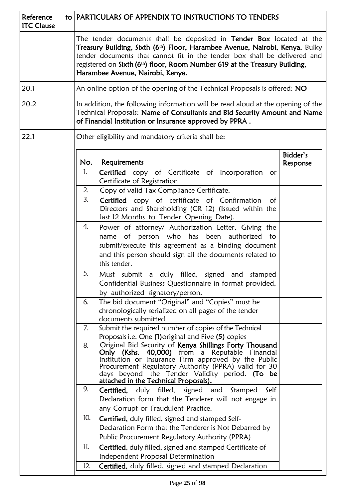| Reference<br><b>ITC Clause</b>                             |  | to PARTICULARS OF APPENDIX TO INSTRUCTIONS TO TENDERS                                                                                                                                                                                                                                                                                                                   |                                                                                                                                                                                                                                                                                                                         |                      |  |  |
|------------------------------------------------------------|--|-------------------------------------------------------------------------------------------------------------------------------------------------------------------------------------------------------------------------------------------------------------------------------------------------------------------------------------------------------------------------|-------------------------------------------------------------------------------------------------------------------------------------------------------------------------------------------------------------------------------------------------------------------------------------------------------------------------|----------------------|--|--|
|                                                            |  | The tender documents shall be deposited in <b>Tender Box</b> located at the<br>Treasury Building, Sixth (6 <sup>th</sup> ) Floor, Harambee Avenue, Nairobi, Kenya. Bulky<br>tender documents that cannot fit in the tender box shall be delivered and<br>registered on Sixth (6th) floor, Room Number 619 at the Treasury Building,<br>Harambee Avenue, Nairobi, Kenya. |                                                                                                                                                                                                                                                                                                                         |                      |  |  |
| 20.1                                                       |  |                                                                                                                                                                                                                                                                                                                                                                         | An online option of the opening of the Technical Proposals is offered: NO                                                                                                                                                                                                                                               |                      |  |  |
| 20.2                                                       |  |                                                                                                                                                                                                                                                                                                                                                                         | In addition, the following information will be read aloud at the opening of the<br>Technical Proposals: Name of Consultants and Bid Security Amount and Name<br>of Financial Institution or Insurance approved by PPRA.                                                                                                 |                      |  |  |
| 22.1<br>Other eligibility and mandatory criteria shall be: |  |                                                                                                                                                                                                                                                                                                                                                                         |                                                                                                                                                                                                                                                                                                                         |                      |  |  |
|                                                            |  | No.                                                                                                                                                                                                                                                                                                                                                                     | Requirements                                                                                                                                                                                                                                                                                                            | Bidder's<br>Response |  |  |
|                                                            |  | 1.                                                                                                                                                                                                                                                                                                                                                                      | Certified copy of Certificate of Incorporation<br>or<br>Certificate of Registration                                                                                                                                                                                                                                     |                      |  |  |
|                                                            |  | 2.                                                                                                                                                                                                                                                                                                                                                                      | Copy of valid Tax Compliance Certificate.                                                                                                                                                                                                                                                                               |                      |  |  |
|                                                            |  | 3.                                                                                                                                                                                                                                                                                                                                                                      | Certified copy of certificate of Confirmation<br>$\circ$ f<br>Directors and Shareholding (CR 12) (Issued within the<br>last 12 Months to Tender Opening Date).                                                                                                                                                          |                      |  |  |
|                                                            |  | 4.                                                                                                                                                                                                                                                                                                                                                                      | Power of attorney/ Authorization Letter, Giving the<br>name of person who has been authorized<br>to<br>submit/execute this agreement as a binding document<br>and this person should sign all the documents related to<br>this tender.                                                                                  |                      |  |  |
|                                                            |  | 5.                                                                                                                                                                                                                                                                                                                                                                      | Must submit a duly filled, signed and<br>stamped<br>Confidential Business Questionnaire in format provided,<br>by authorized signatory/person.                                                                                                                                                                          |                      |  |  |
|                                                            |  | 6.                                                                                                                                                                                                                                                                                                                                                                      | The bid document "Original" and "Copies" must be<br>chronologically serialized on all pages of the tender<br>documents submitted                                                                                                                                                                                        |                      |  |  |
|                                                            |  | 7.                                                                                                                                                                                                                                                                                                                                                                      | Submit the required number of copies of the Technical<br>Proposals i.e. One (1) original and Five (5) copies                                                                                                                                                                                                            |                      |  |  |
|                                                            |  | 8.                                                                                                                                                                                                                                                                                                                                                                      | Original Bid Security of Kenya Shillings Forty Thousand<br>Only (Kshs. 40,000) from a Reputable<br>Financial<br>Institution or Insurance Firm approved by the Public<br>Procurement Regulatory Authority (PPRA) valid for 30<br>days beyond the Tender Validity period. (To be<br>attached in the Technical Proposals). |                      |  |  |
|                                                            |  | 9.                                                                                                                                                                                                                                                                                                                                                                      | Certified, duly filled,<br>signed and<br>Self<br>Stamped<br>Declaration form that the Tenderer will not engage in<br>any Corrupt or Fraudulent Practice.                                                                                                                                                                |                      |  |  |
| 10.<br>11.                                                 |  |                                                                                                                                                                                                                                                                                                                                                                         | Certified, duly filled, signed and stamped Self-<br>Declaration Form that the Tenderer is Not Debarred by<br>Public Procurement Regulatory Authority (PPRA)                                                                                                                                                             |                      |  |  |
|                                                            |  |                                                                                                                                                                                                                                                                                                                                                                         | Certified, duly filled, signed and stamped Certificate of<br>Independent Proposal Determination                                                                                                                                                                                                                         |                      |  |  |
|                                                            |  | 12.                                                                                                                                                                                                                                                                                                                                                                     | Certified, duly filled, signed and stamped Declaration                                                                                                                                                                                                                                                                  |                      |  |  |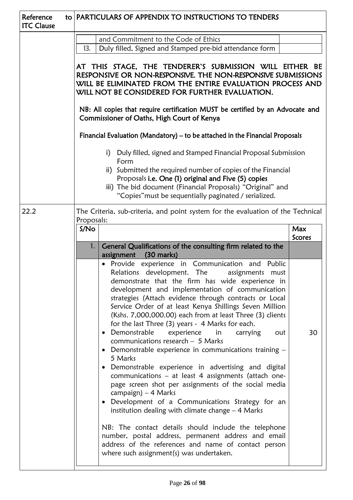|                                            | and Commitment to the Code of Ethics<br>Duly filled, Signed and Stamped pre-bid attendance form<br>13.                                                                                                                                                                                                                                                                                                                                                                                                                                                     |                                                                                                                                                                                                                                                                                                                                                                                                                                                                                                                                                                    |  |  |  |
|--------------------------------------------|------------------------------------------------------------------------------------------------------------------------------------------------------------------------------------------------------------------------------------------------------------------------------------------------------------------------------------------------------------------------------------------------------------------------------------------------------------------------------------------------------------------------------------------------------------|--------------------------------------------------------------------------------------------------------------------------------------------------------------------------------------------------------------------------------------------------------------------------------------------------------------------------------------------------------------------------------------------------------------------------------------------------------------------------------------------------------------------------------------------------------------------|--|--|--|
|                                            |                                                                                                                                                                                                                                                                                                                                                                                                                                                                                                                                                            |                                                                                                                                                                                                                                                                                                                                                                                                                                                                                                                                                                    |  |  |  |
|                                            |                                                                                                                                                                                                                                                                                                                                                                                                                                                                                                                                                            |                                                                                                                                                                                                                                                                                                                                                                                                                                                                                                                                                                    |  |  |  |
|                                            | AT THIS STAGE, THE TENDERER'S SUBMISSION WILL EITHER BE<br>RESPONSIVE OR NON-RESPONSIVE. THE NON-RESPONSIVE SUBMISSIONS<br>WILL BE ELIMINATED FROM THE ENTIRE EVALUATION PROCESS AND                                                                                                                                                                                                                                                                                                                                                                       |                                                                                                                                                                                                                                                                                                                                                                                                                                                                                                                                                                    |  |  |  |
| Commissioner of Oaths, High Court of Kenya |                                                                                                                                                                                                                                                                                                                                                                                                                                                                                                                                                            |                                                                                                                                                                                                                                                                                                                                                                                                                                                                                                                                                                    |  |  |  |
|                                            | Financial Evaluation (Mandatory) - to be attached in the Financial Proposals                                                                                                                                                                                                                                                                                                                                                                                                                                                                               |                                                                                                                                                                                                                                                                                                                                                                                                                                                                                                                                                                    |  |  |  |
|                                            | Duly filled, signed and Stamped Financial Proposal Submission<br>i)<br>Form                                                                                                                                                                                                                                                                                                                                                                                                                                                                                |                                                                                                                                                                                                                                                                                                                                                                                                                                                                                                                                                                    |  |  |  |
|                                            |                                                                                                                                                                                                                                                                                                                                                                                                                                                                                                                                                            |                                                                                                                                                                                                                                                                                                                                                                                                                                                                                                                                                                    |  |  |  |
|                                            |                                                                                                                                                                                                                                                                                                                                                                                                                                                                                                                                                            |                                                                                                                                                                                                                                                                                                                                                                                                                                                                                                                                                                    |  |  |  |
|                                            | S/No                                                                                                                                                                                                                                                                                                                                                                                                                                                                                                                                                       | Max<br><b>Scores</b>                                                                                                                                                                                                                                                                                                                                                                                                                                                                                                                                               |  |  |  |
|                                            | General Qualifications of the consulting firm related to the<br>1.<br>$(30$ marks)<br>assignment                                                                                                                                                                                                                                                                                                                                                                                                                                                           |                                                                                                                                                                                                                                                                                                                                                                                                                                                                                                                                                                    |  |  |  |
|                                            | Provide experience in Communication and<br>Public<br>Relations development. The<br>assignments<br>must<br>demonstrate that the firm has wide experience in<br>development and implementation of communication<br>strategies (Attach evidence through contracts or Local<br>Service Order of at least Kenya Shillings Seven Million<br>(Kshs. 7,000,000.00) each from at least Three (3) clients<br>for the last Three (3) years - 4 Marks for each.<br>Demonstrable<br>experience<br>in<br>carrying<br>out<br>$\bullet$                                    | 30                                                                                                                                                                                                                                                                                                                                                                                                                                                                                                                                                                 |  |  |  |
|                                            | Demonstrable experience in communications training -<br>5 Marks<br>Demonstrable experience in advertising and digital<br>communications - at least 4 assignments (attach one-<br>page screen shot per assignments of the social media<br>campaign) $-4$ Marks<br>Development of a Communications Strategy for an<br>$\bullet$<br>institution dealing with climate change $-4$ Marks<br>NB: The contact details should include the telephone<br>number, postal address, permanent address and email<br>address of the references and name of contact person |                                                                                                                                                                                                                                                                                                                                                                                                                                                                                                                                                                    |  |  |  |
|                                            |                                                                                                                                                                                                                                                                                                                                                                                                                                                                                                                                                            | WILL NOT BE CONSIDERED FOR FURTHER EVALUATION.<br>NB: All copies that require certification MUST be certified by an Advocate and<br>ii) Submitted the required number of copies of the Financial<br>Proposals i.e. One (1) original and Five (5) copies<br>iii) The bid document (Financial Proposals) "Original" and<br>"Copies" must be sequentially paginated / serialized.<br>The Criteria, sub-criteria, and point system for the evaluation of the Technical<br>Proposals:<br>communications research $-5$ Marks<br>where such assignment(s) was undertaken. |  |  |  |

 $\overline{\phantom{0}}$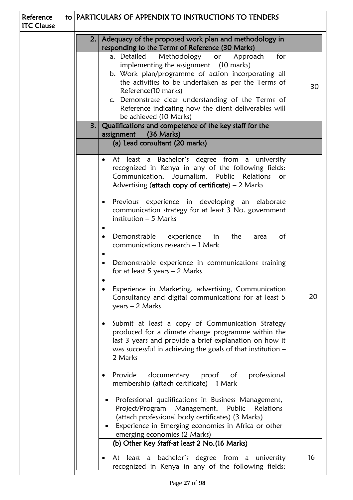| Reference<br><b>ITC Clause</b> | to PARTICULARS OF APPENDIX TO INSTRUCTIONS TO TENDERS |                                                                                                                                                                                                                                                                                                                                                                                                                                                                                                                                                                                                                                                                                                                                                                                                                                                                                                                                                                                                                                                                                                                                                                                                                                                                                                                                                                                                                                   |  |  |
|--------------------------------|-------------------------------------------------------|-----------------------------------------------------------------------------------------------------------------------------------------------------------------------------------------------------------------------------------------------------------------------------------------------------------------------------------------------------------------------------------------------------------------------------------------------------------------------------------------------------------------------------------------------------------------------------------------------------------------------------------------------------------------------------------------------------------------------------------------------------------------------------------------------------------------------------------------------------------------------------------------------------------------------------------------------------------------------------------------------------------------------------------------------------------------------------------------------------------------------------------------------------------------------------------------------------------------------------------------------------------------------------------------------------------------------------------------------------------------------------------------------------------------------------------|--|--|
|                                |                                                       | Adequacy of the proposed work plan and methodology in<br>2.<br>responding to the Terms of Reference (30 Marks)                                                                                                                                                                                                                                                                                                                                                                                                                                                                                                                                                                                                                                                                                                                                                                                                                                                                                                                                                                                                                                                                                                                                                                                                                                                                                                                    |  |  |
|                                |                                                       | Methodology or Approach<br>a. Detailed<br>for<br>implementing the assignment (10 marks)<br>b. Work plan/programme of action incorporating all<br>the activities to be undertaken as per the Terms of<br>30<br>Reference(10 marks)<br>c. Demonstrate clear understanding of the Terms of<br>Reference indicating how the client deliverables will<br>be achieved (10 Marks)                                                                                                                                                                                                                                                                                                                                                                                                                                                                                                                                                                                                                                                                                                                                                                                                                                                                                                                                                                                                                                                        |  |  |
|                                |                                                       | Qualifications and competence of the key staff for the<br>3.<br>assignment<br>$(36$ Marks)                                                                                                                                                                                                                                                                                                                                                                                                                                                                                                                                                                                                                                                                                                                                                                                                                                                                                                                                                                                                                                                                                                                                                                                                                                                                                                                                        |  |  |
|                                | (a) Lead consultant (20 marks)                        |                                                                                                                                                                                                                                                                                                                                                                                                                                                                                                                                                                                                                                                                                                                                                                                                                                                                                                                                                                                                                                                                                                                                                                                                                                                                                                                                                                                                                                   |  |  |
|                                |                                                       | At least a Bachelor's degree from a university<br>$\bullet$<br>recognized in Kenya in any of the following fields:<br>Communication, Journalism, Public Relations<br>or<br>Advertising (attach copy of certificate) $-2$ Marks<br>Previous experience in developing an elaborate<br>$\bullet$<br>communication strategy for at least 3 No. government<br>institution $-5$ Marks<br>Demonstrable<br>the<br>experience<br>in<br>of<br>area<br>$\bullet$<br>communications research - 1 Mark<br>Demonstrable experience in communications training<br>$\bullet$<br>for at least 5 years $-2$ Marks<br>Experience in Marketing, advertising, Communication<br>20<br>Consultancy and digital communications for at least 5<br>$years - 2 Marks$<br>Submit at least a copy of Communication Strategy<br>$\bullet$<br>produced for a climate change programme within the<br>last 3 years and provide a brief explanation on how it<br>was successful in achieving the goals of that institution $-$<br>2 Marks<br>documentary<br>proof of<br>professional<br>Provide<br>$\bullet$<br>membership (attach certificate) $-1$ Mark<br>Professional qualifications in Business Management,<br>Project/Program<br>Management, Public<br>Relations<br>(attach professional body certificates) (3 Marks)<br>Experience in Emerging economies in Africa or other<br>emerging economies (2 Marks)<br>(b) Other Key Staff-at least 2 No. (16 Marks) |  |  |
|                                |                                                       | 16<br>At least a bachelor's degree from a university<br>٠                                                                                                                                                                                                                                                                                                                                                                                                                                                                                                                                                                                                                                                                                                                                                                                                                                                                                                                                                                                                                                                                                                                                                                                                                                                                                                                                                                         |  |  |
|                                |                                                       | recognized in Kenya in any of the following fields:                                                                                                                                                                                                                                                                                                                                                                                                                                                                                                                                                                                                                                                                                                                                                                                                                                                                                                                                                                                                                                                                                                                                                                                                                                                                                                                                                                               |  |  |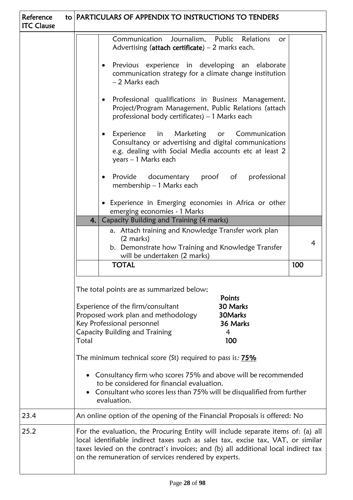| Reference<br><b>ITC Clause</b>                                                                                                                                                          |                                                                                           | to   PARTICULARS OF APPENDIX TO INSTRUCTIONS TO TENDERS                                                                                                                                                                                                                                                            |  |  |  |
|-----------------------------------------------------------------------------------------------------------------------------------------------------------------------------------------|-------------------------------------------------------------------------------------------|--------------------------------------------------------------------------------------------------------------------------------------------------------------------------------------------------------------------------------------------------------------------------------------------------------------------|--|--|--|
|                                                                                                                                                                                         |                                                                                           | Communication<br>Journalism, Public Relations<br>or.<br>Advertising (attach certificate) $-2$ marks each.                                                                                                                                                                                                          |  |  |  |
|                                                                                                                                                                                         |                                                                                           | Previous experience in developing an elaborate<br>communication strategy for a climate change institution<br>- 2 Marks each                                                                                                                                                                                        |  |  |  |
|                                                                                                                                                                                         |                                                                                           | Professional qualifications in Business Management,<br>$\bullet$<br>Project/Program Management, Public Relations (attach<br>professional body certificates) - 1 Marks each                                                                                                                                         |  |  |  |
|                                                                                                                                                                                         |                                                                                           | in Marketing<br>Experience<br>Communication<br>or<br>$\bullet$<br>Consultancy or advertising and digital communications<br>e.g. dealing with Social Media accounts etc at least 2<br>years - 1 Marks each                                                                                                          |  |  |  |
|                                                                                                                                                                                         | professional<br>Provide<br>documentary proof of<br>$\bullet$<br>membership - 1 Marks each |                                                                                                                                                                                                                                                                                                                    |  |  |  |
|                                                                                                                                                                                         | • Experience in Emerging economies in Africa or other<br>emerging economies - 1 Marks     |                                                                                                                                                                                                                                                                                                                    |  |  |  |
|                                                                                                                                                                                         |                                                                                           | Capacity Building and Training (4 marks)<br>4.1                                                                                                                                                                                                                                                                    |  |  |  |
| a. Attach training and Knowledge Transfer work plan<br>$(2 \text{ marks})$<br>b. Demonstrate how Training and Knowledge Transfer<br>will be undertaken (2 marks)<br><b>TOTAL</b><br>100 |                                                                                           |                                                                                                                                                                                                                                                                                                                    |  |  |  |
|                                                                                                                                                                                         |                                                                                           |                                                                                                                                                                                                                                                                                                                    |  |  |  |
| The minimum technical score (St) required to pass is: 75%                                                                                                                               |                                                                                           |                                                                                                                                                                                                                                                                                                                    |  |  |  |
|                                                                                                                                                                                         |                                                                                           | Consultancy firm who scores 75% and above will be recommended<br>$\bullet$<br>to be considered for financial evaluation.<br>Consultant who scores less than 75% will be disqualified from further<br>evaluation.                                                                                                   |  |  |  |
| 23.4                                                                                                                                                                                    |                                                                                           | An online option of the opening of the Financial Proposals is offered: No                                                                                                                                                                                                                                          |  |  |  |
| 25.2                                                                                                                                                                                    |                                                                                           | For the evaluation, the Procuring Entity will include separate items of: (a) all<br>local identifiable indirect taxes such as sales tax, excise tax, VAT, or similar<br>taxes levied on the contract's invoices; and (b) all additional local indirect tax<br>on the remuneration of services rendered by experts. |  |  |  |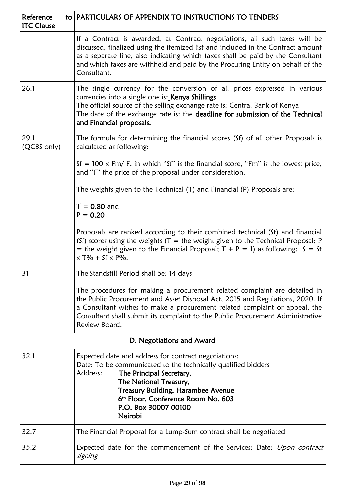| Reference<br><b>ITC Clause</b> | to   PARTICULARS OF APPENDIX TO INSTRUCTIONS TO TENDERS                                                                                                                                                                                                                                                                                            |  |  |  |
|--------------------------------|----------------------------------------------------------------------------------------------------------------------------------------------------------------------------------------------------------------------------------------------------------------------------------------------------------------------------------------------------|--|--|--|
|                                | If a Contract is awarded, at Contract negotiations, all such taxes will be<br>discussed, finalized using the itemized list and included in the Contract amount<br>as a separate line, also indicating which taxes shall be paid by the Consultant<br>and which taxes are withheld and paid by the Procuring Entity on behalf of the<br>Consultant. |  |  |  |
| 26.1                           | The single currency for the conversion of all prices expressed in various<br>currencies into a single one is: Kenya Shillings<br>The official source of the selling exchange rate is: Central Bank of Kenya<br>The date of the exchange rate is: the deadline for submission of the Technical<br>and Financial proposals.                          |  |  |  |
| 29.1<br>(QCBS only)            | The formula for determining the financial scores (Sf) of all other Proposals is<br>calculated as following:                                                                                                                                                                                                                                        |  |  |  |
|                                | $Sf = 100 \times Fm / F$ , in which "Sf" is the financial score, "Fm" is the lowest price,<br>and "F" the price of the proposal under consideration.                                                                                                                                                                                               |  |  |  |
|                                | The weights given to the Technical (T) and Financial (P) Proposals are:                                                                                                                                                                                                                                                                            |  |  |  |
|                                | $T = 0.80$ and<br>$P = 0.20$                                                                                                                                                                                                                                                                                                                       |  |  |  |
|                                | Proposals are ranked according to their combined technical (St) and financial<br>(Sf) scores using the weights $(T =$ the weight given to the Technical Proposal; P<br>= the weight given to the Financial Proposal; $T + P = 1$ ) as following: $S = St$<br>$x T\% + Sf x P\%$ .                                                                  |  |  |  |
| 31                             | The Standstill Period shall be: 14 days                                                                                                                                                                                                                                                                                                            |  |  |  |
|                                | The procedures for making a procurement related complaint are detailed in<br>the Public Procurement and Asset Disposal Act, 2015 and Regulations, 2020. If<br>a Consultant wishes to make a procurement related complaint or appeal, the<br>Consultant shall submit its complaint to the Public Procurement Administrative<br>Review Board.        |  |  |  |
|                                | D. Negotiations and Award                                                                                                                                                                                                                                                                                                                          |  |  |  |
| 32.1                           | Expected date and address for contract negotiations:<br>Date: To be communicated to the technically qualified bidders<br>The Principal Secretary,<br>Address:<br>The National Treasury,<br><b>Treasury Building, Harambee Avenue</b><br>6 <sup>th</sup> Floor, Conference Room No. 603<br>P.O. Box 30007 00100<br>Nairobi                          |  |  |  |
| 32.7                           | The Financial Proposal for a Lump-Sum contract shall be negotiated                                                                                                                                                                                                                                                                                 |  |  |  |
| 35.2                           | Expected date for the commencement of the Services: Date: Upon contract<br>signing                                                                                                                                                                                                                                                                 |  |  |  |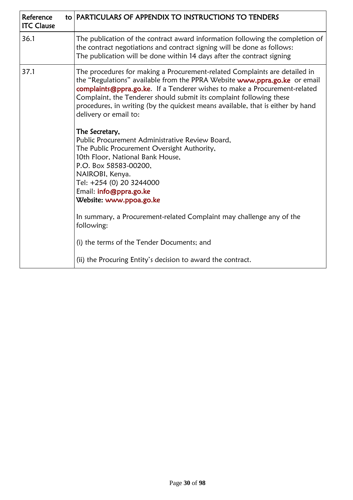| Reference<br><b>ITC Clause</b> |                                                                                                                                                                                                                                    | to PARTICULARS OF APPENDIX TO INSTRUCTIONS TO TENDERS                                                                                                                                                                                                                                                                                                                                                                   |
|--------------------------------|------------------------------------------------------------------------------------------------------------------------------------------------------------------------------------------------------------------------------------|-------------------------------------------------------------------------------------------------------------------------------------------------------------------------------------------------------------------------------------------------------------------------------------------------------------------------------------------------------------------------------------------------------------------------|
| 36.1                           | The publication of the contract award information following the completion of<br>the contract negotiations and contract signing will be done as follows:<br>The publication will be done within 14 days after the contract signing |                                                                                                                                                                                                                                                                                                                                                                                                                         |
| 37.1                           |                                                                                                                                                                                                                                    | The procedures for making a Procurement-related Complaints are detailed in<br>the "Regulations" available from the PPRA Website www.ppra.go.ke or email<br>complaints@ppra.go.ke. If a Tenderer wishes to make a Procurement-related<br>Complaint, the Tenderer should submit its complaint following these<br>procedures, in writing (by the quickest means available, that is either by hand<br>delivery or email to: |
|                                |                                                                                                                                                                                                                                    | The Secretary,<br>Public Procurement Administrative Review Board,<br>The Public Procurement Oversight Authority,<br>10th Floor, National Bank House,<br>P.O. Box 58583-00200,<br>NAIROBI, Kenya.<br>Tel: +254 (0) 20 3244000<br>Email: info@ppra.go.ke<br>Website: www.ppoa.go.ke<br>In summary, a Procurement-related Complaint may challenge any of the                                                               |
|                                |                                                                                                                                                                                                                                    | following:                                                                                                                                                                                                                                                                                                                                                                                                              |
|                                |                                                                                                                                                                                                                                    | (i) the terms of the Tender Documents; and                                                                                                                                                                                                                                                                                                                                                                              |
|                                |                                                                                                                                                                                                                                    | (ii) the Procuring Entity's decision to award the contract.                                                                                                                                                                                                                                                                                                                                                             |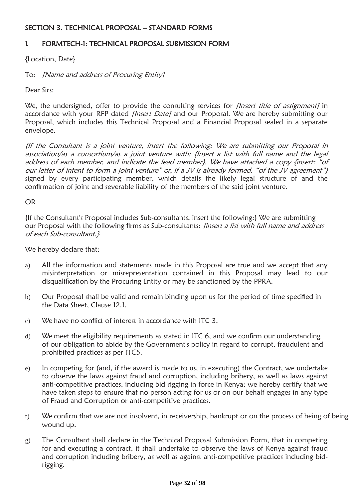## <span id="page-31-0"></span>SECTION 3. TECHNICAL PROPOSAL – STANDARD FORMS

#### <span id="page-31-1"></span>1. FORMTECH-1: TECHNICAL PROPOSAL SUBMISSION FORM

{Location, Date}

To: [Name and address of Procuring Entity]

Dear Sirs:

We, the undersigned, offer to provide the consulting services for *[Insert title of assignment]* in accordance with your RFP dated [Insert Date] and our Proposal. We are hereby submitting our Proposal, which includes this Technical Proposal and a Financial Proposal sealed in a separate envelope.

{If the Consultant is a joint venture, insert the following: We are submitting our Proposal in association/as a consortium/as a joint venture with: {Insert a list with full name and the legal address of each member, and indicate the lead member}. We have attached a copy {insert: "of our letter of intent to form a joint venture" or, if a JV is already formed, "of the JV agreement"} signed by every participating member, which details the likely legal structure of and the confirmation of joint and severable liability of the members of the said joint venture.

OR

{If the Consultant's Proposal includes Sub-consultants, insert the following:} We are submitting our Proposal with the following firms as Sub-consultants: *{insert a list with full name and address* of each Sub-consultant.}

We hereby declare that:

- a) All the information and statements made in this Proposal are true and we accept that any misinterpretation or misrepresentation contained in this Proposal may lead to our disqualification by the Procuring Entity or may be sanctioned by the PPRA.
- b) Our Proposal shall be valid and remain binding upon us for the period of time specified in the Data Sheet, Clause 12.1.
- c) We have no conflict of interest in accordance with ITC 3.
- d) We meet the eligibility requirements as stated in ITC 6, and we confirm our understanding of our obligation to abide by the Government's policy in regard to corrupt, fraudulent and prohibited practices as per ITC5.
- e) In competing for (and, if the award is made to us, in executing) the Contract, we undertake to observe the laws against fraud and corruption, including bribery, as well as laws against anti-competitive practices, including bid rigging in force in Kenya; we hereby certify that we have taken steps to ensure that no person acting for us or on our behalf engages in any type of Fraud and Corruption or anti-competitive practices.
- f) We confirm that we are not insolvent, in receivership, bankrupt or on the process of being of being wound up.
- g) The Consultant shall declare in the Technical Proposal Submission Form, that in competing for and executing a contract, it shall undertake to observe the laws of Kenya against fraud and corruption including bribery, as well as against anti-competitive practices including bidrigging.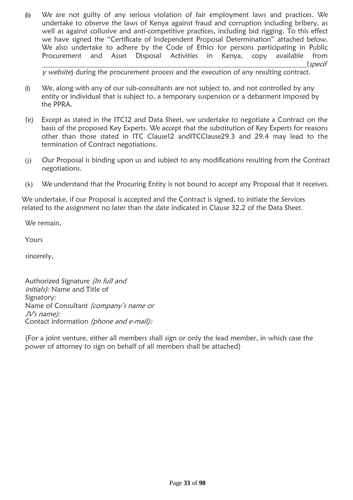(h) We are not guilty of any serious violation of fair employment laws and practices. We undertake to observe the laws of Kenya against fraud and corruption including bribery, as well as against collusive and anti-competitive practices, including bid rigging. To this effect we have signed the "Certificate of Independent Proposal Determination" attached below. We also undertake to adhere by the Code of Ethics for persons participating in Public Procurement and Asset Disposal Activities in Kenya, copy available from (specif

 $y$  website) during the procurement process and the execution of any resulting contract.

- $(I)$  We, along with any of our sub-consultants are not subject to, and not controlled by any entity or individual that is subject to, a temporary suspension or a debarment imposed by the PPRA.
- (e) Except as stated in the ITC12 and Data Sheet, we undertake to negotiate a Contract on the basis of the proposed Key Experts. We accept that the substitution of Key Experts for reasons other than those stated in ITC Clause12 andITCClause29.3 and 29.4 may lead to the termination of Contract negotiations.
- (j) Our Proposal is binding upon us and subject to any modifications resulting from the Contract negotiations.
- (k) We understand that the Procuring Entity is not bound to accept any Proposal that it receives.

We undertake, if our Proposal is accepted and the Contract is signed, to initiate the Services related to the assignment no later than the date indicated in Clause 32.2 of the Data Sheet.

We remain,

Yours

sincerely,

Authorized Signature {In full and initials): Name and Title of Signatory: Name of Consultant (company's name or JV's name): Contact information (phone and e-mail):

{For a joint venture, either all members shall sign or only the lead member, in which case the power of attorney to sign on behalf of all members shall be attached}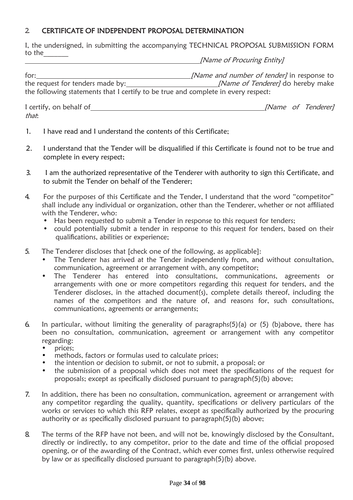## <span id="page-33-0"></span>2. CERTIFICATE OF INDEPENDENT PROPOSAL DETERMINATION

I, the undersigned, in submitting the accompanying TECHNICAL PROPOSAL SUBMISSION FORM to the  $\qquad \qquad \qquad$ 

[Name of Procuring Entity]

for: [Name and number of tender] in response to the request for tenders made by: [Name of Tenderer] do hereby make the following statements that I certify to be true and complete in every respect:

I certify, on behalf of [Name of Tenderer] that:

- 1. I have read and I understand the contents of this Certificate;
- 2. I understand that the Tender will be disqualified if this Certificate is found not to be true and complete in every respect;
- 3. I am the authorized representative of the Tenderer with authority to sign this Certificate, and to submit the Tender on behalf of the Tenderer;
- 4. For the purposes of this Certificate and the Tender, I understand that the word "competitor" shall include any individual or organization, other than the Tenderer, whether or not affiliated with the Tenderer, who:
	- Has been requested to submit a Tender in response to this request for tenders;
	- could potentially submit a tender in response to this request for tenders, based on their qualifications, abilities or experience;
- 5. The Tenderer discloses that [check one of the following, as applicable]:
	- The Tenderer has arrived at the Tender independently from, and without consultation, communication, agreement or arrangement with, any competitor;
	- The Tenderer has entered into consultations, communications, agreements or arrangements with one or more competitors regarding this request for tenders, and the Tenderer discloses, in the attached document(s), complete details thereof, including the names of the competitors and the nature of, and reasons for, such consultations, communications, agreements or arrangements;
- 6. In particular, without limiting the generality of paragraphs(5)(a) or (5) (b)above, there has been no consultation, communication, agreement or arrangement with any competitor regarding:
	- prices;
	- methods, factors or formulas used to calculate prices;
	- the intention or decision to submit, or not to submit, a proposal; or
	- the submission of a proposal which does not meet the specifications of the request for proposals; except as specifically disclosed pursuant to paragraph(5)(b) above;
- 7. In addition, there has been no consultation, communication, agreement or arrangement with any competitor regarding the quality, quantity, specifications or delivery particulars of the works or services to which this RFP relates, except as specifically authorized by the procuring authority or as specifically disclosed pursuant to paragraph(5)(b) above;
- 8. The terms of the RFP have not been, and will not be, knowingly disclosed by the Consultant, directly or indirectly, to any competitor, prior to the date and time of the official proposed opening, or of the awarding of the Contract, which ever comes first, unless otherwise required by law or as specifically disclosed pursuant to paragraph(5)(b) above.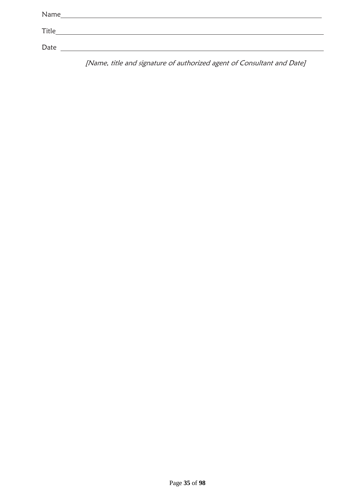| Name  |  |  |
|-------|--|--|
| Title |  |  |
|       |  |  |
| Date  |  |  |

[Name, title and signature of authorized agent of Consultant and Date]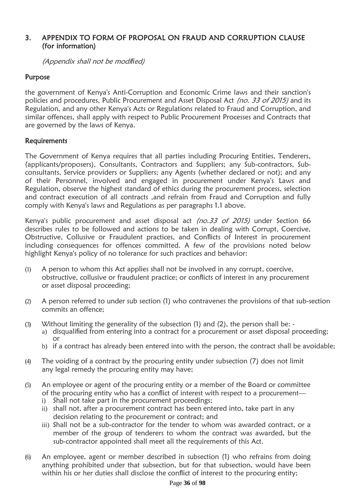### 3. APPENDIX TO FORM OF PROPOSAL ON FRAUD AND CORRUPTION CLAUSE (for information)

(Appendix shall not be modi*fi*ed)

## Purpose

the government of Kenya's Anti-Corruption and Economic Crime laws and their sanction's policies and procedures, Public Procurement and Asset Disposal Act (no. 33 of 2015) and its Regulation, and any other Kenya's Acts or Regulations related to Fraud and Corruption, and similar offences, shall apply with respect to Public Procurement Processes and Contracts that are governed by the laws of Kenya.

### Requirements

The Government of Kenya requires that all parties including Procuring Entities, Tenderers, (applicants/proposers), Consultants, Contractors and Suppliers; any Sub-contractors, Subconsultants, Service providers or Suppliers; any Agents (whether declared or not); and any of their Personnel, involved and engaged in procurement under Kenya's Laws and Regulation, observe the highest standard of ethics during the procurement process, selection and contract execution of all contracts ,and refrain from Fraud and Corruption and fully comply with Kenya's laws and Regulations as per paragraphs 1.1 above.

Kenya's public procurement and asset disposal act (no.33 of 2015) under Section 66 describes rules to be followed and actions to be taken in dealing with Corrupt, Coercive, Obstructive, Collusive or Fraudulent practices, and Conflicts of Interest in procurement including consequences for offences committed. A few of the provisions noted below highlight Kenya's policy of no tolerance for such practices and behavior:

- (1) A person to whom this Act applies shall not be involved in any corrupt, coercive, obstructive, collusive or fraudulent practice; or conflicts of interest in any procurement or asset disposal proceeding;
- (2) A person referred to under sub section (1) who contravenes the provisions of that sub-section commits an offence;
- (3) Without limiting the generality of the subsection (1) and (2), the person shall be:
	- a) disqualified from entering into a contract for a procurement or asset disposal proceeding; or
	- b) if a contract has already been entered into with the person, the contract shall be avoidable;
- (4) The voiding of a contract by the procuring entity under subsection (7) does not limit any legal remedy the procuring entity may have;
- (5) An employee or agent of the procuring entity or a member of the Board or committee of the procuring entity who has a conflict of interest with respect to a procurement
	- i) Shall not take part in the procurement proceedings;
	- ii) shall not, after a procurement contract has been entered into, take part in any decision relating to the procurement or contract; and
	- iii) Shall not be a sub-contractor for the tender to whom was awarded contract, or a member of the group of tenderers to whom the contract was awarded, but the sub-contractor appointed shall meet all the requirements of this Act.
- (6) An employee, agent or member described in subsection (1) who refrains from doing anything prohibited under that subsection, but for that subsection, would have been within his or her duties shall disclose the conflict of interest to the procuring entity;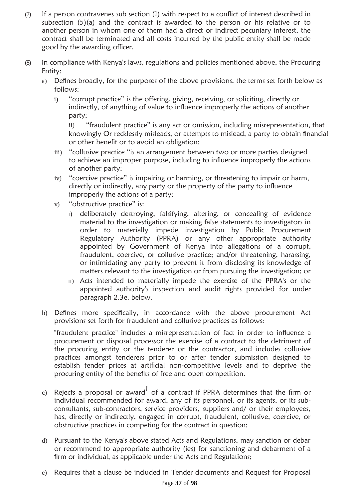- $(7)$  If a person contravenes sub section (1) with respect to a conflict of interest described in subsection (5)(a) and the contract is awarded to the person or his relative or to another person in whom one of them had a direct or indirect pecuniary interest, the contract shall be terminated and all costs incurred by the public entity shall be made good by the awarding officer.
- (8) In compliance with Kenya's laws, regulations and policies mentioned above, the Procuring Entity:
	- a) Defines broadly, for the purposes of the above provisions, the terms set forth below as follows:
		- i) "corrupt practice" is the offering, giving, receiving, or soliciting, directly or indirectly, of anything of value to influence improperly the actions of another party;

ii) "fraudulent practice" is any act or omission, including misrepresentation, that knowingly Or recklessly misleads, or attempts to mislead, a party to obtain financial or other benefit or to avoid an obligation;

- iii) "collusive practice "is an arrangement between two or more parties designed to achieve an improper purpose, including to influence improperly the actions of another party;
- iv) "coercive practice" is impairing or harming, or threatening to impair or harm, directly or indirectly, any party or the property of the party to influence improperly the actions of a party;
- v) "obstructive practice" is:
	- i) deliberately destroying, falsifying, altering, or concealing of evidence material to the investigation or making false statements to investigators in order to materially impede investigation by Public Procurement Regulatory Authority (PPRA) or any other appropriate authority appointed by Government of Kenya into allegations of a corrupt, fraudulent, coercive, or collusive practice; and/or threatening, harassing, or intimidating any party to prevent it from disclosing its knowledge of matters relevant to the investigation or from pursuing the investigation; or
	- ii) Acts intended to materially impede the exercise of the PPRA's or the appointed authority's inspection and audit rights provided for under paragraph 2.3e. below.
- b) Defines more specifically, in accordance with the above procurement Act provisions set forth for fraudulent and collusive practices as follows:

"fraudulent practice" includes a misrepresentation of fact in order to influence a procurement or disposal processor the exercise of a contract to the detriment of the procuring entity or the tenderer or the contractor, and includes collusive practices amongst tenderers prior to or after tender submission designed to establish tender prices at artificial non-competitive levels and to deprive the procuring entity of the benefits of free and open competition.

- c) Rejects a proposal or award<sup>1</sup> of a contract if PPRA determines that the firm or individual recommended for award, any of its personnel, or its agents, or its subconsultants, sub-contractors, service providers, suppliers and/ or their employees, has, directly or indirectly, engaged in corrupt, fraudulent, collusive, coercive, or obstructive practices in competing for the contract in question;
- d) Pursuant to the Kenya's above stated Acts and Regulations, may sanction or debar or recommend to appropriate authority (ies) for sanctioning and debarment of a firm or individual, as applicable under the Acts and Regulations;
- e) Requires that a clause be included in Tender documents and Request for Proposal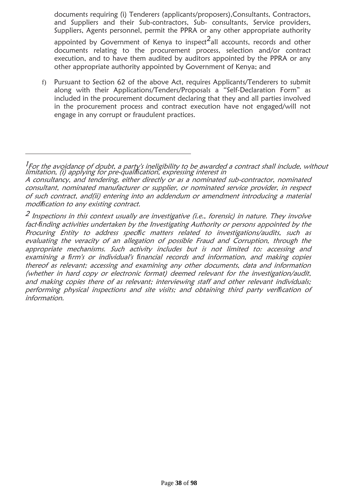documents requiring (i) Tenderers (applicants/proposers),Consultants, Contractors, and Suppliers and their Sub-contractors, Sub- consultants, Service providers, Suppliers, Agents personnel, permit the PPRA or any other appropriate authority

appointed by Government of Kenya to inspect $^2$ all accounts, records and other documents relating to the procurement process, selection and/or contract execution, and to have them audited by auditors appointed by the PPRA or any other appropriate authority appointed by Government of Kenya; and

f) Pursuant to Section 62 of the above Act, requires Applicants/Tenderers to submit along with their Applications/Tenders/Proposals a "Self-Declaration Form" as included in the procurement document declaring that they and all parties involved in the procurement process and contract execution have not engaged/will not engage in any corrupt or fraudulent practices.

 $^2$  Inspections in this context usually are investigative (i.e., forensic) in nature. They involve fact-*fi*nding activities undertaken by the Investigating Authority or persons appointed by the Procuring Entity to address speci*fi*c matters related to investigations/audits, such as evaluating the veracity of an allegation of possible Fraud and Corruption, through the appropriate mechanisms. Such activity includes but is not limited to: accessing and examining a *fi*rm's or individual's *fi*nancial records and information, and making copies thereof as relevant; accessing and examining any other documents, data and information (whether in hard copy or electronic format) deemed relevant for the investigation/audit, and making copies there of as relevant; interviewing staff and other relevant individuals; performing physical inspections and site visits; and obtaining third party veri*fi*cation of information.

 $^{\prime}$ For the avoidance of doubt, a party's ineligibility to be awarded a contract shall include, without limitation, (i) applying for pre-quali*fi*cation, expressing interest in

A consultancy, and tendering, either directly or as a nominated sub-contractor, nominated consultant, nominated manufacturer or supplier, or nominated service provider, in respect of such contract, and(ii) entering into an addendum or amendment introducing a material modi*fi*cation to any existing contract.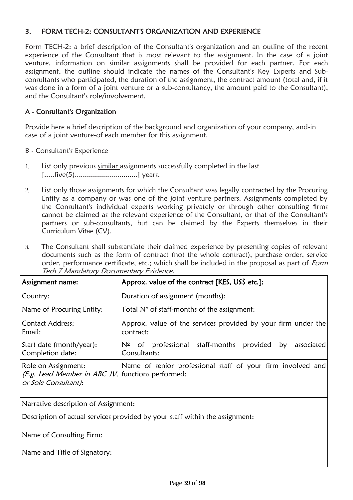## 3. FORM TECH-2: CONSULTANT'S ORGANIZATION AND EXPERIENCE

Form TECH-2: a brief description of the Consultant's organization and an outline of the recent experience of the Consultant that is most relevant to the assignment. In the case of a joint venture, information on similar assignments shall be provided for each partner. For each assignment, the outline should indicate the names of the Consultant's Key Experts and Subconsultants who participated, the duration of the assignment, the contract amount (total and, if it was done in a form of a joint venture or a sub-consultancy, the amount paid to the Consultant), and the Consultant's role/involvement.

# A - Consultant's Organization

Provide here a brief description of the background and organization of your company, and-in case of a joint venture-of each member for this assignment.

- B Consultant's Experience
- 1. List only previous similar assignments successfully completed in the last [.....five(5)...............................] years.
- 2. List only those assignments for which the Consultant was legally contracted by the Procuring Entity as a company or was one of the joint venture partners. Assignments completed by the Consultant's individual experts working privately or through other consulting firms cannot be claimed as the relevant experience of the Consultant, or that of the Consultant's partners or sub-consultants, but can be claimed by the Experts themselves in their Curriculum Vitae (CV).
- *3.* The Consultant shall substantiate their claimed experience by presenting copies of relevant documents such as the form of contract (not the whole contract), purchase order, service order, performance certificate, etc.; which shall be included in the proposal as part of Form Tech 7 Mandatory Documentary Evidence.

| Assignment name:                                                                                          | Approx. value of the contract [KES, US\$ etc.]:                                   |  |  |  |  |  |
|-----------------------------------------------------------------------------------------------------------|-----------------------------------------------------------------------------------|--|--|--|--|--|
| Country:                                                                                                  | Duration of assignment (months):                                                  |  |  |  |  |  |
| Name of Procuring Entity:                                                                                 | Total $N°$ of staff-months of the assignment:                                     |  |  |  |  |  |
| <b>Contact Address:</b><br>Email:                                                                         | Approx. value of the services provided by your firm under the<br>contract:        |  |  |  |  |  |
| Start date (month/year):<br>Completion date:                                                              | $N°$ of professional staff-months<br>associated<br>provided<br>by<br>Consultants: |  |  |  |  |  |
| Role on Assignment:<br>( <i>E.g. Lead Member in ABC JV</i> , functions performed:<br>or Sole Consultant): | Name of senior professional staff of your firm involved and                       |  |  |  |  |  |

Narrative description of Assignment:

Description of actual services provided by your staff within the assignment:

Name of Consulting Firm:

Name and Title of Signatory: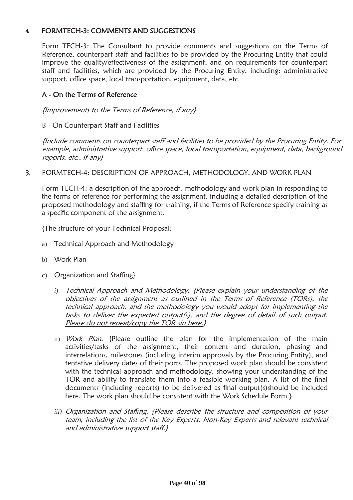## **4.** FORMTECH-3: COMMENTS AND SUGGESTIONS

Form TECH-3: The Consultant to provide comments and suggestions on the Terms of Reference, counterpart staff and facilities to be provided by the Procuring Entity that could improve the quality/effectiveness of the assignment; and on requirements for counterpart staff and facilities, which are provided by the Procuring Entity, including: administrative support, office space, local transportation, equipment, data, etc.

## A - On the Terms of Reference

{Improvements to the Terms of Reference, if any}

B - On Counterpart Staff and Facilities

{Include comments on counterpart staff and facilities to be provided by the Procuring Entity. For example, administrative support, of*fi*ce space, local transportation, equipment, data, background reports, etc., if any}

3. FORMTECH-4: DESCRIPTION OF APPROACH, METHODOLOGY, AND WORK PLAN

Form TECH-4: a description of the approach, methodology and work plan in responding to the terms of reference for performing the assignment, including a detailed description of the proposed methodology and staffing for training, if the Terms of Reference specify training as a specific component of the assignment.

{The structure of your Technical Proposal:

- a) Technical Approach and Methodology
- b) Work Plan
- c) Organization and Staffing}
	- *i)* Technical Approach and Methodology. {Please explain your understanding of the objectives of the assignment as outlined in the Terms of Reference (TORs), the technical approach, and the methodology you would adopt for implementing the tasks to deliver the expected output(s), and the degree of detail of such output. Please do not repeat/copy the TOR sin here.}
	- ii) *Work Plan*. {Please outline the plan for the implementation of the main activities/tasks of the assignment, their content and duration, phasing and interrelations, milestones (including interim approvals by the Procuring Entity), and tentative delivery dates of their ports. The proposed work plan should be consistent with the technical approach and methodology, showing your understanding of the TOR and ability to translate them into a feasible working plan. A list of the final documents (including reports) to be delivered as final output(s)should be included here. The work plan should be consistent with the Work Schedule Form.}
	- *iii)* Organization and Staf*fi*ng. {Please describe the structure and composition of your team, including the list of the Key Experts, Non-Key Experts and relevant technical and administrative support staff.}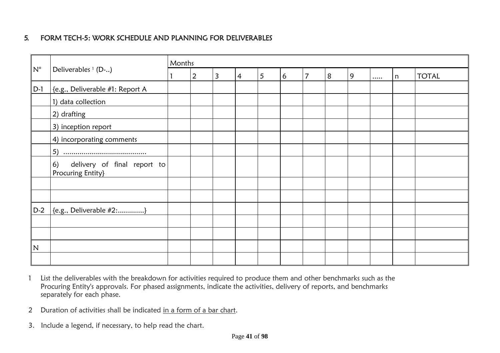# 5. FORM TECH-5: WORK SCHEDULE AND PLANNING FOR DELIVERABLES

|              | Deliverables <sup>1</sup> (D-)                         | Months         |                |                |   |   |                |   |   |  |   |              |
|--------------|--------------------------------------------------------|----------------|----------------|----------------|---|---|----------------|---|---|--|---|--------------|
| $N^{\circ}$  |                                                        | $\overline{2}$ | $\overline{3}$ | $\overline{4}$ | 5 | 6 | $\overline{7}$ | 8 | 9 |  | n | <b>TOTAL</b> |
| $D-1$        | {e.g., Deliverable #1: Report A                        |                |                |                |   |   |                |   |   |  |   |              |
|              | 1) data collection                                     |                |                |                |   |   |                |   |   |  |   |              |
|              | 2) drafting                                            |                |                |                |   |   |                |   |   |  |   |              |
|              | 3) inception report                                    |                |                |                |   |   |                |   |   |  |   |              |
|              | 4) incorporating comments                              |                |                |                |   |   |                |   |   |  |   |              |
|              |                                                        |                |                |                |   |   |                |   |   |  |   |              |
|              | delivery of final report to<br>6)<br>Procuring Entity} |                |                |                |   |   |                |   |   |  |   |              |
|              |                                                        |                |                |                |   |   |                |   |   |  |   |              |
|              |                                                        |                |                |                |   |   |                |   |   |  |   |              |
| $D-2$        | $\{e.g., Deliverable #2:\}$                            |                |                |                |   |   |                |   |   |  |   |              |
|              |                                                        |                |                |                |   |   |                |   |   |  |   |              |
|              |                                                        |                |                |                |   |   |                |   |   |  |   |              |
| $\mathsf{N}$ |                                                        |                |                |                |   |   |                |   |   |  |   |              |
|              |                                                        |                |                |                |   |   |                |   |   |  |   |              |

- 1 List the deliverables with the breakdown for activities required to produce them and other benchmarks such as the Procuring Entity's approvals. For phased assignments, indicate the activities, delivery of reports, and benchmarks separately for each phase.
- 2 Duration of activities shall be indicated in a form of a bar chart.
- 3. Include a legend, if necessary, to help read the chart.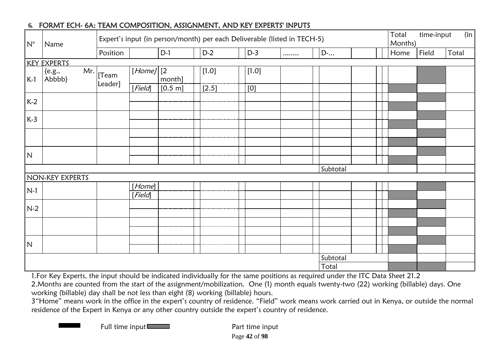| $N^{\circ}$             | Name                       | Expert's input (in person/month) per each Deliverable (listed in TECH-5) |                   |              |         |         |   |  |          |  | Total<br>Months) | time-input<br>(in) |       |       |
|-------------------------|----------------------------|--------------------------------------------------------------------------|-------------------|--------------|---------|---------|---|--|----------|--|------------------|--------------------|-------|-------|
|                         |                            | Position                                                                 |                   | $D-1$        | $D-2$   | $D-3$   | . |  | $D$ -    |  |                  | Home               | Field | Total |
|                         | <b>KEY EXPERTS</b>         |                                                                          |                   |              |         |         |   |  |          |  |                  |                    |       |       |
| $K-1$                   | Mr.<br>${e.g.,}$<br>Abbbb} | [Team<br>Leader]                                                         | $[Home]$ [2]      | month]       | $[1.0]$ | $[1.0]$ |   |  |          |  |                  |                    |       |       |
|                         |                            |                                                                          | [Field]           | $[0.5 \; m]$ | $[2.5]$ | [0]     |   |  |          |  |                  |                    |       |       |
| $K-2$                   |                            |                                                                          |                   |              |         |         |   |  |          |  |                  |                    |       |       |
|                         |                            |                                                                          |                   |              |         |         |   |  |          |  |                  |                    |       |       |
| $K-3$                   |                            |                                                                          |                   |              |         |         |   |  |          |  |                  |                    |       |       |
|                         |                            |                                                                          |                   |              |         |         |   |  |          |  |                  |                    |       |       |
|                         |                            |                                                                          |                   |              |         |         |   |  |          |  |                  |                    |       |       |
| $\overline{\mathsf{N}}$ |                            |                                                                          |                   |              |         |         |   |  |          |  |                  |                    |       |       |
|                         |                            |                                                                          |                   |              |         |         |   |  |          |  |                  |                    |       |       |
|                         |                            |                                                                          |                   |              |         |         |   |  | Subtotal |  |                  |                    |       |       |
|                         | NON-KEY EXPERTS            |                                                                          |                   |              |         |         |   |  |          |  |                  |                    |       |       |
| $N-1$                   |                            |                                                                          | [Home]<br>[Field] |              |         |         |   |  |          |  |                  |                    |       |       |
| $N-2$                   |                            |                                                                          |                   |              |         |         |   |  |          |  |                  |                    |       |       |
|                         |                            |                                                                          |                   |              |         |         |   |  |          |  |                  |                    |       |       |
|                         |                            |                                                                          |                   |              |         |         |   |  |          |  |                  |                    |       |       |
|                         |                            |                                                                          |                   |              |         |         |   |  |          |  |                  |                    |       |       |
| N                       |                            |                                                                          |                   |              |         |         |   |  |          |  |                  |                    |       |       |
|                         |                            |                                                                          |                   |              |         |         |   |  | Subtotal |  |                  |                    |       |       |
|                         |                            |                                                                          |                   |              |         |         |   |  | Total    |  |                  |                    |       |       |

# **6.** FORMT ECH- 6A: TEAM COMPOSITION, ASSIGNMENT, AND KEY EXPERTS' INPUTS

1.For Key Experts, the input should be indicated individually for the same positions as required under the ITC Data Sheet 21.2 2.Months are counted from the start of the assignment/mobilization. One (1) month equals twenty-two (22) working (billable) days. One

working (billable) day shall be not less than eight (8) working (billable) hours.

3"Home" means work in the office in the expert's country of residence. "Field" work means work carried out in Kenya, or outside the normal residence of the Expert in Kenya or any other country outside the expert's country of residence.

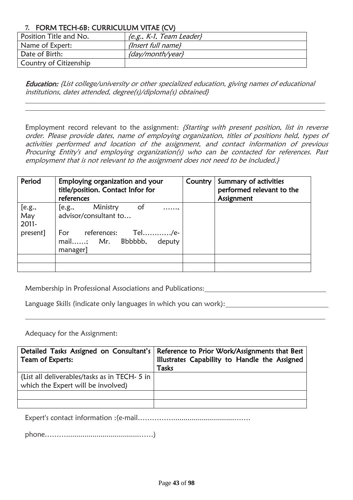# **7.** FORM TECH-6B: CURRICULUM VITAE (CV)

| Position Title and No. | ${e.g., K-1, Team Leader}$ |
|------------------------|----------------------------|
| Name of Expert:        | {Insert full name}         |
| Date of Birth:         | {day/month/year}           |
| Country of Citizenship |                            |

Education: {List college/university or other specialized education, giving names of educational institutions, dates attended, degree(s)/diploma(s) obtained}

Employment record relevant to the assignment: {Starting with present position, list in reverse order. Please provide dates, name of employing organization, titles of positions held, types of activities performed and location of the assignment, and contact information of previous Procuring Entity's and employing organization(s) who can be contacted for references. Past employment that is not relevant to the assignment does not need to be included.}

| Period                 | Employing organization and your<br>title/position. Contact Infor for<br>references | Country | Summary of activities<br>performed relevant to the<br>Assignment |
|------------------------|------------------------------------------------------------------------------------|---------|------------------------------------------------------------------|
| [e.g.,<br>May<br>2011- | Ministry<br>of<br>[e.g.,<br>.<br>advisor/consultant to                             |         |                                                                  |
| present]               | references: Tel/e-<br>For<br>mail; Mr. Bbbbbb,<br>deputy<br>manager]               |         |                                                                  |
|                        |                                                                                    |         |                                                                  |
|                        |                                                                                    |         |                                                                  |

Membership in Professional Associations and Publications:

Language Skills (indicate only languages in which you can work):

Adequacy for the Assignment:

| Team of Experts:                                                                    | Detailed Tasks Assigned on Consultant's   Reference to Prior Work/Assignments that Best<br>Illustrates Capability to Handle the Assigned |
|-------------------------------------------------------------------------------------|------------------------------------------------------------------------------------------------------------------------------------------|
|                                                                                     | Tasks                                                                                                                                    |
| {List all deliverables/tasks as in TECH- 5 in<br>which the Expert will be involved) |                                                                                                                                          |
|                                                                                     |                                                                                                                                          |
|                                                                                     |                                                                                                                                          |

Expert's contact information :(e-mail……………..............................…….

phone………....................................……)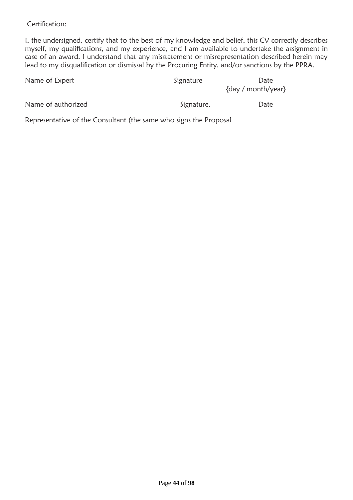Certification:

I, the undersigned, certify that to the best of my knowledge and belief, this CV correctly describes myself, my qualifications, and my experience, and I am available to undertake the assignment in case of an award. I understand that any misstatement or misrepresentation described herein may lead to my disqualification or dismissal by the Procuring Entity, and/or sanctions by the PPRA.

| Name of Expert     | Signature  | Date               |  |
|--------------------|------------|--------------------|--|
|                    |            | {day / month/year} |  |
| Name of authorized | Signature. | Date               |  |
|                    |            |                    |  |

Representative of the Consultant (the same who signs the Proposal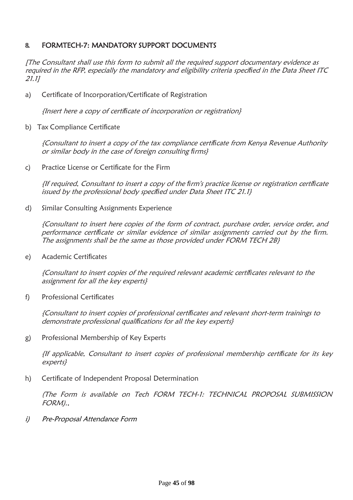## **8.** FORMTECH-7: MANDATORY SUPPORT DOCUMENTS

[The Consultant shall use this form to submit all the required support documentary evidence as required in the RFP, especially the mandatory and eligibility criteria speci*fi*ed in the Data Sheet ITC 21.1]

a) Certificate of Incorporation/Certificate of Registration

{Insert here a copy of certi*fi*cate of incorporation or registration}

b) Tax Compliance Certificate

{Consultant to insert a copy of the tax compliance certi*fi*cate from Kenya Revenue Authority or similar body in the case of foreign consulting *fi*rms}

c) Practice License or Certificate for the Firm

{If required, Consultant to insert a copy of the *fi*rm's practice license or registration certi*fi*cate issued by the professional body speci*fi*ed under Data Sheet ITC 21.1}

d) Similar Consulting Assignments Experience

{Consultant to insert here copies of the form of contract, purchase order, service order, and performance certi*fi*cate or similar evidence of similar assignments carried out by the *fi*rm. The assignments shall be the same as those provided under FORM TECH 2B}

e) Academic Certificates

{Consultant to insert copies of the required relevant academic certi*fi*cates relevant to the assignment for all the key experts}

f) Professional Certificates

{Consultant to insert copies of professional certi*fi*cates and relevant short-term trainings to demonstrate professional quali*fi*cations for all the key experts}

g) Professional Membership of Key Experts

{If applicable, Consultant to insert copies of professional membership certi*fi*cate for its key experts}

h) Certificate of Independent Proposal Determination

(The Form is available on Tech FORM TECH-1: TECHNICAL PROPOSAL SUBMISSION FORM).,

i) Pre-Proposal Attendance Form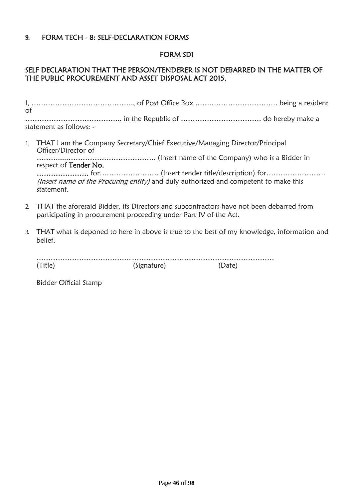## **9.** FORM TECH - 8: SELF-DECLARATION FORMS

### FORM SD1

# SELF DECLARATION THAT THE PERSON/TENDERER IS NOT DEBARRED IN THE MATTER OF THE PUBLIC PROCUREMENT AND ASSET DISPOSAL ACT 2015.

| of |                                                                                                       |  |
|----|-------------------------------------------------------------------------------------------------------|--|
|    | statement as follows: -                                                                               |  |
|    | 1. THAT I am the Company Secretary/Chief Executive/Managing Director/Principal<br>Officer/Director of |  |

………....……………………………….. (Insert name of the Company) who is a Bidder in respect of Tender No.

…………………. for……………………. (Insert tender title/description) for……………………. (Insert name of the Procuring entity) and duly authorized and competent to make this statement.

- 2. THAT the aforesaid Bidder, its Directors and subcontractors have not been debarred from participating in procurement proceeding under Part IV of the Act.
- 3. THAT what is deponed to here in above is true to the best of my knowledge, information and belief.

| (Signature) |  |
|-------------|--|

Bidder Official Stamp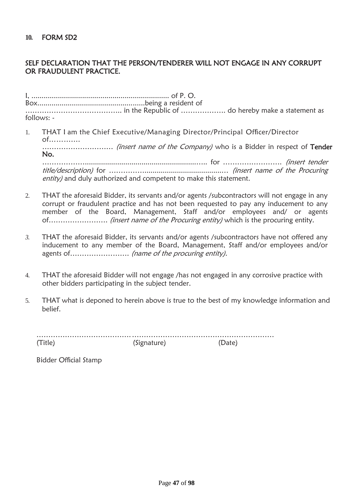### SELF DECLARATION THAT THE PERSON/TENDERER WILL NOT ENGAGE IN ANY CORRUPT OR FRAUDULENT PRACTICE.

I, .................................................................... of P. O. Box.....................................................being a resident of ………………………………….. in the Republic of ………………. do hereby make a statement as follows: -

1. THAT I am the Chief Executive/Managing Director/Principal Officer/Director of………....

………………………… (insert name of the Company) who is a Bidder in respect of Tender No.

……………….......................................................….. for ……………………. (insert tender title/description) for ……………......................................… (insert name of the Procuring entity) and duly authorized and competent to make this statement.

- 2. THAT the aforesaid Bidder, its servants and/or agents /subcontractors will not engage in any corrupt or fraudulent practice and has not been requested to pay any inducement to any member of the Board, Management, Staff and/or employees and/ or agents of……………………. (insert name of the Procuring entity) which is the procuring entity.
- *3.* THAT the aforesaid Bidder, its servants and/or agents /subcontractors have not offered any inducement to any member of the Board, Management, Staff and/or employees and/or agents of……………………. (name of the procuring entity).
- 4. THAT the aforesaid Bidder will not engage /has not engaged in any corrosive practice with other bidders participating in the subject tender.
- 5. THAT what is deponed to herein above is true to the best of my knowledge information and belief.

………………………………….…………………………………………………… (Title) (Signature) (Date)

Bidder Official Stamp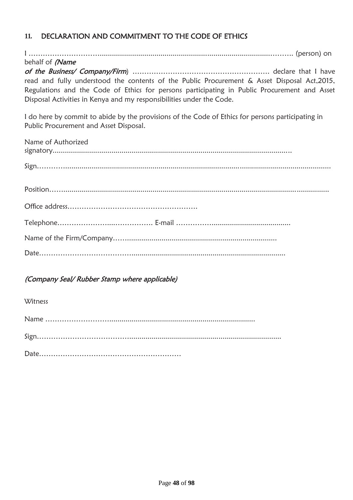# **11.** DECLARATION AND COMMITMENT TO THE CODE OF ETHICS

I …………………………....................................................................................………. (person) on behalf of *(Name* of the Business/ Company/Firm) ……………………………………………………… declare that I have read and fully understood the contents of the Public Procurement & Asset Disposal Act,2015, Regulations and the Code of Ethics for persons participating in Public Procurement and Asset Disposal Activities in Kenya and my responsibilities under the Code.

I do here by commit to abide by the provisions of the Code of Ethics for persons participating in Public Procurement and Asset Disposal.

| Name of Authorized |
|--------------------|
|                    |
|                    |
|                    |
|                    |
|                    |
|                    |

## (Company Seal/ Rubber Stamp where applicable)

**Witness**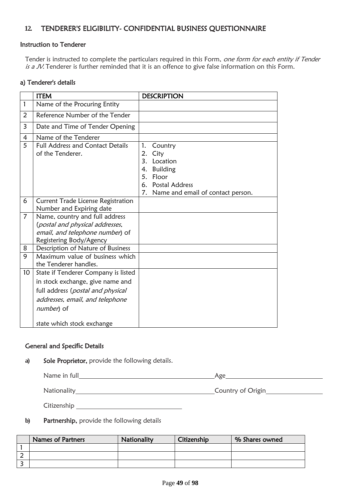# **12.** TENDERER'S ELIGIBILITY- CONFIDENTIAL BUSINESS QUESTIONNAIRE

#### Instruction to Tenderer

Tender is instructed to complete the particulars required in this Form, one form for each entity if Tender is a JV. Tenderer is further reminded that it is an offence to give false information on this Form.

#### a) Tenderer's details

|                | <b>ITEM</b>                                                                                                                     | <b>DESCRIPTION</b>                                                                                                                              |
|----------------|---------------------------------------------------------------------------------------------------------------------------------|-------------------------------------------------------------------------------------------------------------------------------------------------|
|                |                                                                                                                                 |                                                                                                                                                 |
| $\mathbf{1}$   | Name of the Procuring Entity                                                                                                    |                                                                                                                                                 |
| 2              | Reference Number of the Tender                                                                                                  |                                                                                                                                                 |
| 3              | Date and Time of Tender Opening                                                                                                 |                                                                                                                                                 |
| $\overline{4}$ | Name of the Tenderer                                                                                                            |                                                                                                                                                 |
| 5              | <b>Full Address and Contact Details</b><br>of the Tenderer.                                                                     | 1.<br>Country<br>2.<br>City<br>3. Location<br>4. Building<br>5.<br>Floor<br><b>Postal Address</b><br>6.<br>7. Name and email of contact person. |
| 6              | Current Trade License Registration                                                                                              |                                                                                                                                                 |
|                | Number and Expiring date                                                                                                        |                                                                                                                                                 |
| 7              | Name, country and full address<br>(postal and physical addresses,<br>email, and telephone number) of<br>Registering Body/Agency |                                                                                                                                                 |
| 8              | Description of Nature of Business                                                                                               |                                                                                                                                                 |
| 9              | Maximum value of business which<br>the Tenderer handles.                                                                        |                                                                                                                                                 |
| 10             | State if Tenderer Company is listed                                                                                             |                                                                                                                                                 |
|                | in stock exchange, give name and                                                                                                |                                                                                                                                                 |
|                | full address (postal and physical                                                                                               |                                                                                                                                                 |
|                | addresses, email, and telephone                                                                                                 |                                                                                                                                                 |
|                | number) of                                                                                                                      |                                                                                                                                                 |
|                | state which stock exchange                                                                                                      |                                                                                                                                                 |

#### General and Speci**fi**c Details

**a)** Sole Proprietor, provide the following details.

| Name in full | Age               |
|--------------|-------------------|
| Nationality  | Country of Origin |
| Citizenship  |                   |

**b)** Partnership, provide the following details

| <b>Names of Partners</b> | Nationality | Citizenship | % Shares owned |
|--------------------------|-------------|-------------|----------------|
|                          |             |             |                |
|                          |             |             |                |
|                          |             |             |                |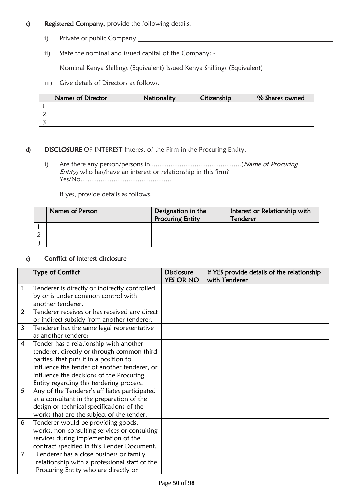- **c)** Registered Company, provide the following details.
	- i) Private or public Company
	- ii) State the nominal and issued capital of the Company: -

Nominal Kenya Shillings (Equivalent) Issued Kenya Shillings (Equivalent)

iii) Give details of Directors as follows.

| <b>Names of Director</b> | Nationality | Citizenship | % Shares owned |
|--------------------------|-------------|-------------|----------------|
|                          |             |             |                |
|                          |             |             |                |
|                          |             |             |                |

#### **d)** DISCLOSURE OF INTEREST-Interest of the Firm in the Procuring Entity.

i) Are there any person/persons in.................................................(Name of Procuring Entity) who has/have an interest or relationship in this firm? Yes/No.................................................

If yes, provide details as follows.

| Names of Person | Designation in the<br><b>Procuring Entity</b> | Interest or Relationship with<br>Tenderer |
|-----------------|-----------------------------------------------|-------------------------------------------|
|                 |                                               |                                           |
|                 |                                               |                                           |
|                 |                                               |                                           |

#### **e)** Con**fl**ict of interest disclosure

|                | <b>Type of Conflict</b>                       | <b>Disclosure</b> | If YES provide details of the relationship |
|----------------|-----------------------------------------------|-------------------|--------------------------------------------|
|                |                                               | <b>YES OR NO</b>  | with Tenderer                              |
| 1              | Tenderer is directly or indirectly controlled |                   |                                            |
|                | by or is under common control with            |                   |                                            |
|                | another tenderer.                             |                   |                                            |
| 2              | Tenderer receives or has received any direct  |                   |                                            |
|                | or indirect subsidy from another tenderer.    |                   |                                            |
| 3              | Tenderer has the same legal representative    |                   |                                            |
|                | as another tenderer                           |                   |                                            |
| 4              | Tender has a relationship with another        |                   |                                            |
|                | tenderer, directly or through common third    |                   |                                            |
|                | parties, that puts it in a position to        |                   |                                            |
|                | influence the tender of another tenderer, or  |                   |                                            |
|                | influence the decisions of the Procuring      |                   |                                            |
|                | Entity regarding this tendering process.      |                   |                                            |
| 5              | Any of the Tenderer's affiliates participated |                   |                                            |
|                | as a consultant in the preparation of the     |                   |                                            |
|                | design or technical specifications of the     |                   |                                            |
|                | works that are the subject of the tender.     |                   |                                            |
| 6              | Tenderer would be providing goods,            |                   |                                            |
|                | works, non-consulting services or consulting  |                   |                                            |
|                | services during implementation of the         |                   |                                            |
|                | contract specified in this Tender Document.   |                   |                                            |
| $\overline{7}$ | Tenderer has a close business or family       |                   |                                            |
|                | relationship with a professional staff of the |                   |                                            |
|                | Procuring Entity who are directly or          |                   |                                            |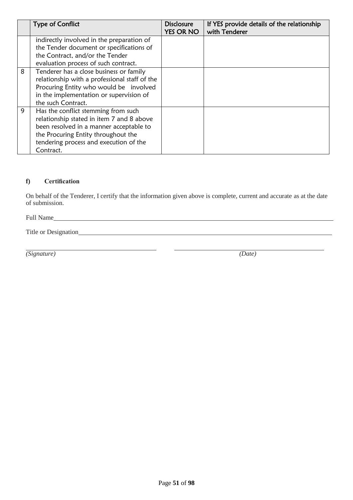|   | <b>Type of Conflict</b>                       | <b>Disclosure</b> | If YES provide details of the relationship |
|---|-----------------------------------------------|-------------------|--------------------------------------------|
|   |                                               | <b>YES OR NO</b>  | with Tenderer                              |
|   | indirectly involved in the preparation of     |                   |                                            |
|   | the Tender document or specifications of      |                   |                                            |
|   | the Contract, and/or the Tender               |                   |                                            |
|   | evaluation process of such contract.          |                   |                                            |
| 8 | Tenderer has a close business or family       |                   |                                            |
|   | relationship with a professional staff of the |                   |                                            |
|   | Procuring Entity who would be involved        |                   |                                            |
|   | in the implementation or supervision of       |                   |                                            |
|   | the such Contract.                            |                   |                                            |
| 9 | Has the conflict stemming from such           |                   |                                            |
|   | relationship stated in item 7 and 8 above     |                   |                                            |
|   | been resolved in a manner acceptable to       |                   |                                            |
|   | the Procuring Entity throughout the           |                   |                                            |
|   | tendering process and execution of the        |                   |                                            |
|   | Contract.                                     |                   |                                            |

### **f) Certification**

On behalf of the Tenderer, I certify that the information given above is complete, current and accurate as at the date of submission.

Full Name

Title or Designation

*(Signature) (Date)*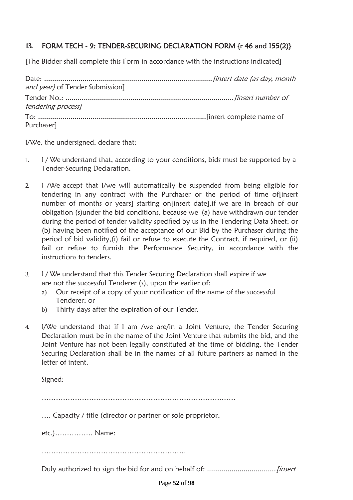# **13.** FORM TECH - 9: TENDER-SECURING DECLARATION FORM {r 46 and 155(2)}

[The Bidder shall complete this Form in accordance with the instructions indicated]

| and year) of Tender Submission] |  |
|---------------------------------|--|
|                                 |  |
| tendering process]              |  |
|                                 |  |
| Purchaser]                      |  |

I/We, the undersigned, declare that:

- 1. I / We understand that, according to your conditions, bids must be supported by a Tender-Securing Declaration.
- 2. I /We accept that I/we will automatically be suspended from being eligible for tendering in any contract with the Purchaser or the period of time of[insert number of months or years] starting on[insert date],if we are in breach of our obligation (s)under the bid conditions, because we–(a) have withdrawn our tender during the period of tender validity specified by us in the Tendering Data Sheet; or (b) having been notified of the acceptance of our Bid by the Purchaser during the period of bid validity,(i) fail or refuse to execute the Contract, if required, or (ii) fail or refuse to furnish the Performance Security, in accordance with the instructions to tenders.
- 3. I / We understand that this Tender Securing Declaration shall expire if we are not the successful Tenderer (s), upon the earlier of:
	- a) Our receipt of a copy of your notification of the name of the successful Tenderer; or
	- b) Thirty days after the expiration of our Tender.
- 4. I/We understand that if I am /we are/in a Joint Venture, the Tender Securing Declaration must be in the name of the Joint Venture that submits the bid, and the Joint Venture has not been legally constituted at the time of bidding, the Tender Securing Declaration shall be in the names of all future partners as named in the letter of intent.

Signed:

………………………………………………………………….……

…. Capacity / title (director or partner or sole proprietor,

etc.)……………. Name:

…………………………………………………….

Duly authorized to sign the bid for and on behalf of: ..................................[insert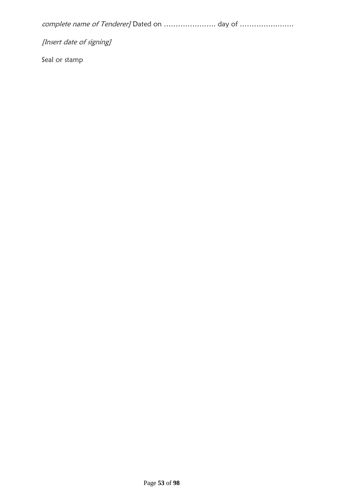complete name of Tenderer] Dated on …………………. day of …………….…….

[Insert date of signing]

Seal or stamp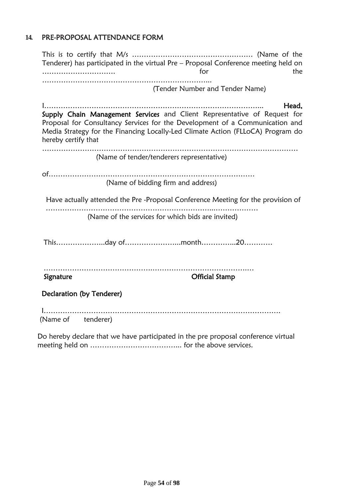# **14.** PRE-PROPOSAL ATTENDANCE FORM

|                           | for                                                                                                                                                                                                                                                   |
|---------------------------|-------------------------------------------------------------------------------------------------------------------------------------------------------------------------------------------------------------------------------------------------------|
|                           | (Tender Number and Tender Name)                                                                                                                                                                                                                       |
| hereby certify that       | Head,<br>Supply Chain Management Services and Client Representative of Request for<br>Proposal for Consultancy Services for the Development of a Communication and<br>Media Strategy for the Financing Locally-Led Climate Action (FLLoCA) Program do |
|                           | (Name of tender/tenderers representative)                                                                                                                                                                                                             |
|                           | (Name of bidding firm and address)                                                                                                                                                                                                                    |
|                           | Have actually attended the Pre -Proposal Conference Meeting for the provision of                                                                                                                                                                      |
|                           | (Name of the services for which bids are invited)                                                                                                                                                                                                     |
|                           |                                                                                                                                                                                                                                                       |
| Signature                 | <b>Official Stamp</b>                                                                                                                                                                                                                                 |
| Declaration (by Tenderer) |                                                                                                                                                                                                                                                       |
|                           |                                                                                                                                                                                                                                                       |

Do hereby declare that we have participated in the pre proposal conference virtual meeting held on ………………………………... for the above services.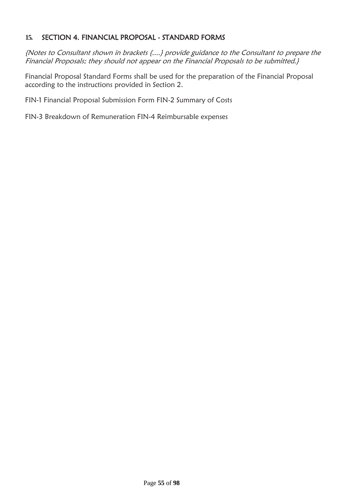# **15.** SECTION 4. FINANCIAL PROPOSAL - STANDARD FORMS

{Notes to Consultant shown in brackets {....} provide guidance to the Consultant to prepare the Financial Proposals; they should not appear on the Financial Proposals to be submitted.}

Financial Proposal Standard Forms shall be used for the preparation of the Financial Proposal according to the instructions provided in Section 2.

FIN-1 Financial Proposal Submission Form FIN-2 Summary of Costs

FIN-3 Breakdown of Remuneration FIN-4 Reimbursable expenses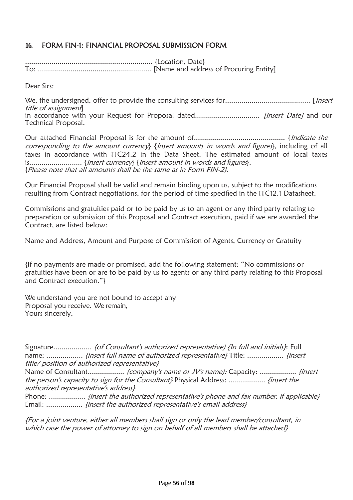# **16.** FORM FIN-1: FINANCIAL PROPOSAL SUBMISSION FORM

............................................................... {Location, Date} To: ........................................................ [Name and address of Procuring Entity]

Dear Sirs:

We, the undersigned, offer to provide the consulting services for.......................................... [Insert title of assignment] in accordance with your Request for Proposal dated................................ [Insert Date] and our Technical Proposal.

Our attached Financial Proposal is for the amount of............................................. {Indicate the corresponding to the amount currency} {Insert amounts in words and *fi*gures}, including of all taxes in accordance with ITC24.2 in the Data Sheet. The estimated amount of local taxes is.......................... {Insert currency} {Insert amount in words and *fi*gures}. {Please note that all amounts shall be the same as in Form FIN-2}.

Our Financial Proposal shall be valid and remain binding upon us, subject to the modifications resulting from Contract negotiations, for the period of time specified in the ITC12.1 Datasheet.

Commissions and gratuities paid or to be paid by us to an agent or any third party relating to preparation or submission of this Proposal and Contract execution, paid if we are awarded the Contract, are listed below:

Name and Address, Amount and Purpose of Commission of Agents, Currency or Gratuity

{If no payments are made or promised, add the following statement: "No commissions or gratuities have been or are to be paid by us to agents or any third party relating to this Proposal and Contract execution."}

We understand you are not bound to accept any Proposal you receive. We remain, Yours sincerely,

{For a joint venture, either all members shall sign or only the lead member/consultant, in which case the power of attorney to sign on behalf of all members shall be attached}

Signature.................... (of Consultant's authorized representative) {In full and initials}: Full name: ...................... *{insert full name of authorized representative}* Title: .................. *{insert* title/ position of authorized representative}

Name of Consultant.................. (company's name or JV's name): Capacity: .................. {insert the person's capacity to sign for the Consultant} Physical Address: .................. {insert the authorized representative's address}

Phone: .................. {insert the authorized representative's phone and fax number, if applicable} Email: .................... *{insert the authorized representative's email address}*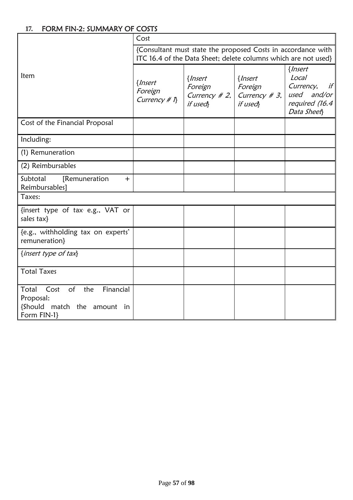# **17.** FORM FIN-2: SUMMARY OF COSTS

|                                                                                                           | Cost                                                                                                                           |                                                      |                                                          |                                                                                            |  |  |  |
|-----------------------------------------------------------------------------------------------------------|--------------------------------------------------------------------------------------------------------------------------------|------------------------------------------------------|----------------------------------------------------------|--------------------------------------------------------------------------------------------|--|--|--|
|                                                                                                           | {Consultant must state the proposed Costs in accordance with<br>ITC 16.4 of the Data Sheet; delete columns which are not used} |                                                      |                                                          |                                                                                            |  |  |  |
| Item                                                                                                      | {Insert<br>Foreign<br>Currency # $\eta$                                                                                        | $\{Insert$<br>Foreign<br>Currency $# 2$ ,<br>if used | { <i>Insert</i><br>Foreign<br>Currency $# 3,$<br>if used | { <i>Insert</i><br>Local<br>Currency,<br>if<br>used and/or<br>required (16.4<br>Data Sheet |  |  |  |
| Cost of the Financial Proposal                                                                            |                                                                                                                                |                                                      |                                                          |                                                                                            |  |  |  |
| Including:                                                                                                |                                                                                                                                |                                                      |                                                          |                                                                                            |  |  |  |
| (1) Remuneration                                                                                          |                                                                                                                                |                                                      |                                                          |                                                                                            |  |  |  |
| (2) Reimbursables                                                                                         |                                                                                                                                |                                                      |                                                          |                                                                                            |  |  |  |
| Subtotal<br>[Remuneration<br>$+$<br>Reimbursables]                                                        |                                                                                                                                |                                                      |                                                          |                                                                                            |  |  |  |
| Taxes:                                                                                                    |                                                                                                                                |                                                      |                                                          |                                                                                            |  |  |  |
| {insert type of tax e.g., VAT or<br>sales tax}                                                            |                                                                                                                                |                                                      |                                                          |                                                                                            |  |  |  |
| {e.g., withholding tax on experts'<br>remuneration}                                                       |                                                                                                                                |                                                      |                                                          |                                                                                            |  |  |  |
| {insert type of tax}                                                                                      |                                                                                                                                |                                                      |                                                          |                                                                                            |  |  |  |
| <b>Total Taxes</b>                                                                                        |                                                                                                                                |                                                      |                                                          |                                                                                            |  |  |  |
| Total<br>Cost<br>$\circ$ f<br>the<br>Financial<br>Proposal:<br>{Should match the amount in<br>Form FIN-1} |                                                                                                                                |                                                      |                                                          |                                                                                            |  |  |  |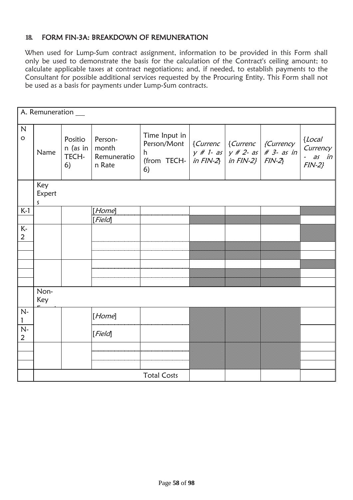# **18.** FORM FIN-3A: BREAKDOWN OF REMUNERATION

When used for Lump-Sum contract assignment, information to be provided in this Form shall only be used to demonstrate the basis for the calculation of the Contract's ceiling amount; to calculate applicable taxes at contract negotiations; and, if needed, to establish payments to the Consultant for possible additional services requested by the Procuring Entity. This Form shall not be used as a basis for payments under Lump-Sum contracts.

|                         |                               |                                    |                                           |                                    |  |                                                     | A. Remuneration __                              |  |  |  |  |  |  |
|-------------------------|-------------------------------|------------------------------------|-------------------------------------------|------------------------------------|--|-----------------------------------------------------|-------------------------------------------------|--|--|--|--|--|--|
| $\mathsf{N}$<br>$\circ$ | Name                          | Positio<br>n (as in<br>TECH-<br>6) | Person-<br>month<br>Remuneratio<br>n Rate | Time Input in<br>Person/Mont<br>6) |  | $\vert$ {Currenc $\vert$ {Currenc $\vert$ {Currency | ${Local}$<br>Currency<br>$-$ as in<br>$FIN-2$ } |  |  |  |  |  |  |
|                         | Key<br>Expert<br>$\mathsf{S}$ |                                    |                                           |                                    |  |                                                     |                                                 |  |  |  |  |  |  |
| $K-1$                   |                               |                                    | [Home]                                    |                                    |  |                                                     |                                                 |  |  |  |  |  |  |
|                         |                               |                                    | [Field]                                   |                                    |  |                                                     |                                                 |  |  |  |  |  |  |
| $K -$                   |                               |                                    |                                           |                                    |  |                                                     |                                                 |  |  |  |  |  |  |
| $\overline{2}$          |                               |                                    |                                           |                                    |  |                                                     |                                                 |  |  |  |  |  |  |
|                         |                               |                                    |                                           |                                    |  |                                                     |                                                 |  |  |  |  |  |  |
|                         |                               |                                    |                                           |                                    |  |                                                     |                                                 |  |  |  |  |  |  |
|                         |                               |                                    |                                           |                                    |  |                                                     |                                                 |  |  |  |  |  |  |
|                         |                               |                                    |                                           |                                    |  |                                                     |                                                 |  |  |  |  |  |  |
|                         | Non-<br>Key                   |                                    |                                           |                                    |  |                                                     |                                                 |  |  |  |  |  |  |
| $N-$                    |                               |                                    | [Home]                                    |                                    |  |                                                     |                                                 |  |  |  |  |  |  |
| $N-$<br>2               |                               |                                    | [Field]                                   |                                    |  |                                                     |                                                 |  |  |  |  |  |  |
|                         |                               |                                    |                                           |                                    |  |                                                     |                                                 |  |  |  |  |  |  |
|                         |                               |                                    |                                           |                                    |  |                                                     |                                                 |  |  |  |  |  |  |
|                         |                               |                                    |                                           |                                    |  |                                                     |                                                 |  |  |  |  |  |  |
|                         |                               |                                    |                                           | <b>Total Costs</b>                 |  |                                                     |                                                 |  |  |  |  |  |  |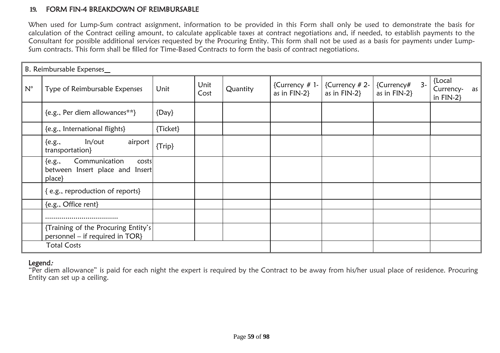### **19.** FORM FIN-4 BREAKDOWN OF REIMBURSABLE

When used for Lump-Sum contract assignment, information to be provided in this Form shall only be used to demonstrate the basis for calculation of the Contract ceiling amount, to calculate applicable taxes at contract negotiations and, if needed, to establish payments to the Consultant for possible additional services requested by the Procuring Entity. This form shall not be used as a basis for payments under Lump-Sum contracts. This form shall be filled for Time-Based Contracts to form the basis of contract negotiations.

|             | B. Reimbursable Expenses                                                         |            |              |          |                                |                                     |                                    |                                           |
|-------------|----------------------------------------------------------------------------------|------------|--------------|----------|--------------------------------|-------------------------------------|------------------------------------|-------------------------------------------|
| $N^{\circ}$ | Type of Reimbursable Expenses                                                    | Unit       | Unit<br>Cost | Quantity | {Currency # 1-<br>as in FIN-2} | {Currency $# 2-$<br>as in $FIN-2$ } | $3-$<br>{Currency#<br>as in FIN-2} | {Local<br>Currency-<br>as<br>in $FIN-2$ } |
|             | {e.g., Per diem allowances**}                                                    | $\{Day\}$  |              |          |                                |                                     |                                    |                                           |
|             | {e.g., International flights}                                                    | {Ticket}   |              |          |                                |                                     |                                    |                                           |
|             | In/out<br>airport<br>${e.g.,}$<br>transportation}                                | $\{Trip\}$ |              |          |                                |                                     |                                    |                                           |
|             | Communication<br>${e.g.,}$<br>costs<br>between Insert place and Insert<br>place} |            |              |          |                                |                                     |                                    |                                           |
|             | {e.g., reproduction of reports}                                                  |            |              |          |                                |                                     |                                    |                                           |
|             | {e.g., Office rent}                                                              |            |              |          |                                |                                     |                                    |                                           |
|             |                                                                                  |            |              |          |                                |                                     |                                    |                                           |
|             | {Training of the Procuring Entity's<br>personnel - if required in TOR}           |            |              |          |                                |                                     |                                    |                                           |
|             | <b>Total Costs</b>                                                               |            |              |          |                                |                                     |                                    |                                           |

### Legend:

"Per diem allowance" is paid for each night the expert is required by the Contract to be away from his/her usual place of residence. Procuring Entity can set up a ceiling.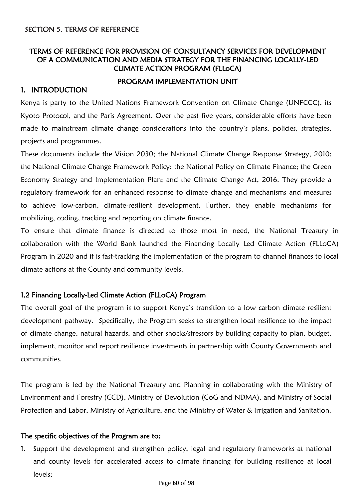# TERMS OF REFERENCE FOR PROVISION OF CONSULTANCY SERVICES FOR DEVELOPMENT OF A COMMUNICATION AND MEDIA STRATEGY FOR THE FINANCING LOCALLY-LED CLIMATE ACTION PROGRAM (FLLoCA)

#### PROGRAM IMPLEMENTATION UNIT

#### 1. INTRODUCTION

Kenya is party to the United Nations Framework Convention on Climate Change (UNFCCC), its Kyoto Protocol, and the Paris Agreement. Over the past five years, considerable efforts have been made to mainstream climate change considerations into the country's plans, policies, strategies, projects and programmes.

These documents include the Vision 2030; the National Climate Change Response Strategy, 2010; the National Climate Change Framework Policy; the National Policy on Climate Finance; the Green Economy Strategy and Implementation Plan; and the Climate Change Act, 2016. They provide a regulatory framework for an enhanced response to climate change and mechanisms and measures to achieve low-carbon, climate-resilient development. Further, they enable mechanisms for mobilizing, coding, tracking and reporting on climate finance.

To ensure that climate finance is directed to those most in need, the National Treasury in collaboration with the World Bank launched the Financing Locally Led Climate Action (FLLoCA) Program in 2020 and it is fast-tracking the implementation of the program to channel finances to local climate actions at the County and community levels.

#### 1.2 Financing Locally-Led Climate Action (FLLoCA) Program

The overall goal of the program is to support Kenya's transition to a low carbon climate resilient development pathway. Specifically, the Program seeks to strengthen local resilience to the impact of climate change, natural hazards, and other shocks/stressors by building capacity to plan, budget, implement, monitor and report resilience investments in partnership with County Governments and communities.

The program is led by the National Treasury and Planning in collaborating with the Ministry of Environment and Forestry (CCD), Ministry of Devolution (CoG and NDMA), and Ministry of Social Protection and Labor, Ministry of Agriculture, and the Ministry of Water & Irrigation and Sanitation.

#### The specific objectives of the Program are to:

1. Support the development and strengthen policy, legal and regulatory frameworks at national and county levels for accelerated access to climate financing for building resilience at local levels;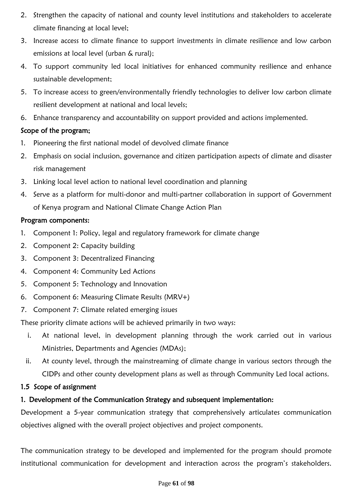- 2. Strengthen the capacity of national and county level institutions and stakeholders to accelerate climate financing at local level;
- 3. Increase access to climate finance to support investments in climate resilience and low carbon emissions at local level (urban & rural);
- 4. To support community led local initiatives for enhanced community resilience and enhance sustainable development;
- 5. To increase access to green/environmentally friendly technologies to deliver low carbon climate resilient development at national and local levels;
- 6. Enhance transparency and accountability on support provided and actions implemented.

# Scope of the program;

- 1. Pioneering the first national model of devolved climate finance
- 2. Emphasis on social inclusion, governance and citizen participation aspects of climate and disaster risk management
- 3. Linking local level action to national level coordination and planning
- 4. Serve as a platform for multi-donor and multi-partner collaboration in support of Government of Kenya program and National Climate Change Action Plan

# Program components:

- 1. Component 1: Policy, legal and regulatory framework for climate change
- 2. Component 2: Capacity building
- 3. Component 3: Decentralized Financing
- 4. Component 4: Community Led Actions
- 5. Component 5: Technology and Innovation
- 6. Component 6: Measuring Climate Results (MRV+)
- 7. Component 7: Climate related emerging issues

These priority climate actions will be achieved primarily in two ways:

- i. At national level, in development planning through the work carried out in various Ministries, Departments and Agencies (MDAs);
- ii. At county level, through the mainstreaming of climate change in various sectors through the CIDPs and other county development plans as well as through Community Led local actions.

# 1.5 Scope of assignment

# 1. Development of the Communication Strategy and subsequent implementation:

Development a 5-year communication strategy that comprehensively articulates communication objectives aligned with the overall project objectives and project components.

The communication strategy to be developed and implemented for the program should promote institutional communication for development and interaction across the program's stakeholders.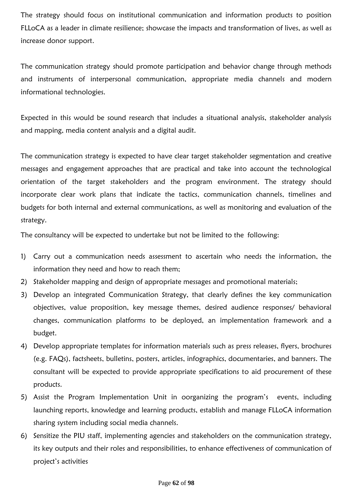The strategy should focus on institutional communication and information products to position FLLoCA as a leader in climate resilience; showcase the impacts and transformation of lives, as well as increase donor support.

The communication strategy should promote participation and behavior change through methods and instruments of interpersonal communication, appropriate media channels and modern informational technologies.

Expected in this would be sound research that includes a situational analysis, stakeholder analysis and mapping, media content analysis and a digital audit.

The communication strategy is expected to have clear target stakeholder segmentation and creative messages and engagement approaches that are practical and take into account the technological orientation of the target stakeholders and the program environment. The strategy should incorporate clear work plans that indicate the tactics, communication channels, timelines and budgets for both internal and external communications, as well as monitoring and evaluation of the strategy.

The consultancy will be expected to undertake but not be limited to the following:

- 1) Carry out a communication needs assessment to ascertain who needs the information, the information they need and how to reach them;
- 2) Stakeholder mapping and design of appropriate messages and promotional materials;
- 3) Develop an integrated Communication Strategy, that clearly defines the key communication objectives, value proposition, key message themes, desired audience responses/ behavioral changes, communication platforms to be deployed, an implementation framework and a budget.
- 4) Develop appropriate templates for information materials such as press releases, flyers, brochures (e.g. FAQs), factsheets, bulletins, posters, articles, infographics, documentaries, and banners. The consultant will be expected to provide appropriate specifications to aid procurement of these products.
- 5) Assist the Program Implementation Unit in oorganizing the program's events, including launching reports, knowledge and learning products, establish and manage FLLoCA information sharing system including social media channels.
- 6) Sensitize the PIU staff, implementing agencies and stakeholders on the communication strategy, its key outputs and their roles and responsibilities, to enhance effectiveness of communication of project's activities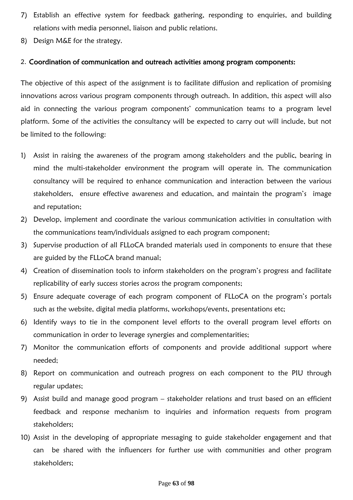- 7) Establish an effective system for feedback gathering, responding to enquiries, and building relations with media personnel, liaison and public relations.
- 8) Design M&E for the strategy.

#### 2. Coordination of communication and outreach activities among program components:

The objective of this aspect of the assignment is to facilitate diffusion and replication of promising innovations across various program components through outreach. In addition, this aspect will also aid in connecting the various program components' communication teams to a program level platform. Some of the activities the consultancy will be expected to carry out will include, but not be limited to the following:

- 1) Assist in raising the awareness of the program among stakeholders and the public, bearing in mind the multi-stakeholder environment the program will operate in. The communication consultancy will be required to enhance communication and interaction between the various stakeholders, ensure effective awareness and education, and maintain the program's image and reputation;
- 2) Develop, implement and coordinate the various communication activities in consultation with the communications team/individuals assigned to each program component;
- 3) Supervise production of all FLLoCA branded materials used in components to ensure that these are guided by the FLLoCA brand manual;
- 4) Creation of dissemination tools to inform stakeholders on the program's progress and facilitate replicability of early success stories across the program components;
- 5) Ensure adequate coverage of each program component of FLLoCA on the program's portals such as the website, digital media platforms, workshops/events, presentations etc;
- 6) Identify ways to tie in the component level efforts to the overall program level efforts on communication in order to leverage synergies and complementarities;
- 7) Monitor the communication efforts of components and provide additional support where needed;
- 8) Report on communication and outreach progress on each component to the PIU through regular updates;
- 9) Assist build and manage good program stakeholder relations and trust based on an efficient feedback and response mechanism to inquiries and information requests from program stakeholders;
- 10) Assist in the developing of appropriate messaging to guide stakeholder engagement and that can be shared with the influencers for further use with communities and other program stakeholders;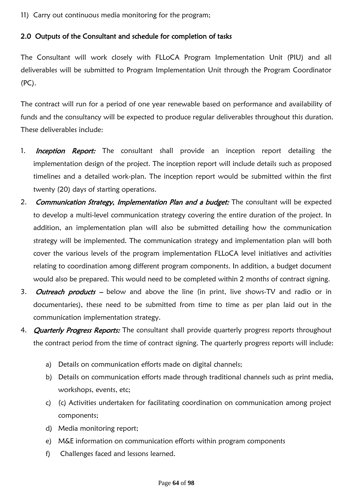11) Carry out continuous media monitoring for the program;

# 2.0 Outputs of the Consultant and schedule for completion of tasks

The Consultant will work closely with FLLoCA Program Implementation Unit (PIU) and all deliverables will be submitted to Program Implementation Unit through the Program Coordinator (PC).

The contract will run for a period of one year renewable based on performance and availability of funds and the consultancy will be expected to produce regular deliverables throughout this duration. These deliverables include:

- 1. **Inception Report:** The consultant shall provide an inception report detailing the implementation design of the project. The inception report will include details such as proposed timelines and a detailed work-plan. The inception report would be submitted within the first twenty (20) days of starting operations.
- 2. Communication Strategy, Implementation Plan and a budget: The consultant will be expected to develop a multi-level communication strategy covering the entire duration of the project. In addition, an implementation plan will also be submitted detailing how the communication strategy will be implemented. The communication strategy and implementation plan will both cover the various levels of the program implementation FLLoCA level initiatives and activities relating to coordination among different program components. In addition, a budget document would also be prepared. This would need to be completed within 2 months of contract signing.
- 3. Outreach products below and above the line (in print, live shows-TV and radio or in documentaries), these need to be submitted from time to time as per plan laid out in the communication implementation strategy.
- 4. **Quarterly Progress Reports:** The consultant shall provide quarterly progress reports throughout the contract period from the time of contract signing. The quarterly progress reports will include:
	- a) Details on communication efforts made on digital channels;
	- b) Details on communication efforts made through traditional channels such as print media, workshops, events, etc;
	- c) (c) Activities undertaken for facilitating coordination on communication among project components;
	- d) Media monitoring report;
	- e) M&E information on communication efforts within program components
	- f) Challenges faced and lessons learned.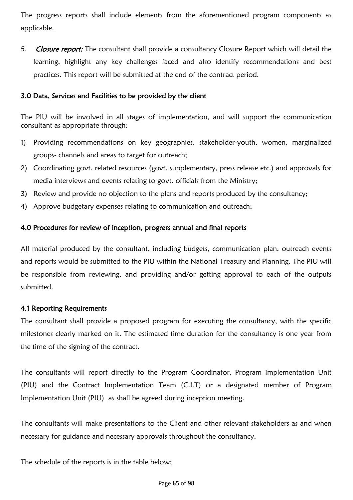The progress reports shall include elements from the aforementioned program components as applicable.

5. Closure report: The consultant shall provide a consultancy Closure Report which will detail the learning, highlight any key challenges faced and also identify recommendations and best practices. This report will be submitted at the end of the contract period.

### 3.0 Data, Services and Facilities to be provided by the client

The PIU will be involved in all stages of implementation, and will support the communication consultant as appropriate through:

- 1) Providing recommendations on key geographies, stakeholder-youth, women, marginalized groups- channels and areas to target for outreach;
- 2) Coordinating govt. related resources (govt. supplementary, press release etc.) and approvals for media interviews and events relating to govt. officials from the Ministry;
- 3) Review and provide no objection to the plans and reports produced by the consultancy;
- 4) Approve budgetary expenses relating to communication and outreach;

## 4.0 Procedures for review of inception, progress annual and final reports

All material produced by the consultant, including budgets, communication plan, outreach events and reports would be submitted to the PIU within the National Treasury and Planning. The PIU will be responsible from reviewing, and providing and/or getting approval to each of the outputs submitted.

#### 4.1 Reporting Requirements

The consultant shall provide a proposed program for executing the consultancy, with the specific milestones clearly marked on it. The estimated time duration for the consultancy is one year from the time of the signing of the contract.

The consultants will report directly to the Program Coordinator, Program Implementation Unit (PIU) and the Contract Implementation Team (C.I.T) or a designated member of Program Implementation Unit (PIU) as shall be agreed during inception meeting.

The consultants will make presentations to the Client and other relevant stakeholders as and when necessary for guidance and necessary approvals throughout the consultancy.

The schedule of the reports is in the table below;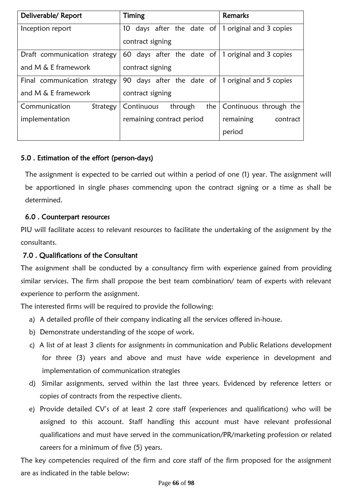| Deliverable/Report           | Timing                       | Remarks                 |
|------------------------------|------------------------------|-------------------------|
| Inception report             | days after the date of<br>10 | 1 original and 3 copies |
|                              | contract signing             |                         |
| Draft communication strategy | days after the date of<br>60 | 1 original and 3 copies |
| and M & E framework          | contract signing             |                         |
| Final communication strategy | days after the date of<br>90 | 1 original and 5 copies |
| and M & E framework          | contract signing             |                         |
| Communication<br>Strategy    | the<br>Continuous<br>through | Continuous through the  |
| implementation               | remaining contract period    | remaining<br>contract   |
|                              |                              | period                  |

# 5.0 . Estimation of the effort (person-days)

The assignment is expected to be carried out within a period of one (1) year. The assignment will be apportioned in single phases commencing upon the contract signing or a time as shall be determined.

## 6.0 . Counterpart resources

PIU will facilitate access to relevant resources to facilitate the undertaking of the assignment by the consultants.

# 7.0 . Qualifications of the Consultant

The assignment shall be conducted by a consultancy firm with experience gained from providing similar services. The firm shall propose the best team combination/ team of experts with relevant experience to perform the assignment.

The interested firms will be required to provide the following:

- a) A detailed profile of their company indicating all the services offered in-house.
- b) Demonstrate understanding of the scope of work.
- c) A list of at least 3 clients for assignments in communication and Public Relations development for three (3) years and above and must have wide experience in development and implementation of communication strategies
- d) Similar assignments, served within the last three years. Evidenced by reference letters or copies of contracts from the respective clients.
- e) Provide detailed CV's of at least 2 core staff (experiences and qualifications) who will be assigned to this account. Staff handling this account must have relevant professional qualifications and must have served in the communication/PR/marketing profession or related careers for a minimum of five (5) years.

The key competencies required of the firm and core staff of the firm proposed for the assignment are as indicated in the table below: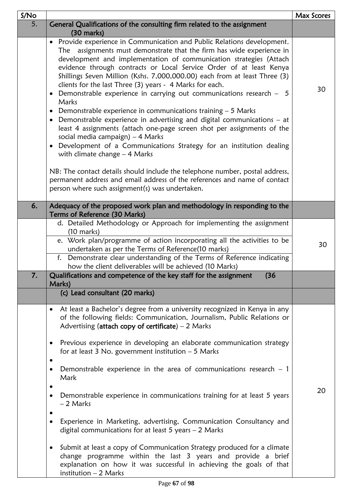| S/No |                                                                                                                                                                                                                                                                                                                                                                                                                                                                                                                                                                                                                                                                                                                                                                                                                                                                                                                                                          | Max Scores |
|------|----------------------------------------------------------------------------------------------------------------------------------------------------------------------------------------------------------------------------------------------------------------------------------------------------------------------------------------------------------------------------------------------------------------------------------------------------------------------------------------------------------------------------------------------------------------------------------------------------------------------------------------------------------------------------------------------------------------------------------------------------------------------------------------------------------------------------------------------------------------------------------------------------------------------------------------------------------|------------|
| 5.   | General Qualifications of the consulting firm related to the assignment<br>$(30 \text{ marks})$                                                                                                                                                                                                                                                                                                                                                                                                                                                                                                                                                                                                                                                                                                                                                                                                                                                          |            |
|      | • Provide experience in Communication and Public Relations development.<br>The assignments must demonstrate that the firm has wide experience in<br>development and implementation of communication strategies (Attach<br>evidence through contracts or Local Service Order of at least Kenya<br>Shillings Seven Million (Kshs. 7,000,000.00) each from at least Three (3)<br>clients for the last Three (3) years - 4 Marks for each.<br>• Demonstrable experience in carrying out communications research - 5<br>Marks<br>• Demonstrable experience in communications training $-5$ Marks<br>• Demonstrable experience in advertising and digital communications – at<br>least 4 assignments (attach one-page screen shot per assignments of the<br>social media campaign) $-4$ Marks<br>Development of a Communications Strategy for an institution dealing<br>$\bullet$<br>with climate change $-$ 4 Marks                                           | 30         |
|      | NB: The contact details should include the telephone number, postal address,<br>permanent address and email address of the references and name of contact<br>person where such assignment(s) was undertaken.                                                                                                                                                                                                                                                                                                                                                                                                                                                                                                                                                                                                                                                                                                                                             |            |
| 6.   | Adequacy of the proposed work plan and methodology in responding to the<br>Terms of Reference (30 Marks)                                                                                                                                                                                                                                                                                                                                                                                                                                                                                                                                                                                                                                                                                                                                                                                                                                                 |            |
|      | d. Detailed Methodology or Approach for implementing the assignment<br>$(10 \text{ marks})$<br>e. Work plan/programme of action incorporating all the activities to be<br>undertaken as per the Terms of Reference(10 marks)<br>f. Demonstrate clear understanding of the Terms of Reference indicating<br>how the client deliverables will be achieved (10 Marks)                                                                                                                                                                                                                                                                                                                                                                                                                                                                                                                                                                                       | 30         |
| 7.   | Qualifications and competence of the key staff for the assignment<br>(36)<br>Marks)                                                                                                                                                                                                                                                                                                                                                                                                                                                                                                                                                                                                                                                                                                                                                                                                                                                                      |            |
|      | (c) Lead consultant (20 marks)                                                                                                                                                                                                                                                                                                                                                                                                                                                                                                                                                                                                                                                                                                                                                                                                                                                                                                                           |            |
|      | At least a Bachelor's degree from a university recognized in Kenya in any<br>$\bullet$<br>of the following fields: Communication, Journalism, Public Relations or<br>Advertising (attach copy of certificate) $-2$ Marks<br>Previous experience in developing an elaborate communication strategy<br>$\bullet$<br>for at least $3$ No. government institution $-5$ Marks<br>Demonstrable experience in the area of communications research $-1$<br>Mark<br>Demonstrable experience in communications training for at least 5 years<br>$\bullet$<br>- 2 Marks<br>Experience in Marketing, advertising, Communication Consultancy and<br>digital communications for at least $5$ years $-2$ Marks<br>Submit at least a copy of Communication Strategy produced for a climate<br>$\bullet$<br>change programme within the last 3 years and provide a brief<br>explanation on how it was successful in achieving the goals of that<br>institution $-2$ Marks | 20         |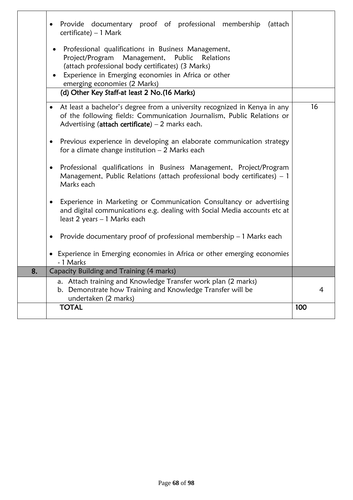|    | Provide documentary proof of professional membership<br>(attach<br>٠<br>$c$ ertificate) – 1 Mark                                                                                                                      |     |  |  |  |  |  |  |
|----|-----------------------------------------------------------------------------------------------------------------------------------------------------------------------------------------------------------------------|-----|--|--|--|--|--|--|
|    | Professional qualifications in Business Management,<br>Project/Program Management, Public<br>Relations<br>(attach professional body certificates) (3 Marks)<br>Experience in Emerging economies in Africa or other    |     |  |  |  |  |  |  |
|    | emerging economies (2 Marks)<br>(d) Other Key Staff-at least 2 No. (16 Marks)                                                                                                                                         |     |  |  |  |  |  |  |
|    | At least a bachelor's degree from a university recognized in Kenya in any<br>$\bullet$<br>of the following fields: Communication Journalism, Public Relations or<br>Advertising (attach certificate) $-2$ marks each. |     |  |  |  |  |  |  |
|    | Previous experience in developing an elaborate communication strategy<br>$\bullet$<br>for a climate change institution $-2$ Marks each                                                                                |     |  |  |  |  |  |  |
|    | Professional qualifications in Business Management, Project/Program<br>$\bullet$<br>Management, Public Relations (attach professional body certificates) - 1<br>Marks each                                            |     |  |  |  |  |  |  |
|    | Experience in Marketing or Communication Consultancy or advertising<br>$\bullet$<br>and digital communications e.g. dealing with Social Media accounts etc at<br>least 2 years - 1 Marks each                         |     |  |  |  |  |  |  |
|    | Provide documentary proof of professional membership $-1$ Marks each<br>$\bullet$                                                                                                                                     |     |  |  |  |  |  |  |
|    | • Experience in Emerging economies in Africa or other emerging economies<br>- 1 Marks                                                                                                                                 |     |  |  |  |  |  |  |
| 8. | Capacity Building and Training (4 marks)                                                                                                                                                                              |     |  |  |  |  |  |  |
|    | a. Attach training and Knowledge Transfer work plan (2 marks)<br>b. Demonstrate how Training and Knowledge Transfer will be<br>undertaken (2 marks)                                                                   | 4   |  |  |  |  |  |  |
|    | <b>TOTAL</b>                                                                                                                                                                                                          | 100 |  |  |  |  |  |  |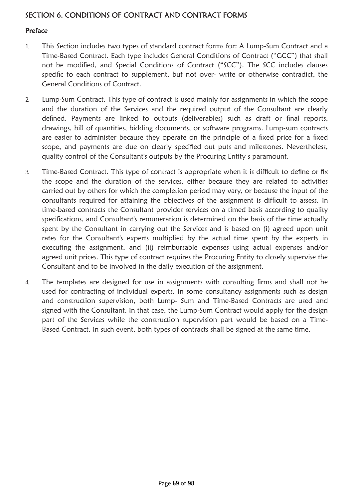# SECTION 6. CONDITIONS OF CONTRACT AND CONTRACT FORMS

### Preface

- 1. This Section includes two types of standard contract forms for: A Lump-Sum Contract and a Time-Based Contract. Each type includes General Conditions of Contract ("GCC") that shall not be modified, and Special Conditions of Contract ("SCC"). The SCC includes clauses specific to each contract to supplement, but not over- write or otherwise contradict, the General Conditions of Contract.
- 2. Lump-Sum Contract. This type of contract is used mainly for assignments in which the scope and the duration of the Services and the required output of the Consultant are clearly defined. Payments are linked to outputs (deliverables) such as draft or final reports, drawings, bill of quantities, bidding documents, or software programs. Lump-sum contracts are easier to administer because they operate on the principle of a fixed price for a fixed scope, and payments are due on clearly specified out puts and milestones. Nevertheless, quality control of the Consultant's outputs by the Procuring Entity s paramount.
- 3. Time-Based Contract. This type of contract is appropriate when it is difficult to define or fix the scope and the duration of the services, either because they are related to activities carried out by others for which the completion period may vary, or because the input of the consultants required for attaining the objectives of the assignment is difficult to assess. In time-based contracts the Consultant provides services on a timed basis according to quality specifications, and Consultant's remuneration is determined on the basis of the time actually spent by the Consultant in carrying out the Services and is based on (i) agreed upon unit rates for the Consultant's experts multiplied by the actual time spent by the experts in executing the assignment, and (ii) reimbursable expenses using actual expenses and/or agreed unit prices. This type of contract requires the Procuring Entity to closely supervise the Consultant and to be involved in the daily execution of the assignment.
- 4. The templates are designed for use in assignments with consulting firms and shall not be used for contracting of individual experts. In some consultancy assignments such as design and construction supervision, both Lump- Sum and Time-Based Contracts are used and signed with the Consultant. In that case, the Lump-Sum Contract would apply for the design part of the Services while the construction supervision part would be based on a Time-Based Contract. In such event, both types of contracts shall be signed at the same time.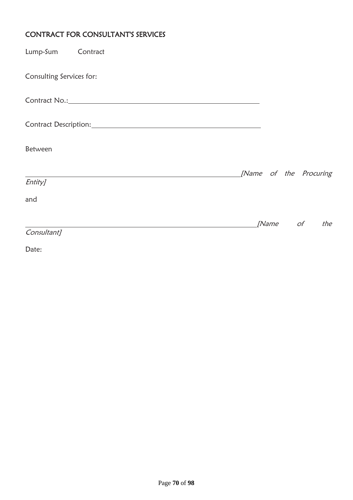# CONTRACT FOR CONSULTANT'S SERVICES

| Lump-Sum Contract        |  |  |                        |                 |     |
|--------------------------|--|--|------------------------|-----------------|-----|
| Consulting Services for: |  |  |                        |                 |     |
| Contract No.: 2008       |  |  |                        |                 |     |
|                          |  |  |                        |                 |     |
| Between                  |  |  |                        |                 |     |
|                          |  |  | [Name of the Procuring |                 |     |
| Entity]                  |  |  |                        |                 |     |
| and                      |  |  |                        |                 |     |
|                          |  |  |                        | <i>[Name of</i> | the |
| Consultant]              |  |  |                        |                 |     |

Date: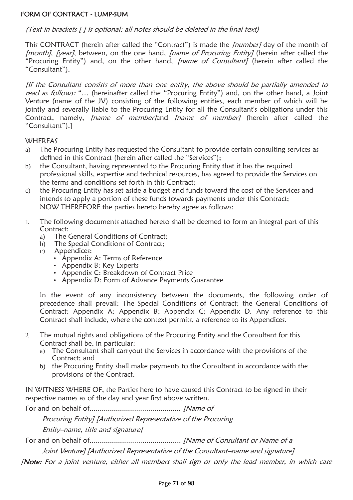#### FORM OF CONTRACT - LUMP-SUM

#### (Text in brackets [ ] is optional; all notes should be deleted in the *fi*nal text)

This CONTRACT (herein after called the "Contract") is made the *[number]* day of the month of [month], [year], between, on the one hand, [name of Procuring Entity] (herein after called the "Procuring Entity") and, on the other hand, *[name of Consultant]* (herein after called the "Consultant").

[If the Consultant consists of more than one entity, the above should be partially amended to read as follows: "... (hereinafter called the "Procuring Entity") and, on the other hand, a Joint Venture (name of the JV) consisting of the following entities, each member of which will be jointly and severally liable to the Procuring Entity for all the Consultant's obligations under this Contract, namely, *[name of member]*and *[name of member]* (herein after called the "Consultant").]

#### **WHEREAS**

- a) The Procuring Entity has requested the Consultant to provide certain consulting services as defined in this Contract (herein after called the "Services");
- b) the Consultant, having represented to the Procuring Entity that it has the required professional skills, expertise and technical resources, has agreed to provide the Services on the terms and conditions set forth in this Contract;
- c) the Procuring Entity has set aside a budget and funds toward the cost of the Services and intends to apply a portion of these funds towards payments under this Contract; NOW THEREFORE the parties hereto hereby agree as follows:
- 1. The following documents attached hereto shall be deemed to form an integral part of this Contract:
	- a) The General Conditions of Contract;
	- b) The Special Conditions of Contract;
	- c) Appendices:
		- Appendix A: Terms of Reference
		- Appendix B: Key Experts
		- Appendix C: Breakdown of Contract Price
		- Appendix D: Form of Advance Payments Guarantee

In the event of any inconsistency between the documents, the following order of precedence shall prevail: The Special Conditions of Contract; the General Conditions of Contract; Appendix A; Appendix B; Appendix C; Appendix D. Any reference to this Contract shall include, where the context permits, a reference to its Appendices.

- 2. The mutual rights and obligations of the Procuring Entity and the Consultant for this Contract shall be, in particular:
	- a) The Consultant shall carryout the Services in accordance with the provisions of the Contract; and
	- b) the Procuring Entity shall make payments to the Consultant in accordance with the provisions of the Contract.

IN WITNESS WHERE OF, the Parties here to have caused this Contract to be signed in their respective names as of the day and year first above written.

For and on behalf of............................................. [Name of

Procuring Entity] [Authorized Representative of the Procuring

Entity–name, title and signature]

For and on behalf of............................................. [Name of Consultant or Name of a

Joint Venture] [Authorized Representative of the Consultant–name and signature]

[Note: For a joint venture, either all members shall sign or only the lead member, in which case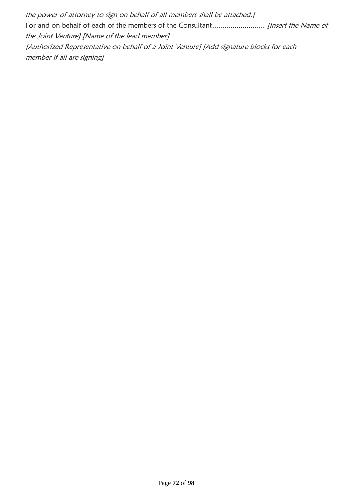the power of attorney to sign on behalf of all members shall be attached.] For and on behalf of each of the members of the Consultant.......................... [Insert the Name of the Joint Venture] [Name of the lead member] [Authorized Representative on behalf of a Joint Venture] [Add signature blocks for each member if all are signing]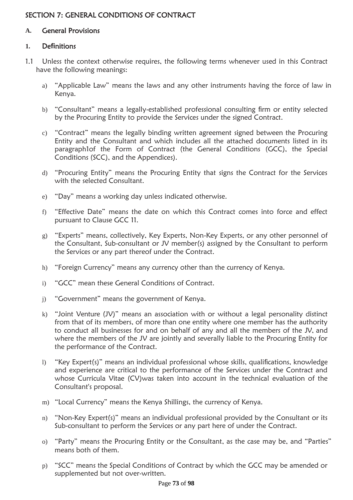# SECTION 7: GENERAL CONDITIONS OF CONTRACT

### **A.** General Provisions

### **1.** De**fi**nitions

- 1.1 Unless the context otherwise requires, the following terms whenever used in this Contract have the following meanings:
	- a) "Applicable Law" means the laws and any other instruments having the force of law in Kenya.
	- b) "Consultant" means a legally-established professional consulting firm or entity selected by the Procuring Entity to provide the Services under the signed Contract.
	- c) "Contract" means the legally binding written agreement signed between the Procuring Entity and the Consultant and which includes all the attached documents listed in its paragraph1of the Form of Contract (the General Conditions (GCC), the Special Conditions (SCC), and the Appendices).
	- d) "Procuring Entity" means the Procuring Entity that signs the Contract for the Services with the selected Consultant.
	- e) "Day" means a working day unless indicated otherwise.
	- f) "Effective Date" means the date on which this Contract comes into force and effect pursuant to Clause GCC 11.
	- g) "Experts" means, collectively, Key Experts, Non-Key Experts, or any other personnel of the Consultant, Sub-consultant or JV member(s) assigned by the Consultant to perform the Services or any part thereof under the Contract.
	- h) "Foreign Currency" means any currency other than the currency of Kenya.
	- i) "GCC" mean these General Conditions of Contract.
	- j) "Government" means the government of Kenya.
	- k) "Joint Venture (JV)" means an association with or without a legal personality distinct from that of its members, of more than one entity where one member has the authority to conduct all businesses for and on behalf of any and all the members of the JV, and where the members of the JV are jointly and severally liable to the Procuring Entity for the performance of the Contract.
	- l) "Key Expert(s)" means an individual professional whose skills, qualifications, knowledge and experience are critical to the performance of the Services under the Contract and whose Curricula Vitae (CV)was taken into account in the technical evaluation of the Consultant's proposal.
	- m) "Local Currency" means the Kenya Shillings, the currency of Kenya.
	- n) "Non-Key Expert(s)" means an individual professional provided by the Consultant or its Sub-consultant to perform the Services or any part here of under the Contract.
	- o) "Party" means the Procuring Entity or the Consultant, as the case may be, and "Parties" means both of them.
	- p) "SCC" means the Special Conditions of Contract by which the GCC may be amended or supplemented but not over-written.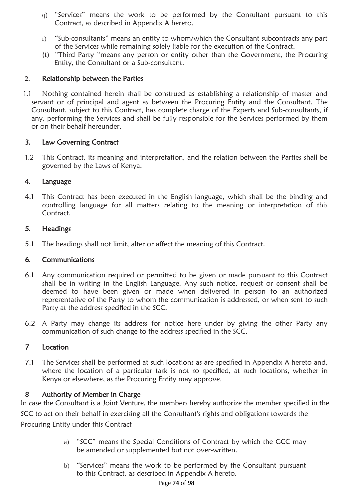- q) "Services" means the work to be performed by the Consultant pursuant to this Contract, as described in Appendix A hereto.
- r) "Sub-consultants" means an entity to whom/which the Consultant subcontracts any part of the Services while remaining solely liable for the execution of the Contract.
- (t) "Third Party "means any person or entity other than the Government, the Procuring Entity, the Consultant or a Sub-consultant.

## **2.** Relationship between the Parties

1.1 Nothing contained herein shall be construed as establishing a relationship of master and servant or of principal and agent as between the Procuring Entity and the Consultant. The Consultant, subject to this Contract, has complete charge of the Experts and Sub-consultants, if any, performing the Services and shall be fully responsible for the Services performed by them or on their behalf hereunder.

## 3. Law Governing Contract

1.2 This Contract, its meaning and interpretation, and the relation between the Parties shall be governed by the Laws of Kenya.

## 4. Language

4.1 This Contract has been executed in the English language, which shall be the binding and controlling language for all matters relating to the meaning or interpretation of this Contract.

## 5. Headings

5.1 The headings shall not limit, alter or affect the meaning of this Contract.

# 6. Communications

- 6.1 Any communication required or permitted to be given or made pursuant to this Contract shall be in writing in the English Language. Any such notice, request or consent shall be deemed to have been given or made when delivered in person to an authorized representative of the Party to whom the communication is addressed, or when sent to such Party at the address specified in the SCC.
- 6.2 A Party may change its address for notice here under by giving the other Party any communication of such change to the address specified in the SCC.

## 7 Location

7.1 The Services shall be performed at such locations as are specified in Appendix A hereto and, where the location of a particular task is not so specified, at such locations, whether in Kenya or elsewhere, as the Procuring Entity may approve.

## 8 Authority of Member in Charge

In case the Consultant is a Joint Venture, the members hereby authorize the member specified in the SCC to act on their behalf in exercising all the Consultant's rights and obligations towards the Procuring Entity under this Contract

- a) "SCC" means the Special Conditions of Contract by which the GCC may be amended or supplemented but not over-written.
- b) "Services" means the work to be performed by the Consultant pursuant to this Contract, as described in Appendix A hereto.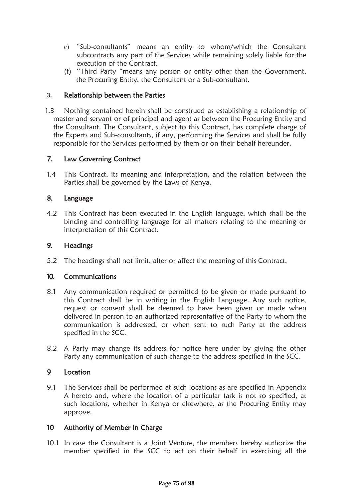- c) "Sub-consultants" means an entity to whom/which the Consultant subcontracts any part of the Services while remaining solely liable for the execution of the Contract.
- (t) "Third Party "means any person or entity other than the Government, the Procuring Entity, the Consultant or a Sub-consultant.

### **3.** Relationship between the Parties

1.3 Nothing contained herein shall be construed as establishing a relationship of master and servant or of principal and agent as between the Procuring Entity and the Consultant. The Consultant, subject to this Contract, has complete charge of the Experts and Sub-consultants, if any, performing the Services and shall be fully responsible for the Services performed by them or on their behalf hereunder.

### 7. Law Governing Contract

1.4 This Contract, its meaning and interpretation, and the relation between the Parties shall be governed by the Laws of Kenya.

### 8. Language

4.2 This Contract has been executed in the English language, which shall be the binding and controlling language for all matters relating to the meaning or interpretation of this Contract.

### 9. Headings

5.2 The headings shall not limit, alter or affect the meaning of this Contract.

### 10. Communications

- 8.1 Any communication required or permitted to be given or made pursuant to this Contract shall be in writing in the English Language. Any such notice, request or consent shall be deemed to have been given or made when delivered in person to an authorized representative of the Party to whom the communication is addressed, or when sent to such Party at the address specified in the SCC.
- 8.2 A Party may change its address for notice here under by giving the other Party any communication of such change to the address specified in the SCC.

### 9 Location

9.1 The Services shall be performed at such locations as are specified in Appendix A hereto and, where the location of a particular task is not so specified, at such locations, whether in Kenya or elsewhere, as the Procuring Entity may approve.

### 10 Authority of Member in Charge

10.1 In case the Consultant is a Joint Venture, the members hereby authorize the member specified in the SCC to act on their behalf in exercising all the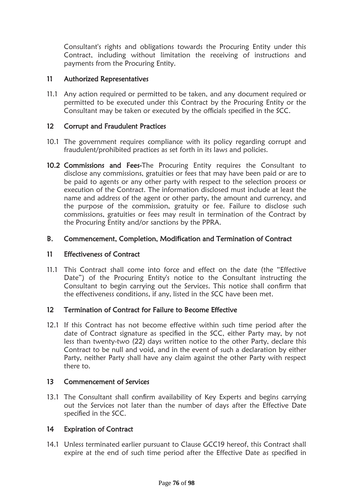Consultant's rights and obligations towards the Procuring Entity under this Contract, including without limitation the receiving of instructions and payments from the Procuring Entity.

### 11 Authorized Representatives

11.1 Any action required or permitted to be taken, and any document required or permitted to be executed under this Contract by the Procuring Entity or the Consultant may be taken or executed by the officials specified in the SCC.

### 12 Corrupt and Fraudulent Practices

- 10.1 The government requires compliance with its policy regarding corrupt and fraudulent/prohibited practices as set forth in its laws and policies.
- 10.2 Commissions and Fees-The Procuring Entity requires the Consultant to disclose any commissions, gratuities or fees that may have been paid or are to be paid to agents or any other party with respect to the selection process or execution of the Contract. The information disclosed must include at least the name and address of the agent or other party, the amount and currency, and the purpose of the commission, gratuity or fee. Failure to disclose such commissions, gratuities or fees may result in termination of the Contract by the Procuring Entity and/or sanctions by the PPRA.

### B. Commencement, Completion, Modi**fi**cation and Termination of Contract

### 11 Effectiveness of Contract

11.1 This Contract shall come into force and effect on the date (the "Effective Date") of the Procuring Entity's notice to the Consultant instructing the Consultant to begin carrying out the Services. This notice shall confirm that the effectiveness conditions, if any, listed in the SCC have been met.

### 12 Termination of Contract for Failure to Become Effective

12.1 If this Contract has not become effective within such time period after the date of Contract signature as specified in the SCC, either Party may, by not less than twenty-two (22) days written notice to the other Party, declare this Contract to be null and void, and in the event of such a declaration by either Party, neither Party shall have any claim against the other Party with respect there to.

### 13 Commencement of Services

13.1 The Consultant shall confirm availability of Key Experts and begins carrying out the Services not later than the number of days after the Effective Date specified in the SCC.

### 14 Expiration of Contract

14.1 Unless terminated earlier pursuant to Clause GCC19 hereof, this Contract shall expire at the end of such time period after the Effective Date as specified in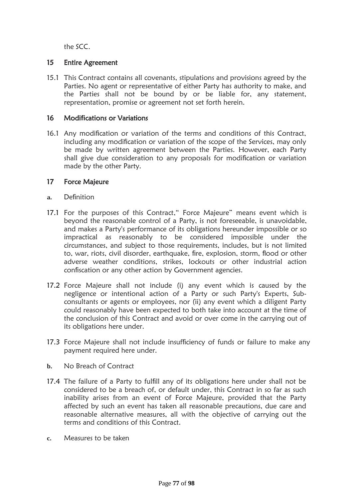the SCC.

### 15 Entire Agreement

15.1 This Contract contains all covenants, stipulations and provisions agreed by the Parties. No agent or representative of either Party has authority to make, and the Parties shall not be bound by or be liable for, any statement, representation, promise or agreement not set forth herein.

### 16 Modi**fi**cations or Variations

16.1 Any modification or variation of the terms and conditions of this Contract, including any modification or variation of the scope of the Services, may only be made by written agreement between the Parties. However, each Party shall give due consideration to any proposals for modification or variation made by the other Party.

#### 17 Force Majeure

- **a.** Definition
- 17.1 For the purposes of this Contract," Force Majeure" means event which is beyond the reasonable control of a Party, is not foreseeable, is unavoidable, and makes a Party's performance of its obligations hereunder impossible or so impractical as reasonably to be considered impossible under the circumstances, and subject to those requirements, includes, but is not limited to, war, riots, civil disorder, earthquake, fire, explosion, storm, flood or other adverse weather conditions, strikes, lockouts or other industrial action confiscation or any other action by Government agencies.
- 17.2 Force Majeure shall not include (i) any event which is caused by the negligence or intentional action of a Party or such Party's Experts, Subconsultants or agents or employees, nor (ii) any event which a diligent Party could reasonably have been expected to both take into account at the time of the conclusion of this Contract and avoid or over come in the carrying out of its obligations here under.
- 17.3 Force Majeure shall not include insufficiency of funds or failure to make any payment required here under.
- **b.** No Breach of Contract
- 17.4 The failure of a Party to fulfill any of its obligations here under shall not be considered to be a breach of, or default under, this Contract in so far as such inability arises from an event of Force Majeure, provided that the Party affected by such an event has taken all reasonable precautions, due care and reasonable alternative measures, all with the objective of carrying out the terms and conditions of this Contract.
- **c.** Measures to be taken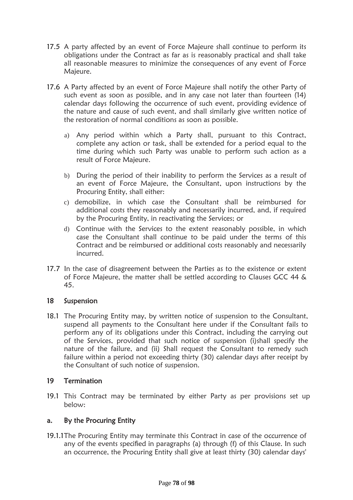- 17.5 A party affected by an event of Force Majeure shall continue to perform its obligations under the Contract as far as is reasonably practical and shall take all reasonable measures to minimize the consequences of any event of Force Majeure.
- 17.6 A Party affected by an event of Force Majeure shall notify the other Party of such event as soon as possible, and in any case not later than fourteen (14) calendar days following the occurrence of such event, providing evidence of the nature and cause of such event, and shall similarly give written notice of the restoration of normal conditions as soon as possible.
	- a) Any period within which a Party shall, pursuant to this Contract, complete any action or task, shall be extended for a period equal to the time during which such Party was unable to perform such action as a result of Force Majeure.
	- b) During the period of their inability to perform the Services as a result of an event of Force Majeure, the Consultant, upon instructions by the Procuring Entity, shall either:
	- c) demobilize, in which case the Consultant shall be reimbursed for additional costs they reasonably and necessarily incurred, and, if required by the Procuring Entity, in reactivating the Services; or
	- d) Continue with the Services to the extent reasonably possible, in which case the Consultant shall continue to be paid under the terms of this Contract and be reimbursed or additional costs reasonably and necessarily incurred.
- 17.7 In the case of disagreement between the Parties as to the existence or extent of Force Majeure, the matter shall be settled according to Clauses GCC 44 & 45.

## 18 Suspension

18.1 The Procuring Entity may, by written notice of suspension to the Consultant, suspend all payments to the Consultant here under if the Consultant fails to perform any of its obligations under this Contract, including the carrying out of the Services, provided that such notice of suspension (i)shall specify the nature of the failure, and (ii) Shall request the Consultant to remedy such failure within a period not exceeding thirty (30) calendar days after receipt by the Consultant of such notice of suspension.

## 19 Termination

19.1 This Contract may be terminated by either Party as per provisions set up below:

## a. By the Procuring Entity

19.1.1The Procuring Entity may terminate this Contract in case of the occurrence of any of the events specified in paragraphs (a) through (f) of this Clause. In such an occurrence, the Procuring Entity shall give at least thirty (30) calendar days'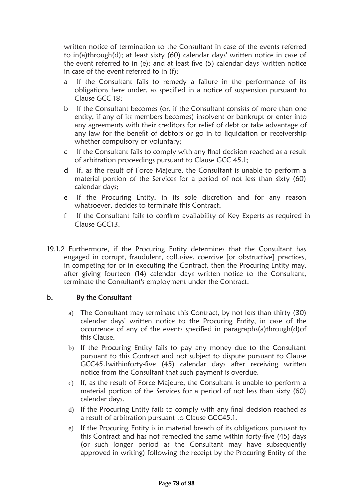written notice of termination to the Consultant in case of the events referred to in(a)through(d); at least sixty (60) calendar days' written notice in case of the event referred to in (e); and at least five (5) calendar days 'written notice in case of the event referred to in (f):

- a If the Consultant fails to remedy a failure in the performance of its obligations here under, as specified in a notice of suspension pursuant to Clause GCC 18;
- b If the Consultant becomes (or, if the Consultant consists of more than one entity, if any of its members becomes) insolvent or bankrupt or enter into any agreements with their creditors for relief of debt or take advantage of any law for the benefit of debtors or go in to liquidation or receivership whether compulsory or voluntary;
- c If the Consultant fails to comply with any final decision reached as a result of arbitration proceedings pursuant to Clause GCC 45.1;
- d If, as the result of Force Majeure, the Consultant is unable to perform a material portion of the Services for a period of not less than sixty (60) calendar days;
- e If the Procuring Entity, in its sole discretion and for any reason whatsoever, decides to terminate this Contract;
- f If the Consultant fails to confirm availability of Key Experts as required in Clause GCC13.
- 19.1.2 Furthermore, if the Procuring Entity determines that the Consultant has engaged in corrupt, fraudulent, collusive, coercive [or obstructive] practices, in competing for or in executing the Contract, then the Procuring Entity may, after giving fourteen (14) calendar days written notice to the Consultant, terminate the Consultant's employment under the Contract.

## b. By the Consultant

- a) The Consultant may terminate this Contract, by not less than thirty (30) calendar days' written notice to the Procuring Entity, in case of the occurrence of any of the events specified in paragraphs(a)through(d)of this Clause.
- b) If the Procuring Entity fails to pay any money due to the Consultant pursuant to this Contract and not subject to dispute pursuant to Clause GCC45.1withinforty-five (45) calendar days after receiving written notice from the Consultant that such payment is overdue.
- c) If, as the result of Force Majeure, the Consultant is unable to perform a material portion of the Services for a period of not less than sixty (60) calendar days.
- d) If the Procuring Entity fails to comply with any final decision reached as a result of arbitration pursuant to Clause GCC45.1.
- e) If the Procuring Entity is in material breach of its obligations pursuant to this Contract and has not remedied the same within forty-five (45) days (or such longer period as the Consultant may have subsequently approved in writing) following the receipt by the Procuring Entity of the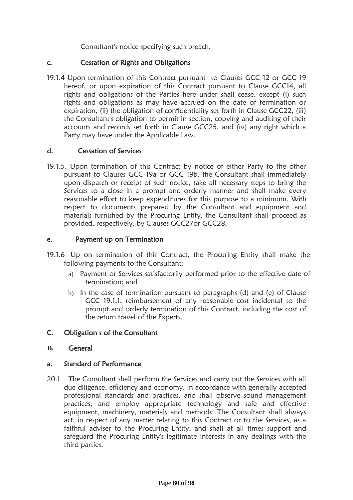Consultant's notice specifying such breach.

### c. Cessation of Rights and Obligations

19.1.4 Upon termination of this Contract pursuant to Clauses GCC 12 or GCC 19 hereof, or upon expiration of this Contract pursuant to Clause GCC14, all rights and obligations of the Parties here under shall cease, except (i) such rights and obligations as may have accrued on the date of termination or expiration, (ii) the obligation of confidentiality set forth in Clause GCC22, (iii) the Consultant's obligation to permit in section, copying and auditing of their accounts and records set forth in Clause GCC25, and (iv) any right which a Party may have under the Applicable Law.

### d. Cessation of Services

19.1.5. Upon termination of this Contract by notice of either Party to the other pursuant to Clauses GCC 19a or GCC 19b, the Consultant shall immediately upon dispatch or receipt of such notice, take all necessary steps to bring the Services to a close in a prompt and orderly manner and shall make every reasonable effort to keep expenditures for this purpose to a minimum. With respect to documents prepared by the Consultant and equipment and materials furnished by the Procuring Entity, the Consultant shall proceed as provided, respectively, by Clauses GCC27or GCC28.

### e. Payment up on Termination

- 19.1.6 Up on termination of this Contract, the Procuring Entity shall make the following payments to the Consultant:
	- a) Payment or Services satisfactorily performed prior to the effective date of termination; and
	- b) In the case of termination pursuant to paragraphs (d) and (e) of Clause GCC 19.1.1, reimbursement of any reasonable cost incidental to the prompt and orderly termination of this Contract, including the cost of the return travel of the Experts.

### C. Obligation s of the Consultant

### **16.** General

### a. Standard of Performance

20.1 The Consultant shall perform the Services and carry out the Services with all due diligence, efficiency and economy, in accordance with generally accepted professional standards and practices, and shall observe sound management practices, and employ appropriate technology and safe and effective equipment, machinery, materials and methods. The Consultant shall always act, in respect of any matter relating to this Contract or to the Services, as a faithful adviser to the Procuring Entity, and shall at all times support and safeguard the Procuring Entity's legitimate interests in any dealings with the third parties.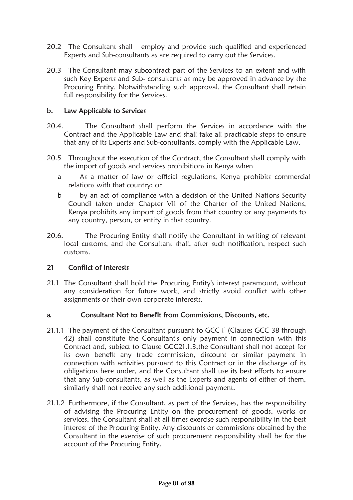- 20.2 The Consultant shall employ and provide such qualified and experienced Experts and Sub-consultants as are required to carry out the Services.
- 20.3 The Consultant may subcontract part of the Services to an extent and with such Key Experts and Sub- consultants as may be approved in advance by the Procuring Entity. Notwithstanding such approval, the Consultant shall retain full responsibility for the Services.

### b. Law Applicable to Services

- 20.4. The Consultant shall perform the Services in accordance with the Contract and the Applicable Law and shall take all practicable steps to ensure that any of its Experts and Sub-consultants, comply with the Applicable Law.
- 20.5 Throughout the execution of the Contract, the Consultant shall comply with the import of goods and services prohibitions in Kenya when
	- a As a matter of law or official regulations, Kenya prohibits commercial relations with that country; or
	- b by an act of compliance with a decision of the United Nations Security Council taken under Chapter VII of the Charter of the United Nations, Kenya prohibits any import of goods from that country or any payments to any country, person, or entity in that country.
- 20.6. The Procuring Entity shall notify the Consultant in writing of relevant local customs, and the Consultant shall, after such notification, respect such customs.

### 21 Con**fl**ict of Interests

21.1 The Consultant shall hold the Procuring Entity's interest paramount, without any consideration for future work, and strictly avoid conflict with other assignments or their own corporate interests.

#### a. Consultant Not to Bene**fi**t from Commissions, Discounts, etc.

- 21.1.1 The payment of the Consultant pursuant to GCC F (Clauses GCC 38 through 42) shall constitute the Consultant's only payment in connection with this Contract and, subject to Clause GCC21.1.3,the Consultant shall not accept for its own benefit any trade commission, discount or similar payment in connection with activities pursuant to this Contract or in the discharge of its obligations here under, and the Consultant shall use its best efforts to ensure that any Sub-consultants, as well as the Experts and agents of either of them, similarly shall not receive any such additional payment.
- 21.1.2 Furthermore, if the Consultant, as part of the Services, has the responsibility of advising the Procuring Entity on the procurement of goods, works or services, the Consultant shall at all times exercise such responsibility in the best interest of the Procuring Entity. Any discounts or commissions obtained by the Consultant in the exercise of such procurement responsibility shall be for the account of the Procuring Entity.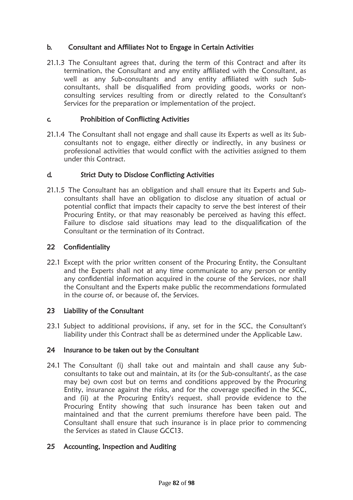## b. Consultant and Af**fi**liates Not to Engage in Certain Activities

21.1.3 The Consultant agrees that, during the term of this Contract and after its termination, the Consultant and any entity affiliated with the Consultant, as well as any Sub-consultants and any entity affiliated with such Subconsultants, shall be disqualified from providing goods, works or nonconsulting services resulting from or directly related to the Consultant's Services for the preparation or implementation of the project.

### c. Prohibition of Con**fl**icting Activities

21.1.4 The Consultant shall not engage and shall cause its Experts as well as its Subconsultants not to engage, either directly or indirectly, in any business or professional activities that would conflict with the activities assigned to them under this Contract.

### d. Strict Duty to Disclose Con**fl**icting Activities

21.1.5 The Consultant has an obligation and shall ensure that its Experts and Subconsultants shall have an obligation to disclose any situation of actual or potential conflict that impacts their capacity to serve the best interest of their Procuring Entity, or that may reasonably be perceived as having this effect. Failure to disclose said situations may lead to the disqualification of the Consultant or the termination of its Contract.

#### 22 Con**fi**dentiality

22.1 Except with the prior written consent of the Procuring Entity, the Consultant and the Experts shall not at any time communicate to any person or entity any confidential information acquired in the course of the Services, nor shall the Consultant and the Experts make public the recommendations formulated in the course of, or because of, the Services.

### 23 Liability of the Consultant

23.1 Subject to additional provisions, if any, set for in the SCC, the Consultant's liability under this Contract shall be as determined under the Applicable Law.

### 24 Insurance to be taken out by the Consultant

24.1 The Consultant (i) shall take out and maintain and shall cause any Subconsultants to take out and maintain, at its (or the Sub-consultants', as the case may be) own cost but on terms and conditions approved by the Procuring Entity, insurance against the risks, and for the coverage specified in the SCC, and (ii) at the Procuring Entity's request, shall provide evidence to the Procuring Entity showing that such insurance has been taken out and maintained and that the current premiums therefore have been paid. The Consultant shall ensure that such insurance is in place prior to commencing the Services as stated in Clause GCC13.

### 25 Accounting, Inspection and Auditing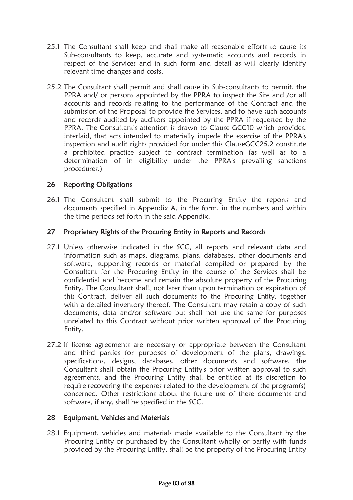- 25.1 The Consultant shall keep and shall make all reasonable efforts to cause its Sub-consultants to keep, accurate and systematic accounts and records in respect of the Services and in such form and detail as will clearly identify relevant time changes and costs.
- 25.2 The Consultant shall permit and shall cause its Sub-consultants to permit, the PPRA and/ or persons appointed by the PPRA to inspect the Site and /or all accounts and records relating to the performance of the Contract and the submission of the Proposal to provide the Services, and to have such accounts and records audited by auditors appointed by the PPRA if requested by the PPRA. The Consultant's attention is drawn to Clause GCC10 which provides, interlaid, that acts intended to materially impede the exercise of the PPRA's inspection and audit rights provided for under this ClauseGCC25.2 constitute a prohibited practice subject to contract termination (as well as to a determination of in eligibility under the PPRA's prevailing sanctions procedures.)

## 26 Reporting Obligations

26.1 The Consultant shall submit to the Procuring Entity the reports and documents specified in Appendix A, in the form, in the numbers and within the time periods set forth in the said Appendix.

### 27 Proprietary Rights of the Procuring Entity in Reports and Records

- 27.1 Unless otherwise indicated in the SCC, all reports and relevant data and information such as maps, diagrams, plans, databases, other documents and software, supporting records or material compiled or prepared by the Consultant for the Procuring Entity in the course of the Services shall be confidential and become and remain the absolute property of the Procuring Entity. The Consultant shall, not later than upon termination or expiration of this Contract, deliver all such documents to the Procuring Entity, together with a detailed inventory thereof. The Consultant may retain a copy of such documents, data and/or software but shall not use the same for purposes unrelated to this Contract without prior written approval of the Procuring Entity.
- 27.2 If license agreements are necessary or appropriate between the Consultant and third parties for purposes of development of the plans, drawings, specifications, designs, databases, other documents and software, the Consultant shall obtain the Procuring Entity's prior written approval to such agreements, and the Procuring Entity shall be entitled at its discretion to require recovering the expenses related to the development of the program(s) concerned. Other restrictions about the future use of these documents and software, if any, shall be specified in the SCC.

### 28 Equipment, Vehicles and Materials

28.1 Equipment, vehicles and materials made available to the Consultant by the Procuring Entity or purchased by the Consultant wholly or partly with funds provided by the Procuring Entity, shall be the property of the Procuring Entity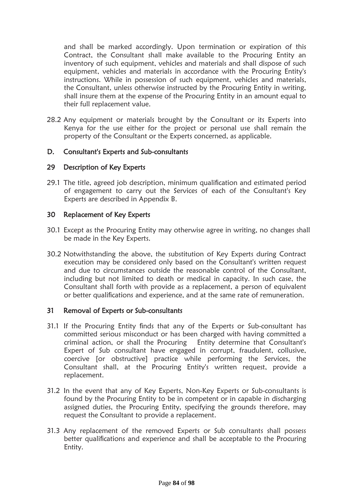and shall be marked accordingly. Upon termination or expiration of this Contract, the Consultant shall make available to the Procuring Entity an inventory of such equipment, vehicles and materials and shall dispose of such equipment, vehicles and materials in accordance with the Procuring Entity's instructions. While in possession of such equipment, vehicles and materials, the Consultant, unless otherwise instructed by the Procuring Entity in writing, shall insure them at the expense of the Procuring Entity in an amount equal to their full replacement value.

28.2 Any equipment or materials brought by the Consultant or its Experts into Kenya for the use either for the project or personal use shall remain the property of the Consultant or the Experts concerned, as applicable.

### D. Consultant's Experts and Sub-consultants

#### 29 Description of Key Experts

29.1 The title, agreed job description, minimum qualification and estimated period of engagement to carry out the Services of each of the Consultant's Key Experts are described in Appendix B.

#### 30 Replacement of Key Experts

- 30.1 Except as the Procuring Entity may otherwise agree in writing, no changes shall be made in the Key Experts.
- 30.2 Notwithstanding the above, the substitution of Key Experts during Contract execution may be considered only based on the Consultant's written request and due to circumstances outside the reasonable control of the Consultant, including but not limited to death or medical in capacity. In such case, the Consultant shall forth with provide as a replacement, a person of equivalent or better qualifications and experience, and at the same rate of remuneration.

#### 31 Removal of Experts or Sub-consultants

- 31.1 If the Procuring Entity finds that any of the Experts or Sub-consultant has committed serious misconduct or has been charged with having committed a criminal action, or shall the Procuring Entity determine that Consultant's Expert of Sub consultant have engaged in corrupt, fraudulent, collusive, coercive [or obstructive] practice while performing the Services, the Consultant shall, at the Procuring Entity's written request, provide a replacement.
- 31.2 In the event that any of Key Experts, Non-Key Experts or Sub-consultants is found by the Procuring Entity to be in competent or in capable in discharging assigned duties, the Procuring Entity, specifying the grounds therefore, may request the Consultant to provide a replacement.
- 31.3 Any replacement of the removed Experts or Sub consultants shall possess better qualifications and experience and shall be acceptable to the Procuring Entity.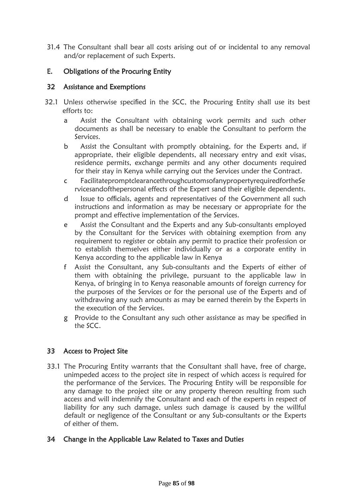31.4 The Consultant shall bear all costs arising out of or incidental to any removal and/or replacement of such Experts.

## E. Obligations of the Procuring Entity

### 32 Assistance and Exemptions

- 32.1 Unless otherwise specified in the SCC, the Procuring Entity shall use its best efforts to:
	- a Assist the Consultant with obtaining work permits and such other documents as shall be necessary to enable the Consultant to perform the Services.
	- b Assist the Consultant with promptly obtaining, for the Experts and, if appropriate, their eligible dependents, all necessary entry and exit visas, residence permits, exchange permits and any other documents required for their stay in Kenya while carrying out the Services under the Contract.
	- c FacilitatepromptclearancethroughcustomsofanypropertyrequiredfortheSe rvicesandofthepersonal effects of the Expert sand their eligible dependents.
	- d Issue to officials, agents and representatives of the Government all such instructions and information as may be necessary or appropriate for the prompt and effective implementation of the Services.
	- e Assist the Consultant and the Experts and any Sub-consultants employed by the Consultant for the Services with obtaining exemption from any requirement to register or obtain any permit to practice their profession or to establish themselves either individually or as a corporate entity in Kenya according to the applicable law in Kenya
	- f Assist the Consultant, any Sub-consultants and the Experts of either of them with obtaining the privilege, pursuant to the applicable law in Kenya, of bringing in to Kenya reasonable amounts of foreign currency for the purposes of the Services or for the personal use of the Experts and of withdrawing any such amounts as may be earned therein by the Experts in the execution of the Services.
	- g Provide to the Consultant any such other assistance as may be specified in the SCC.

### 33 Access to Project Site

33.1 The Procuring Entity warrants that the Consultant shall have, free of charge, unimpeded access to the project site in respect of which access is required for the performance of the Services. The Procuring Entity will be responsible for any damage to the project site or any property thereon resulting from such access and will indemnify the Consultant and each of the experts in respect of liability for any such damage, unless such damage is caused by the willful default or negligence of the Consultant or any Sub-consultants or the Experts of either of them.

### 34 Change in the Applicable Law Related to Taxes and Duties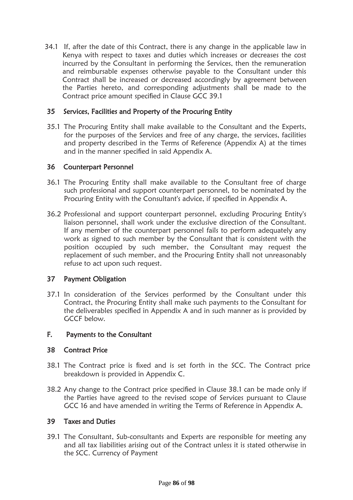34.1 If, after the date of this Contract, there is any change in the applicable law in Kenya with respect to taxes and duties which increases or decreases the cost incurred by the Consultant in performing the Services, then the remuneration and reimbursable expenses otherwise payable to the Consultant under this Contract shall be increased or decreased accordingly by agreement between the Parties hereto, and corresponding adjustments shall be made to the Contract price amount specified in Clause GCC 39.1

### 35 Services, Facilities and Property of the Procuring Entity

35.1 The Procuring Entity shall make available to the Consultant and the Experts, for the purposes of the Services and free of any charge, the services, facilities and property described in the Terms of Reference (Appendix A) at the times and in the manner specified in said Appendix A.

### 36 Counterpart Personnel

- 36.1 The Procuring Entity shall make available to the Consultant free of charge such professional and support counterpart personnel, to be nominated by the Procuring Entity with the Consultant's advice, if specified in Appendix A.
- 36.2 Professional and support counterpart personnel, excluding Procuring Entity's liaison personnel, shall work under the exclusive direction of the Consultant. If any member of the counterpart personnel fails to perform adequately any work as signed to such member by the Consultant that is consistent with the position occupied by such member, the Consultant may request the replacement of such member, and the Procuring Entity shall not unreasonably refuse to act upon such request.

### 37 Payment Obligation

37.1 In consideration of the Services performed by the Consultant under this Contract, the Procuring Entity shall make such payments to the Consultant for the deliverables specified in Appendix A and in such manner as is provided by GCCF below.

#### F. Payments to the Consultant

### 38 Contract Price

- 38.1 The Contract price is fixed and is set forth in the SCC. The Contract price breakdown is provided in Appendix C.
- 38.2 Any change to the Contract price specified in Clause 38.1 can be made only if the Parties have agreed to the revised scope of Services pursuant to Clause GCC 16 and have amended in writing the Terms of Reference in Appendix A.

#### 39 Taxes and Duties

39.1 The Consultant, Sub-consultants and Experts are responsible for meeting any and all tax liabilities arising out of the Contract unless it is stated otherwise in the SCC. Currency of Payment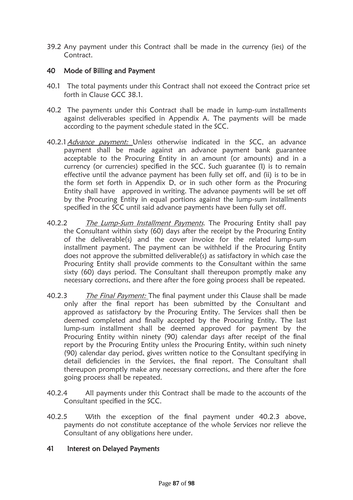39.2 Any payment under this Contract shall be made in the currency (ies) of the Contract.

### 40 Mode of Billing and Payment

- 40.1 The total payments under this Contract shall not exceed the Contract price set forth in Clause GCC 38.1.
- 40.2 The payments under this Contract shall be made in lump-sum installments against deliverables specified in Appendix A. The payments will be made according to the payment schedule stated in the SCC.
- 40.2.1 Advance payment: Unless otherwise indicated in the SCC, an advance payment shall be made against an advance payment bank guarantee acceptable to the Procuring Entity in an amount (or amounts) and in a currency (or currencies) specified in the SCC. Such guarantee (I) is to remain effective until the advance payment has been fully set off, and (ii) is to be in the form set forth in Appendix D, or in such other form as the Procuring Entity shall have approved in writing. The advance payments will be set off by the Procuring Entity in equal portions against the lump-sum installments specified in the SCC until said advance payments have been fully set off.
- 40.2.2 The Lump-Sum Installment Payments. The Procuring Entity shall pay the Consultant within sixty (60) days after the receipt by the Procuring Entity of the deliverable(s) and the cover invoice for the related lump-sum installment payment. The payment can be withheld if the Procuring Entity does not approve the submitted deliverable(s) as satisfactory in which case the Procuring Entity shall provide comments to the Consultant within the same sixty (60) days period. The Consultant shall thereupon promptly make any necessary corrections, and there after the fore going process shall be repeated.
- 40.2.3 The Final Payment: The final payment under this Clause shall be made only after the final report has been submitted by the Consultant and approved as satisfactory by the Procuring Entity. The Services shall then be deemed completed and finally accepted by the Procuring Entity. The last lump-sum installment shall be deemed approved for payment by the Procuring Entity within ninety (90) calendar days after receipt of the final report by the Procuring Entity unless the Procuring Entity, within such ninety (90) calendar day period, gives written notice to the Consultant specifying in detail deficiencies in the Services, the final report. The Consultant shall thereupon promptly make any necessary corrections, and there after the fore going process shall be repeated.
- 40.2.4 All payments under this Contract shall be made to the accounts of the Consultant specified in the SCC.
- 40.2.5 With the exception of the final payment under 40.2.3 above, payments do not constitute acceptance of the whole Services nor relieve the Consultant of any obligations here under.

### 41 Interest on Delayed Payments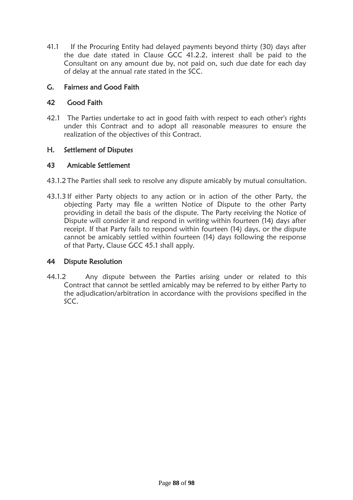41.1 If the Procuring Entity had delayed payments beyond thirty (30) days after the due date stated in Clause GCC 41.2.2, interest shall be paid to the Consultant on any amount due by, not paid on, such due date for each day of delay at the annual rate stated in the SCC.

## G. Fairness and Good Faith

## 42 Good Faith

42.1 The Parties undertake to act in good faith with respect to each other's rights under this Contract and to adopt all reasonable measures to ensure the realization of the objectives of this Contract.

## H. Settlement of Disputes

### 43 Amicable Settlement

- 43.1.2 The Parties shall seek to resolve any dispute amicably by mutual consultation.
- 43.1.3 If either Party objects to any action or in action of the other Party, the objecting Party may file a written Notice of Dispute to the other Party providing in detail the basis of the dispute. The Party receiving the Notice of Dispute will consider it and respond in writing within fourteen (14) days after receipt. If that Party fails to respond within fourteen (14) days, or the dispute cannot be amicably settled within fourteen (14) days following the response of that Party, Clause GCC 45.1 shall apply.

### 44 Dispute Resolution

44.1.2 Any dispute between the Parties arising under or related to this Contract that cannot be settled amicably may be referred to by either Party to the adjudication/arbitration in accordance with the provisions specified in the SCC.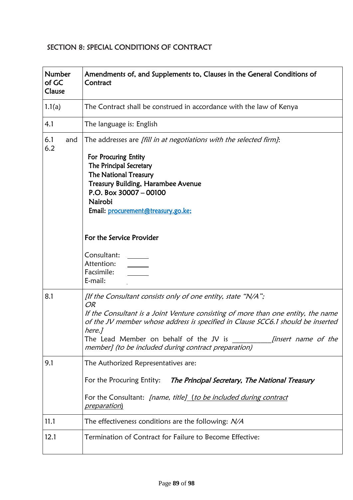# SECTION 8: SPECIAL CONDITIONS OF CONTRACT

| Number<br>of GC<br>Clause | Amendments of, and Supplements to, Clauses in the General Conditions of<br>Contract                                                                                                                                                                                                                                                                                                         |
|---------------------------|---------------------------------------------------------------------------------------------------------------------------------------------------------------------------------------------------------------------------------------------------------------------------------------------------------------------------------------------------------------------------------------------|
| 1.1(a)                    | The Contract shall be construed in accordance with the law of Kenya                                                                                                                                                                                                                                                                                                                         |
| 4.1                       | The language is: English                                                                                                                                                                                                                                                                                                                                                                    |
| 6.1<br>and<br>6.2         | The addresses are [fill in at negotiations with the selected firm]:<br>For Procuring Entity<br>The Principal Secretary<br><b>The National Treasury</b><br><b>Treasury Building, Harambee Avenue</b><br>P.O. Box $30007 - 00100$<br>Nairobi<br>Email: procurement@treasury.go.ke;<br>For the Service Provider<br>Consultant:<br>Attention:<br>Facsimile:<br>E-mail:                          |
| 8.1                       | [If the Consultant consists only of one entity, state "N/A";<br><b>OR</b><br>If the Consultant is a Joint Venture consisting of more than one entity, the name<br>of the JV member whose address is specified in Clause SCC6.1 should be inserted<br>here.]<br>The Lead Member on behalf of the JV is<br><i>linsert name of the</i><br>member] (to be included during contract preparation) |
| 9.1                       | The Authorized Representatives are:<br>For the Procuring Entity:<br>The Principal Secretary, The National Treasury<br>For the Consultant: [name, title] (to be included during contract<br><u>preparation)</u>                                                                                                                                                                              |
| 11.1                      | The effectiveness conditions are the following: $N\!/\!A$                                                                                                                                                                                                                                                                                                                                   |
| 12.1                      | Termination of Contract for Failure to Become Effective:                                                                                                                                                                                                                                                                                                                                    |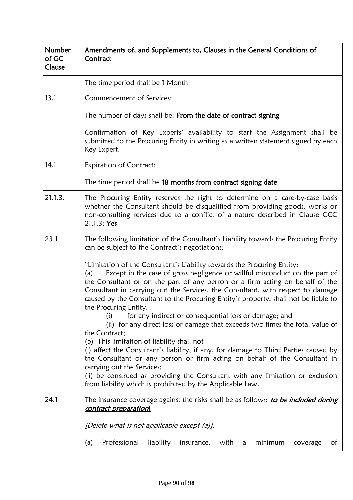| Number<br>of GC<br>Clause | Amendments of, and Supplements to, Clauses in the General Conditions of<br>Contract                                                                                                                                                                                                                                                                                                                                                               |  |
|---------------------------|---------------------------------------------------------------------------------------------------------------------------------------------------------------------------------------------------------------------------------------------------------------------------------------------------------------------------------------------------------------------------------------------------------------------------------------------------|--|
|                           | The time period shall be 1 Month                                                                                                                                                                                                                                                                                                                                                                                                                  |  |
| 13.1                      | Commencement of Services:                                                                                                                                                                                                                                                                                                                                                                                                                         |  |
|                           | The number of days shall be: From the date of contract signing                                                                                                                                                                                                                                                                                                                                                                                    |  |
|                           | Confirmation of Key Experts' availability to start the Assignment shall be<br>submitted to the Procuring Entity in writing as a written statement signed by each<br>Key Expert.                                                                                                                                                                                                                                                                   |  |
| 14.1                      | <b>Expiration of Contract:</b>                                                                                                                                                                                                                                                                                                                                                                                                                    |  |
|                           | The time period shall be 18 months from contract signing date                                                                                                                                                                                                                                                                                                                                                                                     |  |
| 21.1.3.                   | The Procuring Entity reserves the right to determine on a case-by-case basis<br>whether the Consultant should be disqualified from providing goods, works or<br>non-consulting services due to a conflict of a nature described in Clause GCC<br>21.1.3: Yes                                                                                                                                                                                      |  |
| 23.1                      | The following limitation of the Consultant's Liability towards the Procuring Entity<br>can be subject to the Contract's negotiations:                                                                                                                                                                                                                                                                                                             |  |
|                           | "Limitation of the Consultant's Liability towards the Procuring Entity:<br>Except in the case of gross negligence or willful misconduct on the part of<br>(a)<br>the Consultant or on the part of any person or a firm acting on behalf of the<br>Consultant in carrying out the Services, the Consultant, with respect to damage<br>caused by the Consultant to the Procuring Entity's property, shall not be liable to<br>the Procuring Entity: |  |
|                           | for any indirect or consequential loss or damage; and<br>(i)<br>(ii) for any direct loss or damage that exceeds two times the total value of<br>the Contract;                                                                                                                                                                                                                                                                                     |  |
|                           | (b) This limitation of liability shall not<br>(i) affect the Consultant's liability, if any, for damage to Third Parties caused by<br>the Consultant or any person or firm acting on behalf of the Consultant in<br>carrying out the Services;<br>(ii) be construed as providing the Consultant with any limitation or exclusion<br>from liability which is prohibited by the Applicable Law.                                                     |  |
| 24.1                      | The insurance coverage against the risks shall be as follows: to be included during<br>contract preparation)                                                                                                                                                                                                                                                                                                                                      |  |
|                           | [Delete what is not applicable except (a)].                                                                                                                                                                                                                                                                                                                                                                                                       |  |
|                           | Professional<br>liability<br>minimum<br>of<br>(a)<br>insurance,<br>with<br>coverage<br>a                                                                                                                                                                                                                                                                                                                                                          |  |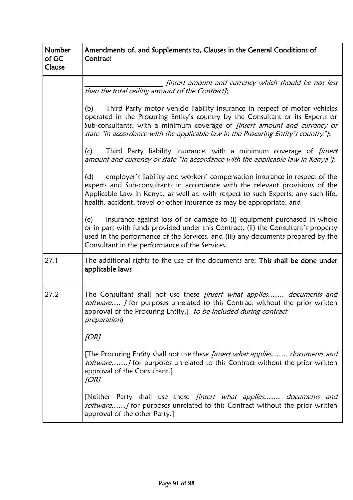| Number<br>of GC<br>Clause | Amendments of, and Supplements to, Clauses in the General Conditions of<br>Contract                                                                                                                                                                                                                                                           |  |
|---------------------------|-----------------------------------------------------------------------------------------------------------------------------------------------------------------------------------------------------------------------------------------------------------------------------------------------------------------------------------------------|--|
|                           | [insert amount and currency which should be not less<br>than the total ceiling amount of the Contract];                                                                                                                                                                                                                                       |  |
|                           | Third Party motor vehicle liability insurance in respect of motor vehicles<br>(b)<br>operated in the Procuring Entity's country by the Consultant or its Experts or<br>Sub-consultants, with a minimum coverage of <i>[insert amount and currency or</i><br>state "in accordance with the applicable law in the Procuring Entity's country"]; |  |
|                           | (c)<br>Third Party liability insurance, with a minimum coverage of <i>[insert</i><br>amount and currency or state "in accordance with the applicable law in Kenya"];                                                                                                                                                                          |  |
|                           | employer's liability and workers' compensation insurance in respect of the<br>(d)<br>experts and Sub-consultants in accordance with the relevant provisions of the<br>Applicable Law in Kenya, as well as, with respect to such Experts, any such life,<br>health, accident, travel or other insurance as may be appropriate; and             |  |
|                           | insurance against loss of or damage to (i) equipment purchased in whole<br>(e)<br>or in part with funds provided under this Contract, (ii) the Consultant's property<br>used in the performance of the Services, and (iii) any documents prepared by the<br>Consultant in the performance of the Services.                                    |  |
| 27.1                      | The additional rights to the use of the documents are: This shall be done under<br>applicable laws                                                                                                                                                                                                                                            |  |
| 27.2                      | The Consultant shall not use these <i>finsert what applies documents and</i><br>software <i>J</i> for purposes unrelated to this Contract without the prior written<br>approval of the Procuring Entity.] to be included during contract<br>preparation)                                                                                      |  |
|                           | [OR]                                                                                                                                                                                                                                                                                                                                          |  |
|                           | [The Procuring Entity shall not use these <i>[insert what applies documents and</i><br>software] for purposes unrelated to this Contract without the prior written<br>approval of the Consultant.]<br>[OR]                                                                                                                                    |  |
|                           | [Neither Party shall use these <i>[insert what applies documents and</i><br>software] for purposes unrelated to this Contract without the prior written<br>approval of the other Party.]                                                                                                                                                      |  |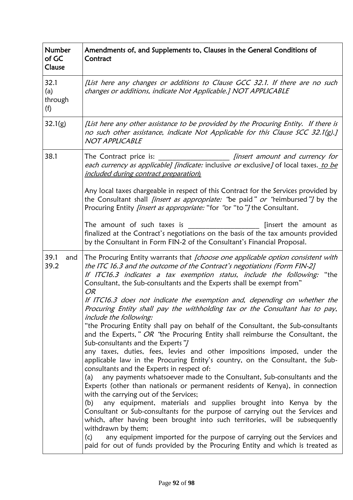| <b>Number</b><br>of GC<br>Clause | Amendments of, and Supplements to, Clauses in the General Conditions of<br>Contract                                                                                                                                                                                                                                               |
|----------------------------------|-----------------------------------------------------------------------------------------------------------------------------------------------------------------------------------------------------------------------------------------------------------------------------------------------------------------------------------|
| 32.1<br>(a)<br>through<br>(f)    | [List here any changes or additions to Clause GCC 32.1. If there are no such<br>changes or additions, indicate Not Applicable.] NOT APPLICABLE                                                                                                                                                                                    |
| 32.1(g)                          | [List here any other assistance to be provided by the Procuring Entity. If there is<br>no such other assistance, indicate Not Applicable for this Clause SCC 32.1(g).]<br>NOT APPLICABLE                                                                                                                                          |
| 38.1                             | The Contract price is:<br><i>finsert amount and currency for</i><br>each currency as applicable] [indicate: inclusive or exclusive] of local taxes. to be<br>included during contract preparation)                                                                                                                                |
|                                  | Any local taxes chargeable in respect of this Contract for the Services provided by<br>the Consultant shall <i>finsert as appropriate:</i> "be paid" or "reimbursed"/ by the<br>Procuring Entity <i>[insert as appropriate:</i> "for "or "to"] the Consultant.                                                                    |
|                                  | The amount of such taxes is<br>[insert the amount as<br>finalized at the Contract's negotiations on the basis of the tax amounts provided<br>by the Consultant in Form FIN-2 of the Consultant's Financial Proposal.                                                                                                              |
| 39.1<br>and<br>39.2              | The Procuring Entity warrants that [choose one applicable option consistent with<br>the ITC 16.3 and the outcome of the Contract's negotiations (Form FIN-2]<br>If ITC16.3 indicates a tax exemption status, include the following:<br>"the<br>Consultant, the Sub-consultants and the Experts shall be exempt from"<br><b>OR</b> |
|                                  | If ITC16.3 does not indicate the exemption and, depending on whether the<br>Procuring Entity shall pay the withholding tax or the Consultant has to pay,<br>include the following:                                                                                                                                                |
|                                  | "the Procuring Entity shall pay on behalf of the Consultant, the Sub-consultants<br>and the Experts," OR "the Procuring Entity shall reimburse the Consultant, the<br>Sub-consultants and the Experts"]                                                                                                                           |
|                                  | any taxes, duties, fees, levies and other impositions imposed, under the<br>applicable law in the Procuring Entity's country, on the Consultant, the Sub-<br>consultants and the Experts in respect of:                                                                                                                           |
|                                  | any payments whatsoever made to the Consultant, Sub-consultants and the<br>(a)<br>Experts (other than nationals or permanent residents of Kenya), in connection<br>with the carrying out of the Services;                                                                                                                         |
|                                  | any equipment, materials and supplies brought into Kenya by the<br>(b)<br>Consultant or Sub-consultants for the purpose of carrying out the Services and<br>which, after having been brought into such territories, will be subsequently<br>withdrawn by them;                                                                    |
|                                  | any equipment imported for the purpose of carrying out the Services and<br>(c)<br>paid for out of funds provided by the Procuring Entity and which is treated as                                                                                                                                                                  |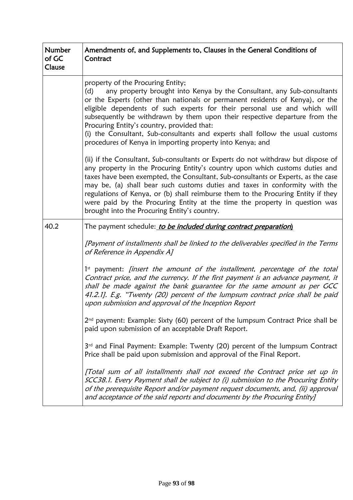| <b>Number</b><br>of GC<br>Clause | Amendments of, and Supplements to, Clauses in the General Conditions of<br>Contract                                                                                                                                                                                                                                                                                                                                                                                                                                                                         |  |
|----------------------------------|-------------------------------------------------------------------------------------------------------------------------------------------------------------------------------------------------------------------------------------------------------------------------------------------------------------------------------------------------------------------------------------------------------------------------------------------------------------------------------------------------------------------------------------------------------------|--|
|                                  | property of the Procuring Entity;<br>any property brought into Kenya by the Consultant, any Sub-consultants<br>(d)<br>or the Experts (other than nationals or permanent residents of Kenya), or the<br>eligible dependents of such experts for their personal use and which will<br>subsequently be withdrawn by them upon their respective departure from the<br>Procuring Entity's country, provided that:<br>(i) the Consultant, Sub-consultants and experts shall follow the usual customs<br>procedures of Kenya in importing property into Kenya; and |  |
|                                  | (ii) if the Consultant, Sub-consultants or Experts do not withdraw but dispose of<br>any property in the Procuring Entity's country upon which customs duties and<br>taxes have been exempted, the Consultant, Sub-consultants or Experts, as the case<br>may be, (a) shall bear such customs duties and taxes in conformity with the<br>regulations of Kenya, or (b) shall reimburse them to the Procuring Entity if they<br>were paid by the Procuring Entity at the time the property in question was<br>brought into the Procuring Entity's country.    |  |
| 40.2                             | The payment schedule: to be included during contract preparation)                                                                                                                                                                                                                                                                                                                                                                                                                                                                                           |  |
|                                  | [Payment of installments shall be linked to the deliverables specified in the Terms<br>of Reference in Appendix A]                                                                                                                                                                                                                                                                                                                                                                                                                                          |  |
|                                  | 1 <sup>st</sup> payment: <i>finsert the amount of the installment</i> , <i>percentage of the total</i><br>Contract price, and the currency. If the first payment is an advance payment, it<br>shall be made against the bank guarantee for the same amount as per GCC<br>41.2.1]. E.g. "Twenty (20) percent of the lumpsum contract price shall be paid<br>upon submission and approval of the Inception Report                                                                                                                                             |  |
|                                  | $2nd$ payment: Example: Sixty (60) percent of the lumpsum Contract Price shall be<br>paid upon submission of an acceptable Draft Report.                                                                                                                                                                                                                                                                                                                                                                                                                    |  |
|                                  | 3 <sup>rd</sup> and Final Payment: Example: Twenty (20) percent of the lumpsum Contract<br>Price shall be paid upon submission and approval of the Final Report.                                                                                                                                                                                                                                                                                                                                                                                            |  |
|                                  | [Total sum of all installments shall not exceed the Contract price set up in<br>SCC38.1. Every Payment shall be subject to (i) submission to the Procuring Entity<br>of the prerequisite Report and/or payment request documents, and, (ii) approval<br>and acceptance of the said reports and documents by the Procuring Entity]                                                                                                                                                                                                                           |  |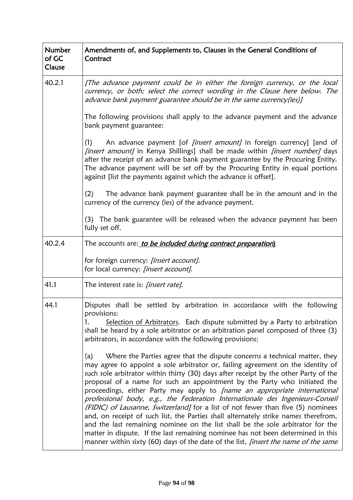| <b>Number</b><br>of GC<br>Clause | Amendments of, and Supplements to, Clauses in the General Conditions of<br>Contract                                                                                                                                                                                                                                                                                                                                                                                                                                                                                                                                                                                                                                                                                                                                                                                                                                                                                                                                                                                                                                                                                                                                                                                                       |  |
|----------------------------------|-------------------------------------------------------------------------------------------------------------------------------------------------------------------------------------------------------------------------------------------------------------------------------------------------------------------------------------------------------------------------------------------------------------------------------------------------------------------------------------------------------------------------------------------------------------------------------------------------------------------------------------------------------------------------------------------------------------------------------------------------------------------------------------------------------------------------------------------------------------------------------------------------------------------------------------------------------------------------------------------------------------------------------------------------------------------------------------------------------------------------------------------------------------------------------------------------------------------------------------------------------------------------------------------|--|
| 40.2.1                           | [The advance payment could be in either the foreign currency, or the local<br>currency, or both; select the correct wording in the Clause here below. The<br>advance bank payment guarantee should be in the same currency(ies)]                                                                                                                                                                                                                                                                                                                                                                                                                                                                                                                                                                                                                                                                                                                                                                                                                                                                                                                                                                                                                                                          |  |
|                                  | The following provisions shall apply to the advance payment and the advance<br>bank payment guarantee:                                                                                                                                                                                                                                                                                                                                                                                                                                                                                                                                                                                                                                                                                                                                                                                                                                                                                                                                                                                                                                                                                                                                                                                    |  |
|                                  | An advance payment [of <i>[insert amount]</i> in foreign currency] [and of<br>(1)<br>[insert amount] in Kenya Shillings] shall be made within [insert number] days<br>after the receipt of an advance bank payment guarantee by the Procuring Entity.<br>The advance payment will be set off by the Procuring Entity in equal portions<br>against [list the payments against which the advance is offset].                                                                                                                                                                                                                                                                                                                                                                                                                                                                                                                                                                                                                                                                                                                                                                                                                                                                                |  |
|                                  | (2)<br>The advance bank payment guarantee shall be in the amount and in the<br>currency of the currency (ies) of the advance payment.                                                                                                                                                                                                                                                                                                                                                                                                                                                                                                                                                                                                                                                                                                                                                                                                                                                                                                                                                                                                                                                                                                                                                     |  |
|                                  | (3) The bank guarantee will be released when the advance payment has been<br>fully set off.                                                                                                                                                                                                                                                                                                                                                                                                                                                                                                                                                                                                                                                                                                                                                                                                                                                                                                                                                                                                                                                                                                                                                                                               |  |
| 40.2.4                           | The accounts are: to be included during contract preparation)                                                                                                                                                                                                                                                                                                                                                                                                                                                                                                                                                                                                                                                                                                                                                                                                                                                                                                                                                                                                                                                                                                                                                                                                                             |  |
|                                  | for foreign currency: [insert account].<br>for local currency: [insert account].                                                                                                                                                                                                                                                                                                                                                                                                                                                                                                                                                                                                                                                                                                                                                                                                                                                                                                                                                                                                                                                                                                                                                                                                          |  |
| 41.1                             | The interest rate is: <i>[insert rate]</i> .                                                                                                                                                                                                                                                                                                                                                                                                                                                                                                                                                                                                                                                                                                                                                                                                                                                                                                                                                                                                                                                                                                                                                                                                                                              |  |
| 44.1                             | Disputes shall be settled by arbitration in accordance with the following<br>provisions:<br>Selection of Arbitrators. Each dispute submitted by a Party to arbitration<br>1.<br>shall be heard by a sole arbitrator or an arbitration panel composed of three (3)<br>arbitrators, in accordance with the following provisions:<br>Where the Parties agree that the dispute concerns a technical matter, they<br>(a)<br>may agree to appoint a sole arbitrator or, failing agreement on the identity of<br>such sole arbitrator within thirty (30) days after receipt by the other Party of the<br>proposal of a name for such an appointment by the Party who initiated the<br>proceedings, either Party may apply to [name an appropriate international<br>professional body, e.g., the Federation Internationale des Ingenieurs-Conseil<br>(FIDIC) of Lausanne, Switzerland] for a list of not fewer than five (5) nominees<br>and, on receipt of such list, the Parties shall alternately strike names therefrom,<br>and the last remaining nominee on the list shall be the sole arbitrator for the<br>matter in dispute. If the last remaining nominee has not been determined in this<br>manner within sixty (60) days of the date of the list, <i>[insert the name of the same</i> |  |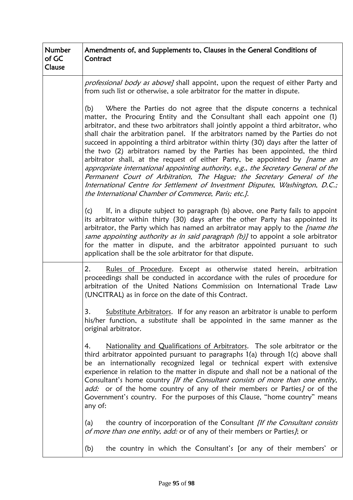| <b>Number</b><br>of GC<br>Clause | Amendments of, and Supplements to, Clauses in the General Conditions of<br>Contract                                                                                                                                                                                                                                                                                                                                                                                                                                                                                                                                                                                                                                                                                                                                                                                                                        |  |
|----------------------------------|------------------------------------------------------------------------------------------------------------------------------------------------------------------------------------------------------------------------------------------------------------------------------------------------------------------------------------------------------------------------------------------------------------------------------------------------------------------------------------------------------------------------------------------------------------------------------------------------------------------------------------------------------------------------------------------------------------------------------------------------------------------------------------------------------------------------------------------------------------------------------------------------------------|--|
|                                  | <i>professional body as above]</i> shall appoint, upon the request of either Party and<br>from such list or otherwise, a sole arbitrator for the matter in dispute.                                                                                                                                                                                                                                                                                                                                                                                                                                                                                                                                                                                                                                                                                                                                        |  |
|                                  | Where the Parties do not agree that the dispute concerns a technical<br>(b)<br>matter, the Procuring Entity and the Consultant shall each appoint one (1)<br>arbitrator, and these two arbitrators shall jointly appoint a third arbitrator, who<br>shall chair the arbitration panel. If the arbitrators named by the Parties do not<br>succeed in appointing a third arbitrator within thirty (30) days after the latter of<br>the two (2) arbitrators named by the Parties has been appointed, the third<br>arbitrator shall, at the request of either Party, be appointed by <i>[name an</i><br>appropriate international appointing authority, e.g., the Secretary General of the<br>Permanent Court of Arbitration, The Hague; the Secretary General of the<br>International Centre for Settlement of Investment Disputes, Washington, D.C.;<br>the International Chamber of Commerce, Paris; etc.]. |  |
|                                  | If, in a dispute subject to paragraph (b) above, one Party fails to appoint<br>(c)<br>its arbitrator within thirty (30) days after the other Party has appointed its<br>arbitrator, the Party which has named an arbitrator may apply to the <i>[name the</i><br>same appointing authority as in said paragraph (b)] to appoint a sole arbitrator<br>for the matter in dispute, and the arbitrator appointed pursuant to such<br>application shall be the sole arbitrator for that dispute.                                                                                                                                                                                                                                                                                                                                                                                                                |  |
|                                  | Rules of Procedure. Except as otherwise stated herein, arbitration<br>2.<br>proceedings shall be conducted in accordance with the rules of procedure for<br>arbitration of the United Nations Commission on International Trade Law<br>(UNCITRAL) as in force on the date of this Contract.                                                                                                                                                                                                                                                                                                                                                                                                                                                                                                                                                                                                                |  |
|                                  | 3.<br>Substitute Arbitrators. If for any reason an arbitrator is unable to perform<br>his/her function, a substitute shall be appointed in the same manner as the<br>original arbitrator.                                                                                                                                                                                                                                                                                                                                                                                                                                                                                                                                                                                                                                                                                                                  |  |
|                                  | Nationality and Qualifications of Arbitrators. The sole arbitrator or the<br>4.<br>third arbitrator appointed pursuant to paragraphs 1(a) through 1(c) above shall<br>be an internationally recognized legal or technical expert with extensive<br>experience in relation to the matter in dispute and shall not be a national of the<br>Consultant's home country [If the Consultant consists of more than one entity,<br>add: or of the home country of any of their members or Parties] or of the<br>Government's country. For the purposes of this Clause, "home country" means<br>any of:                                                                                                                                                                                                                                                                                                             |  |
|                                  | the country of incorporation of the Consultant [If the Consultant consists<br>(a)<br>of more than one entity, add: or of any of their members or Parties]; or                                                                                                                                                                                                                                                                                                                                                                                                                                                                                                                                                                                                                                                                                                                                              |  |
|                                  | the country in which the Consultant's [or any of their members' or<br>(b)                                                                                                                                                                                                                                                                                                                                                                                                                                                                                                                                                                                                                                                                                                                                                                                                                                  |  |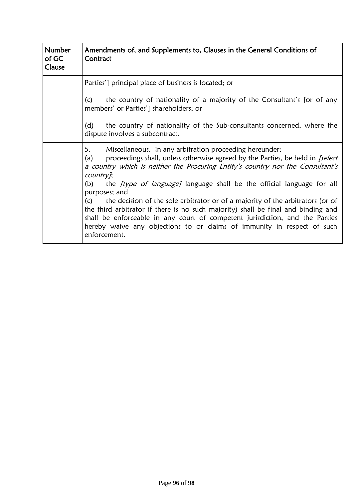| <b>Number</b><br>of GC<br>Clause | Amendments of, and Supplements to, Clauses in the General Conditions of<br>Contract                                                                                                                                                                                                                                                                                                                                                                                                                                                                                                                                                                                                                                             |  |
|----------------------------------|---------------------------------------------------------------------------------------------------------------------------------------------------------------------------------------------------------------------------------------------------------------------------------------------------------------------------------------------------------------------------------------------------------------------------------------------------------------------------------------------------------------------------------------------------------------------------------------------------------------------------------------------------------------------------------------------------------------------------------|--|
|                                  | Parties'] principal place of business is located; or<br>(c)<br>the country of nationality of a majority of the Consultant's [or of any                                                                                                                                                                                                                                                                                                                                                                                                                                                                                                                                                                                          |  |
|                                  | members' or Parties'] shareholders; or<br>(d)<br>the country of nationality of the Sub-consultants concerned, where the<br>dispute involves a subcontract.                                                                                                                                                                                                                                                                                                                                                                                                                                                                                                                                                                      |  |
|                                  | 5.<br>Miscellaneous. In any arbitration proceeding hereunder:<br>proceedings shall, unless otherwise agreed by the Parties, be held in <i>[select</i> ]<br>(a)<br>a country which is neither the Procuring Entity's country nor the Consultant's<br>country];<br>the <i>[type of language]</i> language shall be the official language for all<br>(b)<br>purposes; and<br>(c)<br>the decision of the sole arbitrator or of a majority of the arbitrators (or of<br>the third arbitrator if there is no such majority) shall be final and binding and<br>shall be enforceable in any court of competent jurisdiction, and the Parties<br>hereby waive any objections to or claims of immunity in respect of such<br>enforcement. |  |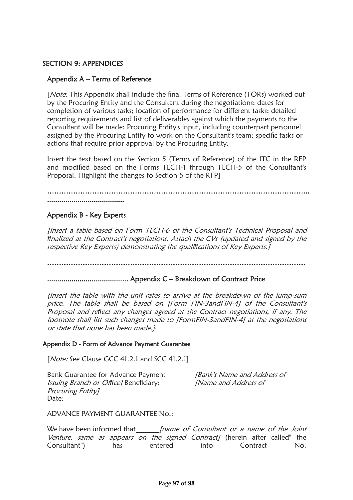### SECTION 9: APPENDICES

#### Appendix A – Terms of Reference

[*Note*: This Appendix shall include the final Terms of Reference (TORs) worked out by the Procuring Entity and the Consultant during the negotiations; dates for completion of various tasks; location of performance for different tasks; detailed reporting requirements and list of deliverables against which the payments to the Consultant will be made; Procuring Entity's input, including counterpart personnel assigned by the Procuring Entity to work on the Consultant's team; specific tasks or actions that require prior approval by the Procuring Entity.

Insert the text based on the Section 5 (Terms of Reference) of the ITC in the RFP and modified based on the Forms TECH-1 through TECH-5 of the Consultant's Proposal. Highlight the changes to Section 5 of the RFP]

………………………………………………………………………………………………... ......................................

### Appendix B - Key Experts

[Insert a table based on Form TECH-6 of the Consultant's Technical Proposal and *fi*nalized at the Contract's negotiations. Attach the CVs (updated and signed by the respective Key Experts) demonstrating the quali*fi*cations of Key Experts.]

……………………………………………………………………………………………….

........................................ Appendix C – Breakdown of Contract Price

{Insert the table with the unit rates to arrive at the breakdown of the lump-sum price. The table shall be based on [Form FIN-3andFIN-4] of the Consultant's Proposal and re*fl*ect any changes agreed at the Contract negotiations, if any. The footnote shall list such changes made to [FormFIN-3andFIN-4] at the negotiations or state that none has been made.}

#### Appendix D - Form of Advance Payment Guarantee

[*Note:* See Clause GCC 41.2.1 and SCC 41.2.1]

| Bank Guarantee for Advance Payment            | [Bank's Name and Address of       |
|-----------------------------------------------|-----------------------------------|
| <i>Issuing Branch or Office</i> /Beneficiary: | <i><b>Name and Address of</b></i> |
| Procuring Entity]                             |                                   |
| Date:                                         |                                   |

ADVANCE PAYMENT GUARANTEE No.:

We have been informed that [name of Consultant or a name of the Joint Venture, same as appears on the signed Contract] (herein after called" the Consultant") has entered into Contract No.